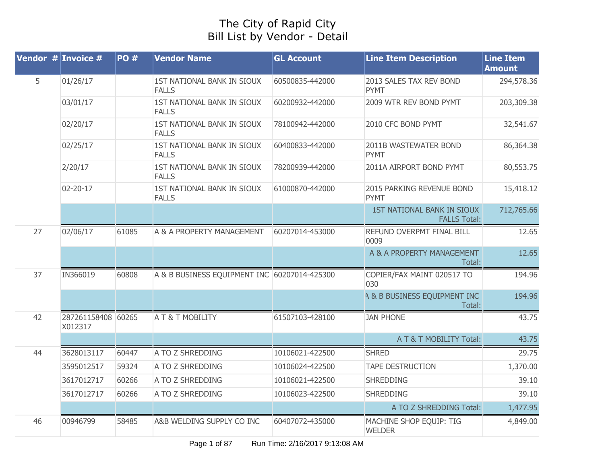## The City of Rapid City Bill List by Vendor - Detail

|    | Vendor $#$ Invoice $#$        | <b>PO#</b> | <b>Vendor Name</b>                           | <b>GL Account</b> | <b>Line Item Description</b>                             | <b>Line Item</b><br><b>Amount</b> |
|----|-------------------------------|------------|----------------------------------------------|-------------------|----------------------------------------------------------|-----------------------------------|
| 5  | 01/26/17                      |            | 1ST NATIONAL BANK IN SIOUX<br><b>FALLS</b>   | 60500835-442000   | 2013 SALES TAX REV BOND<br><b>PYMT</b>                   | 294,578.36                        |
|    | 03/01/17                      |            | 1ST NATIONAL BANK IN SIOUX<br><b>FALLS</b>   | 60200932-442000   | 2009 WTR REV BOND PYMT                                   | 203,309.38                        |
|    | 02/20/17                      |            | 1ST NATIONAL BANK IN SIOUX<br><b>FALLS</b>   | 78100942-442000   | 2010 CFC BOND PYMT                                       | 32,541.67                         |
|    | 02/25/17                      |            | 1ST NATIONAL BANK IN SIOUX<br><b>FALLS</b>   | 60400833-442000   | 2011B WASTEWATER BOND<br>PYMT                            | 86,364.38                         |
|    | 2/20/17                       |            | 1ST NATIONAL BANK IN SIOUX<br><b>FALLS</b>   | 78200939-442000   | 2011A AIRPORT BOND PYMT                                  | 80,553.75                         |
|    | $02 - 20 - 17$                |            | 1ST NATIONAL BANK IN SIOUX<br><b>FALLS</b>   | 61000870-442000   | 2015 PARKING REVENUE BOND<br>PYMT                        | 15,418.12                         |
|    |                               |            |                                              |                   | <b>1ST NATIONAL BANK IN SIOUX</b><br><b>FALLS Total:</b> | 712,765.66                        |
| 27 | 02/06/17                      | 61085      | A & A PROPERTY MANAGEMENT                    | 60207014-453000   | REFUND OVERPMT FINAL BILL<br>0009                        | 12.65                             |
|    |                               |            |                                              |                   | A & A PROPERTY MANAGEMENT<br>Total:                      | 12.65                             |
| 37 | IN366019                      | 60808      | A & B BUSINESS EQUIPMENT INC 60207014-425300 |                   | COPIER/FAX MAINT 020517 TO<br>030                        | 194.96                            |
|    |                               |            |                                              |                   | <b>A &amp; B BUSINESS EQUIPMENT INC</b><br>Total:        | 194.96                            |
| 42 | 287261158408 60265<br>X012317 |            | A T & T MOBILITY                             | 61507103-428100   | <b>JAN PHONE</b>                                         | 43.75                             |
|    |                               |            |                                              |                   | A T & T MOBILITY Total:                                  | 43.75                             |
| 44 | 3628013117                    | 60447      | A TO Z SHREDDING                             | 10106021-422500   | <b>SHRED</b>                                             | 29.75                             |
|    | 3595012517                    | 59324      | A TO Z SHREDDING                             | 10106024-422500   | <b>TAPE DESTRUCTION</b>                                  | 1,370.00                          |
|    | 3617012717                    | 60266      | A TO Z SHREDDING                             | 10106021-422500   | <b>SHREDDING</b>                                         | 39.10                             |
|    | 3617012717                    | 60266      | A TO Z SHREDDING                             | 10106023-422500   | <b>SHREDDING</b>                                         | 39.10                             |
|    |                               |            |                                              |                   | A TO Z SHREDDING Total:                                  | 1,477.95                          |
| 46 | 00946799                      | 58485      | A&B WELDING SUPPLY CO INC                    | 60407072-435000   | MACHINE SHOP EQUIP: TIG<br><b>WELDER</b>                 | 4,849.00                          |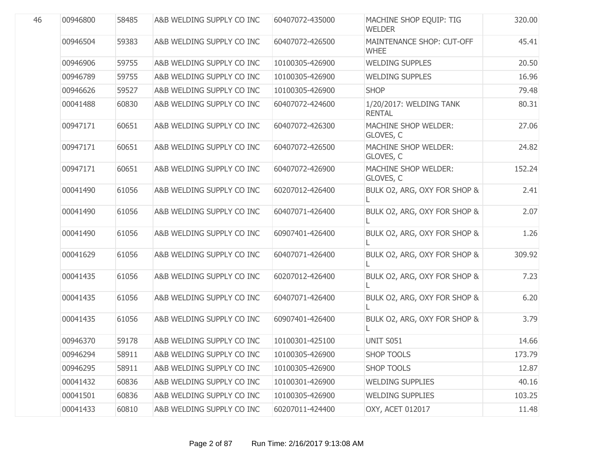| 00946800 | 58485 | A&B WELDING SUPPLY CO INC | 60407072-435000 | MACHINE SHOP EQUIP: TIG<br><b>WELDER</b> | 320.00 |
|----------|-------|---------------------------|-----------------|------------------------------------------|--------|
| 00946504 | 59383 | A&B WELDING SUPPLY CO INC | 60407072-426500 | MAINTENANCE SHOP: CUT-OFF<br><b>WHEE</b> | 45.41  |
| 00946906 | 59755 | A&B WELDING SUPPLY CO INC | 10100305-426900 | <b>WELDING SUPPLES</b>                   | 20.50  |
| 00946789 | 59755 | A&B WELDING SUPPLY CO INC | 10100305-426900 | <b>WELDING SUPPLES</b>                   | 16.96  |
| 00946626 | 59527 | A&B WELDING SUPPLY CO INC | 10100305-426900 | <b>SHOP</b>                              | 79.48  |
| 00041488 | 60830 | A&B WELDING SUPPLY CO INC | 60407072-424600 | 1/20/2017: WELDING TANK<br><b>RENTAL</b> | 80.31  |
| 00947171 | 60651 | A&B WELDING SUPPLY CO INC | 60407072-426300 | MACHINE SHOP WELDER:<br>GLOVES, C        | 27.06  |
| 00947171 | 60651 | A&B WELDING SUPPLY CO INC | 60407072-426500 | MACHINE SHOP WELDER:<br>GLOVES, C        | 24.82  |
| 00947171 | 60651 | A&B WELDING SUPPLY CO INC | 60407072-426900 | MACHINE SHOP WELDER:<br>GLOVES, C        | 152.24 |
| 00041490 | 61056 | A&B WELDING SUPPLY CO INC | 60207012-426400 | BULK O2, ARG, OXY FOR SHOP &             | 2.41   |
| 00041490 | 61056 | A&B WELDING SUPPLY CO INC | 60407071-426400 | BULK O2, ARG, OXY FOR SHOP &             | 2.07   |
| 00041490 | 61056 | A&B WELDING SUPPLY CO INC | 60907401-426400 | BULK O2, ARG, OXY FOR SHOP &<br>L        | 1.26   |
| 00041629 | 61056 | A&B WELDING SUPPLY CO INC | 60407071-426400 | BULK O2, ARG, OXY FOR SHOP &             | 309.92 |
| 00041435 | 61056 | A&B WELDING SUPPLY CO INC | 60207012-426400 | BULK O2, ARG, OXY FOR SHOP &             | 7.23   |
| 00041435 | 61056 | A&B WELDING SUPPLY CO INC | 60407071-426400 | BULK O2, ARG, OXY FOR SHOP &<br>L        | 6.20   |
| 00041435 | 61056 | A&B WELDING SUPPLY CO INC | 60907401-426400 | BULK O2, ARG, OXY FOR SHOP &             | 3.79   |
| 00946370 | 59178 | A&B WELDING SUPPLY CO INC | 10100301-425100 | UNIT S051                                | 14.66  |
| 00946294 | 58911 | A&B WELDING SUPPLY CO INC | 10100305-426900 | <b>SHOP TOOLS</b>                        | 173.79 |
| 00946295 | 58911 | A&B WELDING SUPPLY CO INC | 10100305-426900 | <b>SHOP TOOLS</b>                        | 12.87  |
| 00041432 | 60836 | A&B WELDING SUPPLY CO INC | 10100301-426900 | <b>WELDING SUPPLIES</b>                  | 40.16  |
| 00041501 | 60836 | A&B WELDING SUPPLY CO INC | 10100305-426900 | <b>WELDING SUPPLIES</b>                  | 103.25 |
| 00041433 | 60810 | A&B WELDING SUPPLY CO INC | 60207011-424400 | OXY, ACET 012017                         | 11.48  |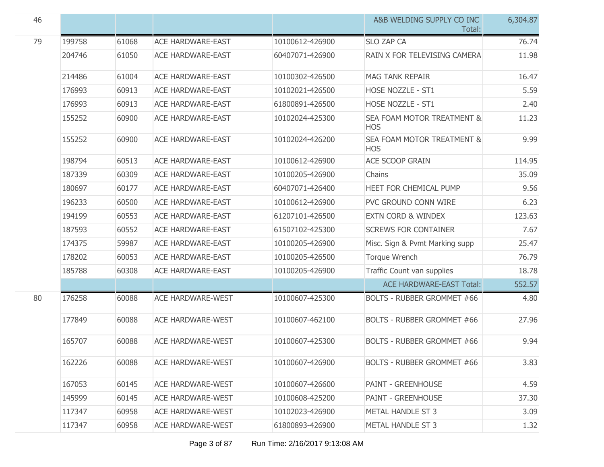| 46 |        |       |                          |                 | A&B WELDING SUPPLY CO INC<br>Total:      | 6,304.87 |
|----|--------|-------|--------------------------|-----------------|------------------------------------------|----------|
| 79 | 199758 | 61068 | <b>ACE HARDWARE-EAST</b> | 10100612-426900 | <b>SLO ZAP CA</b>                        | 76.74    |
|    | 204746 | 61050 | <b>ACE HARDWARE-EAST</b> | 60407071-426900 | RAIN X FOR TELEVISING CAMERA             | 11.98    |
|    | 214486 | 61004 | <b>ACE HARDWARE-EAST</b> | 10100302-426500 | <b>MAG TANK REPAIR</b>                   | 16.47    |
|    | 176993 | 60913 | <b>ACE HARDWARE-EAST</b> | 10102021-426500 | HOSE NOZZLE - ST1                        | 5.59     |
|    | 176993 | 60913 | <b>ACE HARDWARE-EAST</b> | 61800891-426500 | <b>HOSE NOZZLE - ST1</b>                 | 2.40     |
|    | 155252 | 60900 | ACE HARDWARE-EAST        | 10102024-425300 | SEA FOAM MOTOR TREATMENT &<br><b>HOS</b> | 11.23    |
|    | 155252 | 60900 | <b>ACE HARDWARE-EAST</b> | 10102024-426200 | SEA FOAM MOTOR TREATMENT &<br><b>HOS</b> | 9.99     |
|    | 198794 | 60513 | <b>ACE HARDWARE-EAST</b> | 10100612-426900 | <b>ACE SCOOP GRAIN</b>                   | 114.95   |
|    | 187339 | 60309 | <b>ACE HARDWARE-EAST</b> | 10100205-426900 | Chains                                   | 35.09    |
|    | 180697 | 60177 | <b>ACE HARDWARE-EAST</b> | 60407071-426400 | HEET FOR CHEMICAL PUMP                   | 9.56     |
|    | 196233 | 60500 | ACE HARDWARE-EAST        | 10100612-426900 | PVC GROUND CONN WIRE                     | 6.23     |
|    | 194199 | 60553 | <b>ACE HARDWARE-EAST</b> | 61207101-426500 | <b>EXTN CORD &amp; WINDEX</b>            | 123.63   |
|    | 187593 | 60552 | <b>ACE HARDWARE-EAST</b> | 61507102-425300 | <b>SCREWS FOR CONTAINER</b>              | 7.67     |
|    | 174375 | 59987 | <b>ACE HARDWARE-EAST</b> | 10100205-426900 | Misc. Sign & Pvmt Marking supp           | 25.47    |
|    | 178202 | 60053 | ACE HARDWARE-EAST        | 10100205-426500 | <b>Torque Wrench</b>                     | 76.79    |
|    | 185788 | 60308 | ACE HARDWARE-EAST        | 10100205-426900 | Traffic Count van supplies               | 18.78    |
|    |        |       |                          |                 | <b>ACE HARDWARE-EAST Total:</b>          | 552.57   |
| 80 | 176258 | 60088 | <b>ACE HARDWARE-WEST</b> | 10100607-425300 | <b>BOLTS - RUBBER GROMMET #66</b>        | 4.80     |
|    | 177849 | 60088 | <b>ACE HARDWARE-WEST</b> | 10100607-462100 | <b>BOLTS - RUBBER GROMMET #66</b>        | 27.96    |
|    | 165707 | 60088 | <b>ACE HARDWARE-WEST</b> | 10100607-425300 | <b>BOLTS - RUBBER GROMMET #66</b>        | 9.94     |
|    | 162226 | 60088 | <b>ACE HARDWARE-WEST</b> | 10100607-426900 | <b>BOLTS - RUBBER GROMMET #66</b>        | 3.83     |
|    | 167053 | 60145 | <b>ACE HARDWARE-WEST</b> | 10100607-426600 | <b>PAINT - GREENHOUSE</b>                | 4.59     |
|    | 145999 | 60145 | <b>ACE HARDWARE-WEST</b> | 10100608-425200 | <b>PAINT - GREENHOUSE</b>                | 37.30    |
|    | 117347 | 60958 | <b>ACE HARDWARE-WEST</b> | 10102023-426900 | <b>METAL HANDLE ST 3</b>                 | 3.09     |
|    | 117347 | 60958 | <b>ACE HARDWARE-WEST</b> | 61800893-426900 | METAL HANDLE ST 3                        | 1.32     |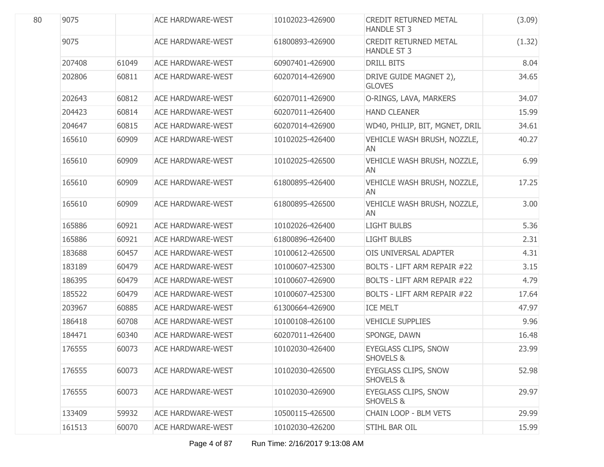| 80 | 9075   |       | <b>ACE HARDWARE-WEST</b> | 10102023-426900 | CREDIT RETURNED METAL<br><b>HANDLE ST 3</b>         | (3.09) |
|----|--------|-------|--------------------------|-----------------|-----------------------------------------------------|--------|
|    | 9075   |       | <b>ACE HARDWARE-WEST</b> | 61800893-426900 | <b>CREDIT RETURNED METAL</b><br><b>HANDLE ST 3</b>  | (1.32) |
|    | 207408 | 61049 | <b>ACE HARDWARE-WEST</b> | 60907401-426900 | <b>DRILL BITS</b>                                   | 8.04   |
|    | 202806 | 60811 | <b>ACE HARDWARE-WEST</b> | 60207014-426900 | DRIVE GUIDE MAGNET 2),<br><b>GLOVES</b>             | 34.65  |
|    | 202643 | 60812 | <b>ACE HARDWARE-WEST</b> | 60207011-426900 | O-RINGS, LAVA, MARKERS                              | 34.07  |
|    | 204423 | 60814 | <b>ACE HARDWARE-WEST</b> | 60207011-426400 | <b>HAND CLEANER</b>                                 | 15.99  |
|    | 204647 | 60815 | <b>ACE HARDWARE-WEST</b> | 60207014-426900 | WD40, PHILIP, BIT, MGNET, DRIL                      | 34.61  |
|    | 165610 | 60909 | <b>ACE HARDWARE-WEST</b> | 10102025-426400 | VEHICLE WASH BRUSH, NOZZLE,<br>AN                   | 40.27  |
|    | 165610 | 60909 | <b>ACE HARDWARE-WEST</b> | 10102025-426500 | VEHICLE WASH BRUSH, NOZZLE,<br>AN                   | 6.99   |
|    | 165610 | 60909 | <b>ACE HARDWARE-WEST</b> | 61800895-426400 | VEHICLE WASH BRUSH, NOZZLE,<br>AN                   | 17.25  |
|    | 165610 | 60909 | <b>ACE HARDWARE-WEST</b> | 61800895-426500 | VEHICLE WASH BRUSH, NOZZLE,<br>AN                   | 3.00   |
|    | 165886 | 60921 | <b>ACE HARDWARE-WEST</b> | 10102026-426400 | <b>LIGHT BULBS</b>                                  | 5.36   |
|    | 165886 | 60921 | <b>ACE HARDWARE-WEST</b> | 61800896-426400 | <b>LIGHT BULBS</b>                                  | 2.31   |
|    | 183688 | 60457 | <b>ACE HARDWARE-WEST</b> | 10100612-426500 | OIS UNIVERSAL ADAPTER                               | 4.31   |
|    | 183189 | 60479 | <b>ACE HARDWARE-WEST</b> | 10100607-425300 | <b>BOLTS - LIFT ARM REPAIR #22</b>                  | 3.15   |
|    | 186395 | 60479 | <b>ACE HARDWARE-WEST</b> | 10100607-426900 | <b>BOLTS - LIFT ARM REPAIR #22</b>                  | 4.79   |
|    | 185522 | 60479 | <b>ACE HARDWARE-WEST</b> | 10100607-425300 | <b>BOLTS - LIFT ARM REPAIR #22</b>                  | 17.64  |
|    | 203967 | 60885 | <b>ACE HARDWARE-WEST</b> | 61300664-426900 | <b>ICE MELT</b>                                     | 47.97  |
|    | 186418 | 60708 | <b>ACE HARDWARE-WEST</b> | 10100108-426100 | <b>VEHICLE SUPPLIES</b>                             | 9.96   |
|    | 184471 | 60340 | <b>ACE HARDWARE-WEST</b> | 60207011-426400 | SPONGE, DAWN                                        | 16.48  |
|    | 176555 | 60073 | <b>ACE HARDWARE-WEST</b> | 10102030-426400 | <b>EYEGLASS CLIPS, SNOW</b><br><b>SHOVELS &amp;</b> | 23.99  |
|    | 176555 | 60073 | <b>ACE HARDWARE-WEST</b> | 10102030-426500 | <b>EYEGLASS CLIPS, SNOW</b><br><b>SHOVELS &amp;</b> | 52.98  |
|    | 176555 | 60073 | <b>ACE HARDWARE-WEST</b> | 10102030-426900 | <b>EYEGLASS CLIPS, SNOW</b><br><b>SHOVELS &amp;</b> | 29.97  |
|    | 133409 | 59932 | <b>ACE HARDWARE-WEST</b> | 10500115-426500 | <b>CHAIN LOOP - BLM VETS</b>                        | 29.99  |
|    | 161513 | 60070 | <b>ACE HARDWARE-WEST</b> | 10102030-426200 | STIHL BAR OIL                                       | 15.99  |
|    |        |       |                          |                 |                                                     |        |

Page 4 of 87 Run Time: 2/16/2017 9:13:08 AM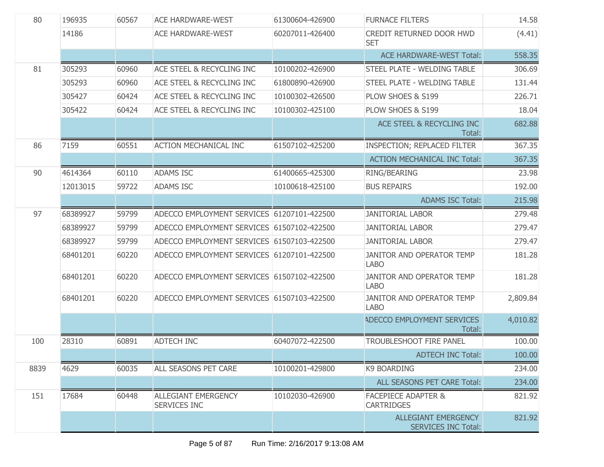| 80   | 196935   | 60567 | <b>ACE HARDWARE-WEST</b>                          | 61300604-426900 | <b>FURNACE FILTERS</b>                                   | 14.58    |
|------|----------|-------|---------------------------------------------------|-----------------|----------------------------------------------------------|----------|
|      | 14186    |       | <b>ACE HARDWARE-WEST</b>                          | 60207011-426400 | CREDIT RETURNED DOOR HWD<br><b>SET</b>                   | (4.41)   |
|      |          |       |                                                   |                 | <b>ACE HARDWARE-WEST Total:</b>                          | 558.35   |
| 81   | 305293   | 60960 | ACE STEEL & RECYCLING INC                         | 10100202-426900 | STEEL PLATE - WELDING TABLE                              | 306.69   |
|      | 305293   | 60960 | ACE STEEL & RECYCLING INC                         | 61800890-426900 | STEEL PLATE - WELDING TABLE                              | 131.44   |
|      | 305427   | 60424 | ACE STEEL & RECYCLING INC                         | 10100302-426500 | PLOW SHOES & S199                                        | 226.71   |
|      | 305422   | 60424 | ACE STEEL & RECYCLING INC                         | 10100302-425100 | PLOW SHOES & S199                                        | 18.04    |
|      |          |       |                                                   |                 | ACE STEEL & RECYCLING INC<br>Total:                      | 682.88   |
| 86   | 7159     | 60551 | <b>ACTION MECHANICAL INC</b>                      | 61507102-425200 | INSPECTION; REPLACED FILTER                              | 367.35   |
|      |          |       |                                                   |                 | <b>ACTION MECHANICAL INC Total:</b>                      | 367.35   |
| 90   | 4614364  | 60110 | <b>ADAMS ISC</b>                                  | 61400665-425300 | RING/BEARING                                             | 23.98    |
|      | 12013015 | 59722 | <b>ADAMS ISC</b>                                  | 10100618-425100 | <b>BUS REPAIRS</b>                                       | 192.00   |
|      |          |       |                                                   |                 | <b>ADAMS ISC Total:</b>                                  | 215.98   |
| 97   | 68389927 | 59799 | ADECCO EMPLOYMENT SERVICES 61207101-422500        |                 | <b>JANITORIAL LABOR</b>                                  | 279.48   |
|      | 68389927 | 59799 | ADECCO EMPLOYMENT SERVICES 61507102-422500        |                 | <b>JANITORIAL LABOR</b>                                  | 279.47   |
|      | 68389927 | 59799 | ADECCO EMPLOYMENT SERVICES 61507103-422500        |                 | <b>JANITORIAL LABOR</b>                                  | 279.47   |
|      | 68401201 | 60220 | ADECCO EMPLOYMENT SERVICES 61207101-422500        |                 | JANITOR AND OPERATOR TEMP<br><b>LABO</b>                 | 181.28   |
|      | 68401201 | 60220 | ADECCO EMPLOYMENT SERVICES 61507102-422500        |                 | <b>JANITOR AND OPERATOR TEMP</b><br><b>LABO</b>          | 181.28   |
|      | 68401201 | 60220 | ADECCO EMPLOYMENT SERVICES 61507103-422500        |                 | JANITOR AND OPERATOR TEMP<br><b>LABO</b>                 | 2,809.84 |
|      |          |       |                                                   |                 | ADECCO EMPLOYMENT SERVICES<br>Total:                     | 4,010.82 |
| 100  | 28310    | 60891 | <b>ADTECH INC</b>                                 | 60407072-422500 | TROUBLESHOOT FIRE PANEL                                  | 100.00   |
|      |          |       |                                                   |                 | <b>ADTECH INC Total:</b>                                 | 100.00   |
| 8839 | 4629     | 60035 | ALL SEASONS PET CARE                              | 10100201-429800 | <b>K9 BOARDING</b>                                       | 234.00   |
|      |          |       |                                                   |                 | ALL SEASONS PET CARE Total:                              | 234.00   |
| 151  | 17684    | 60448 | <b>ALLEGIANT EMERGENCY</b><br><b>SERVICES INC</b> | 10102030-426900 | <b>FACEPIECE ADAPTER &amp;</b><br><b>CARTRIDGES</b>      | 821.92   |
|      |          |       |                                                   |                 | <b>ALLEGIANT EMERGENCY</b><br><b>SERVICES INC Total:</b> | 821.92   |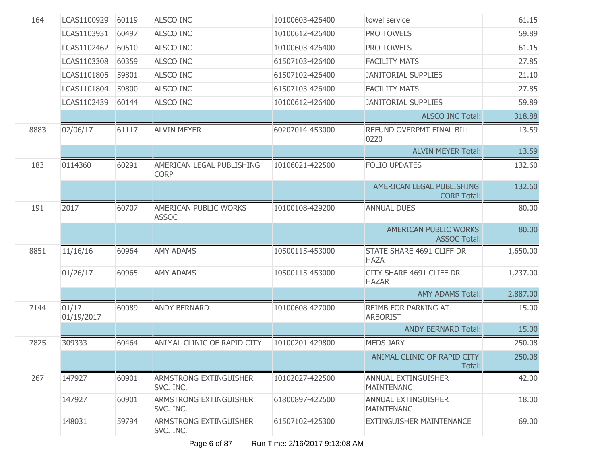| 164         | LCAS1100929             | 60119 | <b>ALSCO INC</b>                         | 10100603-426400 | towel service                                   | 61.15    |
|-------------|-------------------------|-------|------------------------------------------|-----------------|-------------------------------------------------|----------|
| LCAS1103931 |                         | 60497 | <b>ALSCO INC</b>                         | 10100612-426400 | PRO TOWELS                                      | 59.89    |
|             | LCAS1102462             | 60510 | <b>ALSCO INC</b>                         | 10100603-426400 | PRO TOWELS                                      | 61.15    |
|             | LCAS1103308             | 60359 | <b>ALSCO INC</b>                         | 61507103-426400 | <b>FACILITY MATS</b>                            | 27.85    |
|             | LCAS1101805             | 59801 | <b>ALSCO INC</b>                         | 61507102-426400 | <b>JANITORIAL SUPPLIES</b>                      | 21.10    |
|             | LCAS1101804             | 59800 | <b>ALSCO INC</b>                         | 61507103-426400 | <b>FACILITY MATS</b>                            | 27.85    |
|             | LCAS1102439             | 60144 | <b>ALSCO INC</b>                         | 10100612-426400 | <b>JANITORIAL SUPPLIES</b>                      | 59.89    |
|             |                         |       |                                          |                 | <b>ALSCO INC Total:</b>                         | 318.88   |
| 8883        | 02/06/17                | 61117 | <b>ALVIN MEYER</b>                       | 60207014-453000 | REFUND OVERPMT FINAL BILL<br>0220               | 13.59    |
|             |                         |       |                                          |                 | <b>ALVIN MEYER Total:</b>                       | 13.59    |
| 183         | 0114360                 | 60291 | AMERICAN LEGAL PUBLISHING<br><b>CORP</b> | 10106021-422500 | <b>FOLIO UPDATES</b>                            | 132.60   |
|             |                         |       |                                          |                 | AMERICAN LEGAL PUBLISHING<br><b>CORP Total:</b> | 132.60   |
| 191         | 2017                    | 60707 | AMERICAN PUBLIC WORKS<br><b>ASSOC</b>    | 10100108-429200 | <b>ANNUAL DUES</b>                              | 80.00    |
|             |                         |       |                                          |                 | AMERICAN PUBLIC WORKS<br><b>ASSOC Total:</b>    | 80.00    |
| 8851        | 11/16/16                | 60964 | <b>AMY ADAMS</b>                         | 10500115-453000 | STATE SHARE 4691 CLIFF DR<br><b>HAZA</b>        | 1,650.00 |
|             | 01/26/17                | 60965 | <b>AMY ADAMS</b>                         | 10500115-453000 | CITY SHARE 4691 CLIFF DR<br><b>HAZAR</b>        | 1,237.00 |
|             |                         |       |                                          |                 | <b>AMY ADAMS Total:</b>                         | 2,887.00 |
| 7144        | $01/17 -$<br>01/19/2017 | 60089 | <b>ANDY BERNARD</b>                      | 10100608-427000 | REIMB FOR PARKING AT<br><b>ARBORIST</b>         | 15.00    |
|             |                         |       |                                          |                 | <b>ANDY BERNARD Total:</b>                      | 15.00    |
| 7825        | 309333                  | 60464 | ANIMAL CLINIC OF RAPID CITY              | 10100201-429800 | <b>MEDS JARY</b>                                | 250.08   |
|             |                         |       |                                          |                 | ANIMAL CLINIC OF RAPID CITY<br>Total:           | 250.08   |
| 267         | 147927                  | 60901 | ARMSTRONG EXTINGUISHER<br>SVC. INC.      | 10102027-422500 | ANNUAL EXTINGUISHER<br><b>MAINTENANC</b>        | 42.00    |
|             | 147927                  | 60901 | ARMSTRONG EXTINGUISHER<br>SVC. INC.      | 61800897-422500 | ANNUAL EXTINGUISHER<br><b>MAINTENANC</b>        | 18.00    |
|             | 148031                  | 59794 | ARMSTRONG EXTINGUISHER<br>SVC. INC.      | 61507102-425300 | EXTINGUISHER MAINTENANCE                        | 69.00    |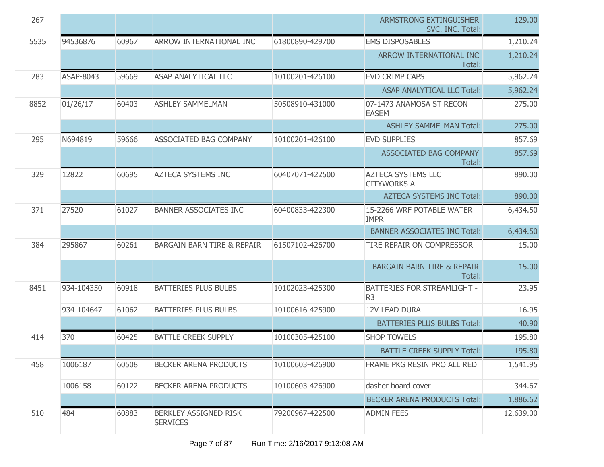| 267  |            |       |                                          |                 | <b>ARMSTRONG EXTINGUISHER</b><br>SVC. INC. Total: | 129.00    |
|------|------------|-------|------------------------------------------|-----------------|---------------------------------------------------|-----------|
| 5535 | 94536876   | 60967 | ARROW INTERNATIONAL INC                  | 61800890-429700 | <b>EMS DISPOSABLES</b>                            | 1,210.24  |
|      |            |       |                                          |                 | ARROW INTERNATIONAL INC<br>Total:                 | 1,210.24  |
| 283  | ASAP-8043  | 59669 | <b>ASAP ANALYTICAL LLC</b>               | 10100201-426100 | <b>EVD CRIMP CAPS</b>                             | 5,962.24  |
|      |            |       |                                          |                 | ASAP ANALYTICAL LLC Total:                        | 5,962.24  |
| 8852 | 01/26/17   | 60403 | <b>ASHLEY SAMMELMAN</b>                  | 50508910-431000 | 07-1473 ANAMOSA ST RECON<br><b>EASEM</b>          | 275.00    |
|      |            |       |                                          |                 | <b>ASHLEY SAMMELMAN Total:</b>                    | 275.00    |
| 295  | N694819    | 59666 | ASSOCIATED BAG COMPANY                   | 10100201-426100 | <b>EVD SUPPLIES</b>                               | 857.69    |
|      |            |       |                                          |                 | <b>ASSOCIATED BAG COMPANY</b><br>Total:           | 857.69    |
| 329  | 12822      | 60695 | <b>AZTECA SYSTEMS INC</b>                | 60407071-422500 | <b>AZTECA SYSTEMS LLC</b><br><b>CITYWORKS A</b>   | 890.00    |
|      |            |       |                                          |                 | <b>AZTECA SYSTEMS INC Total:</b>                  | 890.00    |
| 371  | 27520      | 61027 | <b>BANNER ASSOCIATES INC</b>             | 60400833-422300 | 15-2266 WRF POTABLE WATER<br><b>IMPR</b>          | 6,434.50  |
|      |            |       |                                          |                 | <b>BANNER ASSOCIATES INC Total:</b>               | 6,434.50  |
| 384  | 295867     | 60261 | <b>BARGAIN BARN TIRE &amp; REPAIR</b>    | 61507102-426700 | TIRE REPAIR ON COMPRESSOR                         | 15.00     |
|      |            |       |                                          |                 | <b>BARGAIN BARN TIRE &amp; REPAIR</b><br>Total:   | 15.00     |
| 8451 | 934-104350 | 60918 | <b>BATTERIES PLUS BULBS</b>              | 10102023-425300 | BATTERIES FOR STREAMLIGHT -<br>R <sub>3</sub>     | 23.95     |
|      | 934-104647 | 61062 | <b>BATTERIES PLUS BULBS</b>              | 10100616-425900 | <b>12V LEAD DURA</b>                              | 16.95     |
|      |            |       |                                          |                 | <b>BATTERIES PLUS BULBS Total:</b>                | 40.90     |
| 414  | 370        | 60425 | <b>BATTLE CREEK SUPPLY</b>               | 10100305-425100 | <b>SHOP TOWELS</b>                                | 195.80    |
|      |            |       |                                          |                 | <b>BATTLE CREEK SUPPLY Total:</b>                 | 195.80    |
| 458  | 1006187    | 60508 | BECKER ARENA PRODUCTS                    | 10100603-426900 | FRAME PKG RESIN PRO ALL RED                       | 1,541.95  |
|      | 1006158    | 60122 | <b>BECKER ARENA PRODUCTS</b>             | 10100603-426900 | dasher board cover                                | 344.67    |
|      |            |       |                                          |                 | <b>BECKER ARENA PRODUCTS Total:</b>               | 1,886.62  |
| 510  | 484        | 60883 | BERKLEY ASSIGNED RISK<br><b>SERVICES</b> | 79200967-422500 | <b>ADMIN FEES</b>                                 | 12,639.00 |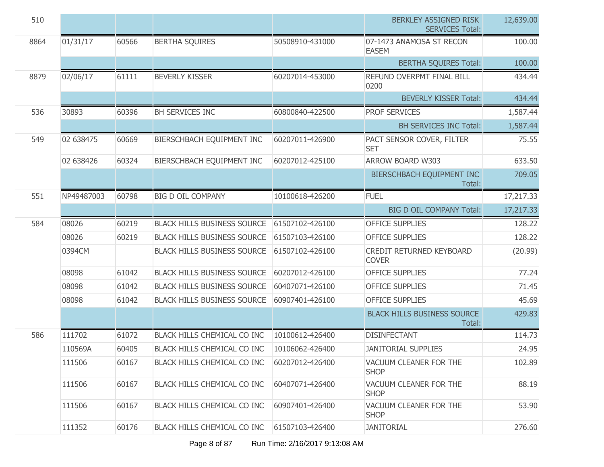| 510  |            |       |                                    |                 | BERKLEY ASSIGNED RISK<br><b>SERVICES Total:</b> | 12,639.00 |
|------|------------|-------|------------------------------------|-----------------|-------------------------------------------------|-----------|
| 8864 | 01/31/17   | 60566 | <b>BERTHA SQUIRES</b>              | 50508910-431000 | 07-1473 ANAMOSA ST RECON<br><b>EASEM</b>        | 100.00    |
|      |            |       |                                    |                 | <b>BERTHA SQUIRES Total:</b>                    | 100.00    |
| 8879 | 02/06/17   | 61111 | <b>BEVERLY KISSER</b>              | 60207014-453000 | REFUND OVERPMT FINAL BILL<br>0200               | 434.44    |
|      |            |       |                                    |                 | <b>BEVERLY KISSER Total:</b>                    | 434.44    |
| 536  | 30893      | 60396 | <b>BH SERVICES INC</b>             | 60800840-422500 | PROF SERVICES                                   | 1,587.44  |
|      |            |       |                                    |                 | <b>BH SERVICES INC Total:</b>                   | 1,587.44  |
| 549  | 02 638475  | 60669 | BIERSCHBACH EQUIPMENT INC          | 60207011-426900 | PACT SENSOR COVER, FILTER<br><b>SET</b>         | 75.55     |
|      | 02 638426  | 60324 | BIERSCHBACH EQUIPMENT INC          | 60207012-425100 | ARROW BOARD W303                                | 633.50    |
|      |            |       |                                    |                 | BIERSCHBACH EQUIPMENT INC<br>Total:             | 709.05    |
| 551  | NP49487003 | 60798 | <b>BIG D OIL COMPANY</b>           | 10100618-426200 | <b>FUEL</b>                                     | 17,217.33 |
|      |            |       |                                    |                 | <b>BIG D OIL COMPANY Total:</b>                 | 17,217.33 |
| 584  | 08026      | 60219 | <b>BLACK HILLS BUSINESS SOURCE</b> | 61507102-426100 | <b>OFFICE SUPPLIES</b>                          | 128.22    |
|      | 08026      | 60219 | <b>BLACK HILLS BUSINESS SOURCE</b> | 61507103-426100 | <b>OFFICE SUPPLIES</b>                          | 128.22    |
|      | 0394CM     |       | <b>BLACK HILLS BUSINESS SOURCE</b> | 61507102-426100 | CREDIT RETURNED KEYBOARD<br><b>COVER</b>        | (20.99)   |
|      | 08098      | 61042 | <b>BLACK HILLS BUSINESS SOURCE</b> | 60207012-426100 | <b>OFFICE SUPPLIES</b>                          | 77.24     |
|      | 08098      | 61042 | <b>BLACK HILLS BUSINESS SOURCE</b> | 60407071-426100 | <b>OFFICE SUPPLIES</b>                          | 71.45     |
|      | 08098      | 61042 | <b>BLACK HILLS BUSINESS SOURCE</b> | 60907401-426100 | <b>OFFICE SUPPLIES</b>                          | 45.69     |
|      |            |       |                                    |                 | <b>BLACK HILLS BUSINESS SOURCE</b><br>Total:    | 429.83    |
| 586  | 111702     | 61072 | <b>BLACK HILLS CHEMICAL CO INC</b> | 10100612-426400 | <b>DISINFECTANT</b>                             | 114.73    |
|      | 110569A    | 60405 | BLACK HILLS CHEMICAL CO INC        | 10106062-426400 | <b>JANITORIAL SUPPLIES</b>                      | 24.95     |
|      | 111506     | 60167 | BLACK HILLS CHEMICAL CO INC        | 60207012-426400 | VACUUM CLEANER FOR THE<br><b>SHOP</b>           | 102.89    |
|      | 111506     | 60167 | BLACK HILLS CHEMICAL CO INC        | 60407071-426400 | VACUUM CLEANER FOR THE<br><b>SHOP</b>           | 88.19     |
|      | 111506     | 60167 | <b>BLACK HILLS CHEMICAL CO INC</b> | 60907401-426400 | VACUUM CLEANER FOR THE<br><b>SHOP</b>           | 53.90     |
|      | 111352     | 60176 | BLACK HILLS CHEMICAL CO INC        | 61507103-426400 | <b>JANITORIAL</b>                               | 276.60    |

Page 8 of 87 Run Time: 2/16/2017 9:13:08 AM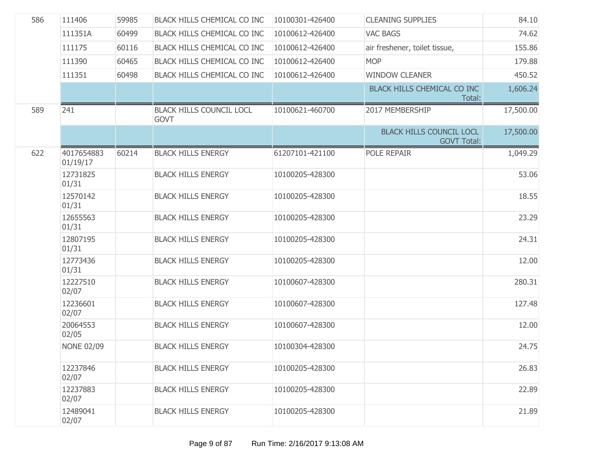| 586 | 111406                 | 59985 | BLACK HILLS CHEMICAL CO INC                    | 10100301-426400 | <b>CLEANING SUPPLIES</b>                              | 84.10     |
|-----|------------------------|-------|------------------------------------------------|-----------------|-------------------------------------------------------|-----------|
|     | 111351A                | 60499 | BLACK HILLS CHEMICAL CO INC                    | 10100612-426400 | <b>VAC BAGS</b>                                       | 74.62     |
|     | 111175                 | 60116 | BLACK HILLS CHEMICAL CO INC                    | 10100612-426400 | air freshener, toilet tissue,                         | 155.86    |
|     | 111390                 | 60465 | BLACK HILLS CHEMICAL CO INC                    | 10100612-426400 | <b>MOP</b>                                            | 179.88    |
|     | 111351                 | 60498 | BLACK HILLS CHEMICAL CO INC                    | 10100612-426400 | <b>WINDOW CLEANER</b>                                 | 450.52    |
|     |                        |       |                                                |                 | BLACK HILLS CHEMICAL CO INC<br>Total:                 | 1,606.24  |
| 589 | 241                    |       | <b>BLACK HILLS COUNCIL LOCL</b><br><b>GOVT</b> | 10100621-460700 | 2017 MEMBERSHIP                                       | 17,500.00 |
|     |                        |       |                                                |                 | <b>BLACK HILLS COUNCIL LOCL</b><br><b>GOVT Total:</b> | 17,500.00 |
| 622 | 4017654883<br>01/19/17 | 60214 | <b>BLACK HILLS ENERGY</b>                      | 61207101-421100 | POLE REPAIR                                           | 1,049.29  |
|     | 12731825<br>01/31      |       | <b>BLACK HILLS ENERGY</b>                      | 10100205-428300 |                                                       | 53.06     |
|     | 12570142<br>01/31      |       | <b>BLACK HILLS ENERGY</b>                      | 10100205-428300 |                                                       | 18.55     |
|     | 12655563<br>01/31      |       | <b>BLACK HILLS ENERGY</b>                      | 10100205-428300 |                                                       | 23.29     |
|     | 12807195<br>01/31      |       | <b>BLACK HILLS ENERGY</b>                      | 10100205-428300 |                                                       | 24.31     |
|     | 12773436<br>01/31      |       | <b>BLACK HILLS ENERGY</b>                      | 10100205-428300 |                                                       | 12.00     |
|     | 12227510<br>02/07      |       | <b>BLACK HILLS ENERGY</b>                      | 10100607-428300 |                                                       | 280.31    |
|     | 12236601<br>02/07      |       | <b>BLACK HILLS ENERGY</b>                      | 10100607-428300 |                                                       | 127.48    |
|     | 20064553<br>02/05      |       | <b>BLACK HILLS ENERGY</b>                      | 10100607-428300 |                                                       | 12.00     |
|     | <b>NONE 02/09</b>      |       | <b>BLACK HILLS ENERGY</b>                      | 10100304-428300 |                                                       | 24.75     |
|     | 12237846<br>02/07      |       | <b>BLACK HILLS ENERGY</b>                      | 10100205-428300 |                                                       | 26.83     |
|     | 12237883<br>02/07      |       | <b>BLACK HILLS ENERGY</b>                      | 10100205-428300 |                                                       | 22.89     |
|     | 12489041<br>02/07      |       | <b>BLACK HILLS ENERGY</b>                      | 10100205-428300 |                                                       | 21.89     |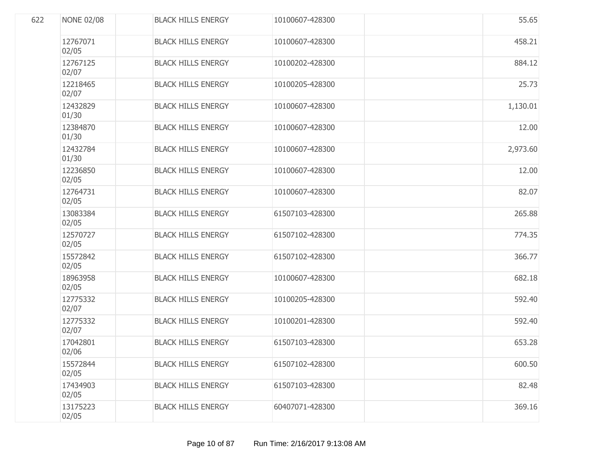| 622 | <b>NONE 02/08</b> | <b>BLACK HILLS ENERGY</b> | 10100607-428300 | 55.65    |
|-----|-------------------|---------------------------|-----------------|----------|
|     | 12767071<br>02/05 | <b>BLACK HILLS ENERGY</b> | 10100607-428300 | 458.21   |
|     | 12767125<br>02/07 | <b>BLACK HILLS ENERGY</b> | 10100202-428300 | 884.12   |
|     | 12218465<br>02/07 | <b>BLACK HILLS ENERGY</b> | 10100205-428300 | 25.73    |
|     | 12432829<br>01/30 | <b>BLACK HILLS ENERGY</b> | 10100607-428300 | 1,130.01 |
|     | 12384870<br>01/30 | <b>BLACK HILLS ENERGY</b> | 10100607-428300 | 12.00    |
|     | 12432784<br>01/30 | <b>BLACK HILLS ENERGY</b> | 10100607-428300 | 2,973.60 |
|     | 12236850<br>02/05 | <b>BLACK HILLS ENERGY</b> | 10100607-428300 | 12.00    |
|     | 12764731<br>02/05 | <b>BLACK HILLS ENERGY</b> | 10100607-428300 | 82.07    |
|     | 13083384<br>02/05 | <b>BLACK HILLS ENERGY</b> | 61507103-428300 | 265,88   |
|     | 12570727<br>02/05 | <b>BLACK HILLS ENERGY</b> | 61507102-428300 | 774.35   |
|     | 15572842<br>02/05 | <b>BLACK HILLS ENERGY</b> | 61507102-428300 | 366.77   |
|     | 18963958<br>02/05 | <b>BLACK HILLS ENERGY</b> | 10100607-428300 | 682.18   |
|     | 12775332<br>02/07 | <b>BLACK HILLS ENERGY</b> | 10100205-428300 | 592.40   |
|     | 12775332<br>02/07 | <b>BLACK HILLS ENERGY</b> | 10100201-428300 | 592.40   |
|     | 17042801<br>02/06 | <b>BLACK HILLS ENERGY</b> | 61507103-428300 | 653.28   |
|     | 15572844<br>02/05 | <b>BLACK HILLS ENERGY</b> | 61507102-428300 | 600.50   |
|     | 17434903<br>02/05 | <b>BLACK HILLS ENERGY</b> | 61507103-428300 | 82.48    |
|     | 13175223<br>02/05 | <b>BLACK HILLS ENERGY</b> | 60407071-428300 | 369.16   |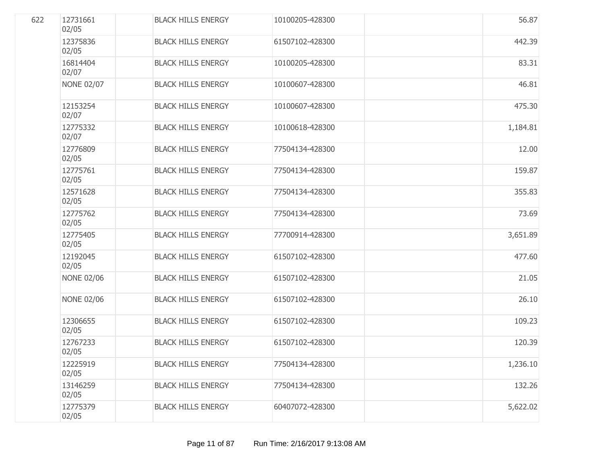| 622 | 12731661<br>02/05 | <b>BLACK HILLS ENERGY</b> | 10100205-428300 | 56.87    |
|-----|-------------------|---------------------------|-----------------|----------|
|     | 12375836<br>02/05 | <b>BLACK HILLS ENERGY</b> | 61507102-428300 | 442.39   |
|     | 16814404<br>02/07 | <b>BLACK HILLS ENERGY</b> | 10100205-428300 | 83.31    |
|     | <b>NONE 02/07</b> | <b>BLACK HILLS ENERGY</b> | 10100607-428300 | 46.81    |
|     | 12153254<br>02/07 | <b>BLACK HILLS ENERGY</b> | 10100607-428300 | 475.30   |
|     | 12775332<br>02/07 | <b>BLACK HILLS ENERGY</b> | 10100618-428300 | 1,184.81 |
|     | 12776809<br>02/05 | <b>BLACK HILLS ENERGY</b> | 77504134-428300 | 12.00    |
|     | 12775761<br>02/05 | <b>BLACK HILLS ENERGY</b> | 77504134-428300 | 159.87   |
|     | 12571628<br>02/05 | <b>BLACK HILLS ENERGY</b> | 77504134-428300 | 355.83   |
|     | 12775762<br>02/05 | <b>BLACK HILLS ENERGY</b> | 77504134-428300 | 73.69    |
|     | 12775405<br>02/05 | <b>BLACK HILLS ENERGY</b> | 77700914-428300 | 3,651.89 |
|     | 12192045<br>02/05 | <b>BLACK HILLS ENERGY</b> | 61507102-428300 | 477.60   |
|     | <b>NONE 02/06</b> | <b>BLACK HILLS ENERGY</b> | 61507102-428300 | 21.05    |
|     | <b>NONE 02/06</b> | <b>BLACK HILLS ENERGY</b> | 61507102-428300 | 26.10    |
|     | 12306655<br>02/05 | <b>BLACK HILLS ENERGY</b> | 61507102-428300 | 109.23   |
|     | 12767233<br>02/05 | <b>BLACK HILLS ENERGY</b> | 61507102-428300 | 120.39   |
|     | 12225919<br>02/05 | <b>BLACK HILLS ENERGY</b> | 77504134-428300 | 1,236.10 |
|     | 13146259<br>02/05 | <b>BLACK HILLS ENERGY</b> | 77504134-428300 | 132.26   |
|     | 12775379<br>02/05 | <b>BLACK HILLS ENERGY</b> | 60407072-428300 | 5,622.02 |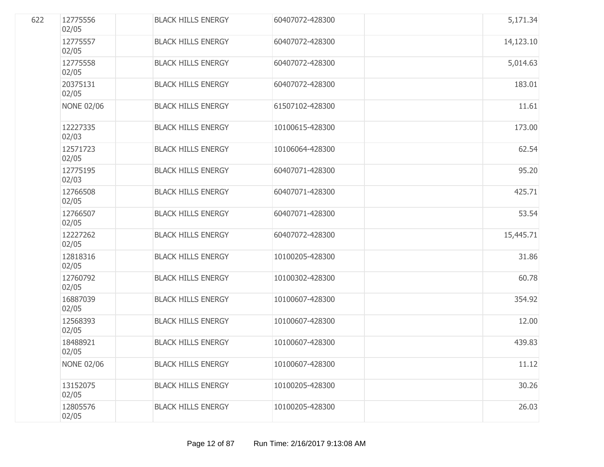| 622 | 12775556<br>02/05 | <b>BLACK HILLS ENERGY</b> | 60407072-428300 | 5,171.34  |
|-----|-------------------|---------------------------|-----------------|-----------|
|     | 12775557<br>02/05 | <b>BLACK HILLS ENERGY</b> | 60407072-428300 | 14,123.10 |
|     | 12775558<br>02/05 | <b>BLACK HILLS ENERGY</b> | 60407072-428300 | 5,014.63  |
|     | 20375131<br>02/05 | <b>BLACK HILLS ENERGY</b> | 60407072-428300 | 183.01    |
|     | <b>NONE 02/06</b> | <b>BLACK HILLS ENERGY</b> | 61507102-428300 | 11.61     |
|     | 12227335<br>02/03 | <b>BLACK HILLS ENERGY</b> | 10100615-428300 | 173.00    |
|     | 12571723<br>02/05 | <b>BLACK HILLS ENERGY</b> | 10106064-428300 | 62.54     |
|     | 12775195<br>02/03 | <b>BLACK HILLS ENERGY</b> | 60407071-428300 | 95.20     |
|     | 12766508<br>02/05 | <b>BLACK HILLS ENERGY</b> | 60407071-428300 | 425.71    |
|     | 12766507<br>02/05 | <b>BLACK HILLS ENERGY</b> | 60407071-428300 | 53.54     |
|     | 12227262<br>02/05 | <b>BLACK HILLS ENERGY</b> | 60407072-428300 | 15,445.71 |
|     | 12818316<br>02/05 | <b>BLACK HILLS ENERGY</b> | 10100205-428300 | 31.86     |
|     | 12760792<br>02/05 | <b>BLACK HILLS ENERGY</b> | 10100302-428300 | 60.78     |
|     | 16887039<br>02/05 | <b>BLACK HILLS ENERGY</b> | 10100607-428300 | 354.92    |
|     | 12568393<br>02/05 | <b>BLACK HILLS ENERGY</b> | 10100607-428300 | 12.00     |
|     | 18488921<br>02/05 | <b>BLACK HILLS ENERGY</b> | 10100607-428300 | 439.83    |
|     | <b>NONE 02/06</b> | <b>BLACK HILLS ENERGY</b> | 10100607-428300 | 11.12     |
|     | 13152075<br>02/05 | <b>BLACK HILLS ENERGY</b> | 10100205-428300 | 30.26     |
|     | 12805576<br>02/05 | <b>BLACK HILLS ENERGY</b> | 10100205-428300 | 26.03     |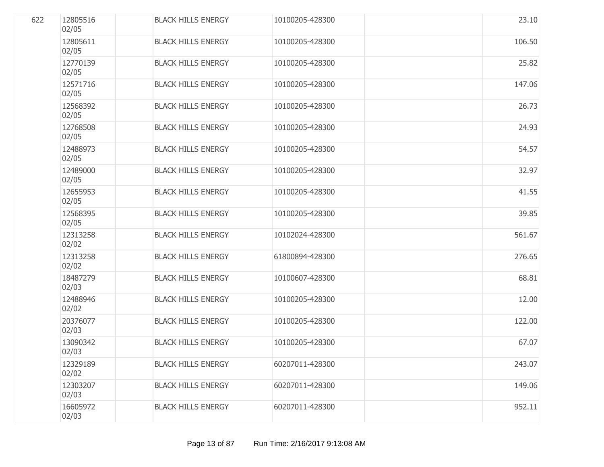| 622 | 12805516<br>02/05 | <b>BLACK HILLS ENERGY</b> | 10100205-428300 | 23.10  |
|-----|-------------------|---------------------------|-----------------|--------|
|     | 12805611<br>02/05 | <b>BLACK HILLS ENERGY</b> | 10100205-428300 | 106.50 |
|     | 12770139<br>02/05 | <b>BLACK HILLS ENERGY</b> | 10100205-428300 | 25.82  |
|     | 12571716<br>02/05 | <b>BLACK HILLS ENERGY</b> | 10100205-428300 | 147.06 |
|     | 12568392<br>02/05 | <b>BLACK HILLS ENERGY</b> | 10100205-428300 | 26.73  |
|     | 12768508<br>02/05 | <b>BLACK HILLS ENERGY</b> | 10100205-428300 | 24.93  |
|     | 12488973<br>02/05 | <b>BLACK HILLS ENERGY</b> | 10100205-428300 | 54.57  |
|     | 12489000<br>02/05 | <b>BLACK HILLS ENERGY</b> | 10100205-428300 | 32.97  |
|     | 12655953<br>02/05 | <b>BLACK HILLS ENERGY</b> | 10100205-428300 | 41.55  |
|     | 12568395<br>02/05 | <b>BLACK HILLS ENERGY</b> | 10100205-428300 | 39.85  |
|     | 12313258<br>02/02 | <b>BLACK HILLS ENERGY</b> | 10102024-428300 | 561.67 |
|     | 12313258<br>02/02 | <b>BLACK HILLS ENERGY</b> | 61800894-428300 | 276.65 |
|     | 18487279<br>02/03 | <b>BLACK HILLS ENERGY</b> | 10100607-428300 | 68.81  |
|     | 12488946<br>02/02 | <b>BLACK HILLS ENERGY</b> | 10100205-428300 | 12.00  |
|     | 20376077<br>02/03 | <b>BLACK HILLS ENERGY</b> | 10100205-428300 | 122.00 |
|     | 13090342<br>02/03 | <b>BLACK HILLS ENERGY</b> | 10100205-428300 | 67.07  |
|     | 12329189<br>02/02 | <b>BLACK HILLS ENERGY</b> | 60207011-428300 | 243.07 |
|     | 12303207<br>02/03 | <b>BLACK HILLS ENERGY</b> | 60207011-428300 | 149.06 |
|     | 16605972<br>02/03 | <b>BLACK HILLS ENERGY</b> | 60207011-428300 | 952.11 |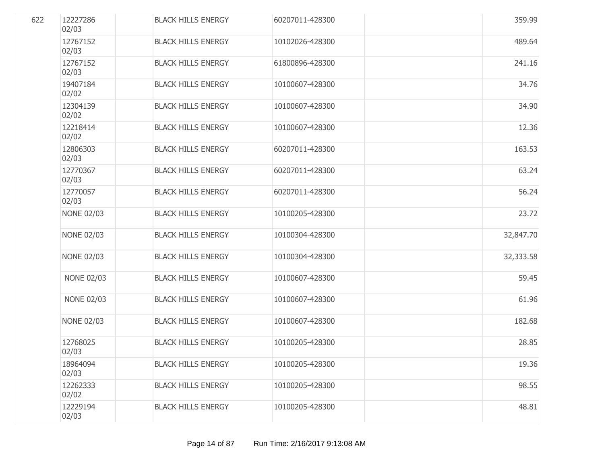| 622 | 12227286<br>02/03 | <b>BLACK HILLS ENERGY</b> | 60207011-428300 | 359.99    |
|-----|-------------------|---------------------------|-----------------|-----------|
|     | 12767152<br>02/03 | <b>BLACK HILLS ENERGY</b> | 10102026-428300 | 489.64    |
|     | 12767152<br>02/03 | <b>BLACK HILLS ENERGY</b> | 61800896-428300 | 241.16    |
|     | 19407184<br>02/02 | <b>BLACK HILLS ENERGY</b> | 10100607-428300 | 34.76     |
|     | 12304139<br>02/02 | <b>BLACK HILLS ENERGY</b> | 10100607-428300 | 34.90     |
|     | 12218414<br>02/02 | <b>BLACK HILLS ENERGY</b> | 10100607-428300 | 12.36     |
|     | 12806303<br>02/03 | <b>BLACK HILLS ENERGY</b> | 60207011-428300 | 163.53    |
|     | 12770367<br>02/03 | <b>BLACK HILLS ENERGY</b> | 60207011-428300 | 63.24     |
|     | 12770057<br>02/03 | <b>BLACK HILLS ENERGY</b> | 60207011-428300 | 56.24     |
|     | <b>NONE 02/03</b> | <b>BLACK HILLS ENERGY</b> | 10100205-428300 | 23.72     |
|     | <b>NONE 02/03</b> | <b>BLACK HILLS ENERGY</b> | 10100304-428300 | 32,847.70 |
|     | <b>NONE 02/03</b> | <b>BLACK HILLS ENERGY</b> | 10100304-428300 | 32,333.58 |
|     | <b>NONE 02/03</b> | <b>BLACK HILLS ENERGY</b> | 10100607-428300 | 59.45     |
|     | <b>NONE 02/03</b> | <b>BLACK HILLS ENERGY</b> | 10100607-428300 | 61.96     |
|     | <b>NONE 02/03</b> | <b>BLACK HILLS ENERGY</b> | 10100607-428300 | 182.68    |
|     | 12768025<br>02/03 | <b>BLACK HILLS ENERGY</b> | 10100205-428300 | 28.85     |
|     | 18964094<br>02/03 | <b>BLACK HILLS ENERGY</b> | 10100205-428300 | 19.36     |
|     | 12262333<br>02/02 | <b>BLACK HILLS ENERGY</b> | 10100205-428300 | 98.55     |
|     | 12229194<br>02/03 | <b>BLACK HILLS ENERGY</b> | 10100205-428300 | 48.81     |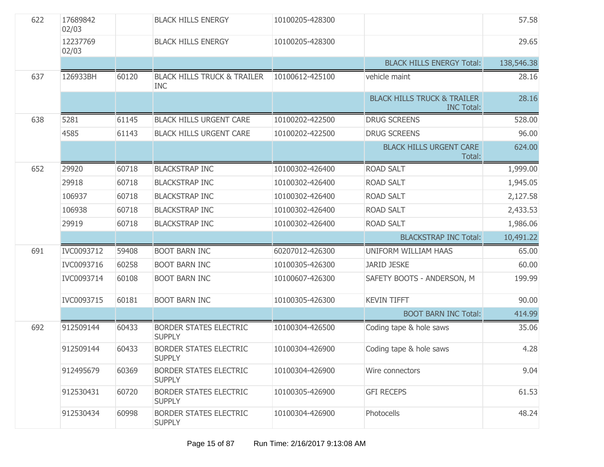| 622 | 17689842<br>02/03 |       | <b>BLACK HILLS ENERGY</b>                            | 10100205-428300 |                                                             | 57.58      |
|-----|-------------------|-------|------------------------------------------------------|-----------------|-------------------------------------------------------------|------------|
|     | 12237769<br>02/03 |       | <b>BLACK HILLS ENERGY</b>                            | 10100205-428300 |                                                             | 29.65      |
|     |                   |       |                                                      |                 | <b>BLACK HILLS ENERGY Total:</b>                            | 138,546.38 |
| 637 | 126933BH          | 60120 | <b>BLACK HILLS TRUCK &amp; TRAILER</b><br><b>INC</b> | 10100612-425100 | vehicle maint                                               | 28.16      |
|     |                   |       |                                                      |                 | <b>BLACK HILLS TRUCK &amp; TRAILER</b><br><b>INC Total:</b> | 28.16      |
| 638 | 5281              | 61145 | <b>BLACK HILLS URGENT CARE</b>                       | 10100202-422500 | <b>DRUG SCREENS</b>                                         | 528.00     |
|     | 4585              | 61143 | <b>BLACK HILLS URGENT CARE</b>                       | 10100202-422500 | <b>DRUG SCREENS</b>                                         | 96.00      |
|     |                   |       |                                                      |                 | <b>BLACK HILLS URGENT CARE</b><br>Total:                    | 624.00     |
| 652 | 29920             | 60718 | <b>BLACKSTRAP INC</b>                                | 10100302-426400 | <b>ROAD SALT</b>                                            | 1,999.00   |
|     | 29918             | 60718 | <b>BLACKSTRAP INC</b>                                | 10100302-426400 | <b>ROAD SALT</b>                                            | 1,945.05   |
|     | 106937            | 60718 | <b>BLACKSTRAP INC</b>                                | 10100302-426400 | <b>ROAD SALT</b>                                            | 2,127.58   |
|     | 106938            | 60718 | <b>BLACKSTRAP INC</b>                                | 10100302-426400 | <b>ROAD SALT</b>                                            | 2,433.53   |
|     | 29919             | 60718 | <b>BLACKSTRAP INC</b>                                | 10100302-426400 | <b>ROAD SALT</b>                                            | 1,986.06   |
|     |                   |       |                                                      |                 | <b>BLACKSTRAP INC Total:</b>                                | 10,491.22  |
| 691 | IVC0093712        | 59408 | <b>BOOT BARN INC</b>                                 | 60207012-426300 | UNIFORM WILLIAM HAAS                                        | 65.00      |
|     | IVC0093716        | 60258 | <b>BOOT BARN INC</b>                                 | 10100305-426300 | <b>JARID JESKE</b>                                          | 60.00      |
|     | IVC0093714        | 60108 | <b>BOOT BARN INC</b>                                 | 10100607-426300 | SAFETY BOOTS - ANDERSON, M                                  | 199.99     |
|     | IVC0093715        | 60181 | <b>BOOT BARN INC</b>                                 | 10100305-426300 | <b>KEVIN TIFFT</b>                                          | 90.00      |
|     |                   |       |                                                      |                 | <b>BOOT BARN INC Total:</b>                                 | 414.99     |
| 692 | 912509144         | 60433 | <b>BORDER STATES ELECTRIC</b><br><b>SUPPLY</b>       | 10100304-426500 | Coding tape & hole saws                                     | 35.06      |
|     | 912509144         | 60433 | <b>BORDER STATES ELECTRIC</b><br><b>SUPPLY</b>       | 10100304-426900 | Coding tape & hole saws                                     | 4.28       |
|     | 912495679         | 60369 | <b>BORDER STATES ELECTRIC</b><br><b>SUPPLY</b>       | 10100304-426900 | Wire connectors                                             | 9.04       |
|     | 912530431         | 60720 | <b>BORDER STATES ELECTRIC</b><br><b>SUPPLY</b>       | 10100305-426900 | <b>GFI RECEPS</b>                                           | 61.53      |
|     | 912530434         | 60998 | <b>BORDER STATES ELECTRIC</b><br><b>SUPPLY</b>       | 10100304-426900 | Photocells                                                  | 48.24      |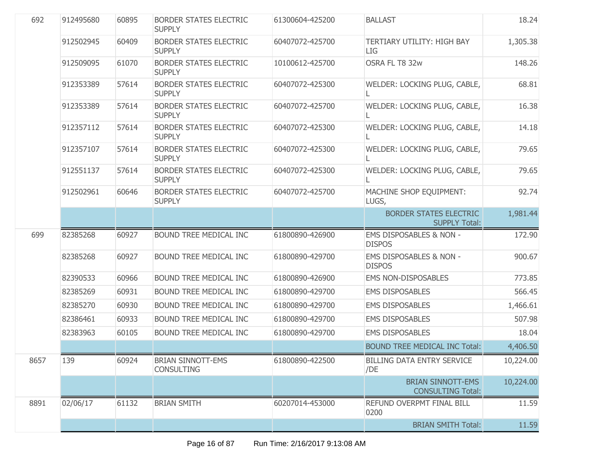| 692  | 912495680 | 60895 | <b>BORDER STATES ELECTRIC</b><br><b>SUPPLY</b> | 61300604-425200 | <b>BALLAST</b>                                        | 18.24     |
|------|-----------|-------|------------------------------------------------|-----------------|-------------------------------------------------------|-----------|
|      | 912502945 | 60409 | <b>BORDER STATES ELECTRIC</b><br><b>SUPPLY</b> | 60407072-425700 | TERTIARY UTILITY: HIGH BAY<br>LIG                     | 1,305.38  |
|      | 912509095 | 61070 | <b>BORDER STATES ELECTRIC</b><br><b>SUPPLY</b> | 10100612-425700 | OSRA FL T8 32w                                        | 148.26    |
|      | 912353389 | 57614 | <b>BORDER STATES ELECTRIC</b><br><b>SUPPLY</b> | 60407072-425300 | WELDER: LOCKING PLUG, CABLE,                          | 68.81     |
|      | 912353389 | 57614 | <b>BORDER STATES ELECTRIC</b><br><b>SUPPLY</b> | 60407072-425700 | WELDER: LOCKING PLUG, CABLE,                          | 16.38     |
|      | 912357112 | 57614 | <b>BORDER STATES ELECTRIC</b><br><b>SUPPLY</b> | 60407072-425300 | WELDER: LOCKING PLUG, CABLE,                          | 14.18     |
|      | 912357107 | 57614 | <b>BORDER STATES ELECTRIC</b><br><b>SUPPLY</b> | 60407072-425300 | WELDER: LOCKING PLUG, CABLE,                          | 79.65     |
|      | 912551137 | 57614 | <b>BORDER STATES ELECTRIC</b><br><b>SUPPLY</b> | 60407072-425300 | WELDER: LOCKING PLUG, CABLE,                          | 79.65     |
|      | 912502961 | 60646 | <b>BORDER STATES ELECTRIC</b><br><b>SUPPLY</b> | 60407072-425700 | MACHINE SHOP EQUIPMENT:<br>LUGS,                      | 92.74     |
|      |           |       |                                                |                 | <b>BORDER STATES ELECTRIC</b><br><b>SUPPLY Total:</b> | 1,981.44  |
| 699  | 82385268  | 60927 | BOUND TREE MEDICAL INC                         | 61800890-426900 | EMS DISPOSABLES & NON -<br><b>DISPOS</b>              | 172.90    |
|      | 82385268  | 60927 | BOUND TREE MEDICAL INC                         | 61800890-429700 | EMS DISPOSABLES & NON -<br><b>DISPOS</b>              | 900.67    |
|      | 82390533  | 60966 | <b>BOUND TREE MEDICAL INC</b>                  | 61800890-426900 | <b>EMS NON-DISPOSABLES</b>                            | 773.85    |
|      | 82385269  | 60931 | <b>BOUND TREE MEDICAL INC</b>                  | 61800890-429700 | <b>EMS DISPOSABLES</b>                                | 566.45    |
|      | 82385270  | 60930 | BOUND TREE MEDICAL INC                         | 61800890-429700 | <b>EMS DISPOSABLES</b>                                | 1,466.61  |
|      | 82386461  | 60933 | <b>BOUND TREE MEDICAL INC</b>                  | 61800890-429700 | <b>EMS DISPOSABLES</b>                                | 507.98    |
|      | 82383963  | 60105 | BOUND TREE MEDICAL INC                         | 61800890-429700 | <b>EMS DISPOSABLES</b>                                | 18.04     |
|      |           |       |                                                |                 | <b>BOUND TREE MEDICAL INC Total:</b>                  | 4,406.50  |
| 8657 | 139       | 60924 | <b>BRIAN SINNOTT-EMS</b><br><b>CONSULTING</b>  | 61800890-422500 | <b>BILLING DATA ENTRY SERVICE</b><br>/DE              | 10,224.00 |
|      |           |       |                                                |                 | <b>BRIAN SINNOTT-EMS</b><br><b>CONSULTING Total:</b>  | 10,224.00 |
| 8891 | 02/06/17  | 61132 | <b>BRIAN SMITH</b>                             | 60207014-453000 | REFUND OVERPMT FINAL BILL<br>0200                     | 11.59     |
|      |           |       |                                                |                 | <b>BRIAN SMITH Total:</b>                             | 11.59     |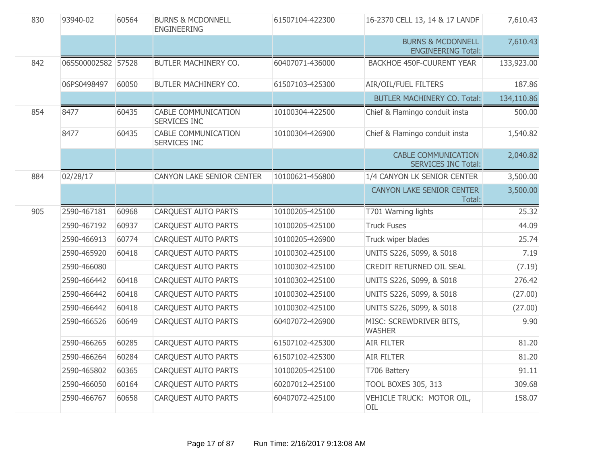| 830 | 93940-02           | 60564 | <b>BURNS &amp; MCDONNELL</b><br><b>ENGINEERING</b> | 61507104-422300 | 16-2370 CELL 13, 14 & 17 LANDF                            | 7,610.43   |
|-----|--------------------|-------|----------------------------------------------------|-----------------|-----------------------------------------------------------|------------|
|     |                    |       |                                                    |                 | <b>BURNS &amp; MCDONNELL</b><br><b>ENGINEERING Total:</b> | 7,610.43   |
| 842 | 06SS00002582 57528 |       | BUTLER MACHINERY CO.                               | 60407071-436000 | <b>BACKHOE 450F-CUURENT YEAR</b>                          | 133,923.00 |
|     | 06PS0498497        | 60050 | BUTLER MACHINERY CO.                               | 61507103-425300 | AIR/OIL/FUEL FILTERS                                      | 187.86     |
|     |                    |       |                                                    |                 | <b>BUTLER MACHINERY CO. Total:</b>                        | 134,110.86 |
| 854 | 8477               | 60435 | <b>CABLE COMMUNICATION</b><br>SERVICES INC         | 10100304-422500 | Chief & Flamingo conduit insta                            | 500.00     |
|     | 8477               | 60435 | <b>CABLE COMMUNICATION</b><br><b>SERVICES INC</b>  | 10100304-426900 | Chief & Flamingo conduit insta                            | 1,540.82   |
|     |                    |       |                                                    |                 | <b>CABLE COMMUNICATION</b><br><b>SERVICES INC Total:</b>  | 2,040.82   |
| 884 | 02/28/17           |       | CANYON LAKE SENIOR CENTER                          | 10100621-456800 | 1/4 CANYON LK SENIOR CENTER                               | 3,500.00   |
|     |                    |       |                                                    |                 | CANYON LAKE SENIOR CENTER<br>Total:                       | 3,500.00   |
| 905 | 2590-467181        | 60968 | CARQUEST AUTO PARTS                                | 10100205-425100 | T701 Warning lights                                       | 25.32      |
|     | 2590-467192        | 60937 | <b>CARQUEST AUTO PARTS</b>                         | 10100205-425100 | <b>Truck Fuses</b>                                        | 44.09      |
|     | 2590-466913        | 60774 | <b>CARQUEST AUTO PARTS</b>                         | 10100205-426900 | Truck wiper blades                                        | 25.74      |
|     | 2590-465920        | 60418 | <b>CARQUEST AUTO PARTS</b>                         | 10100302-425100 | UNITS S226, S099, & S018                                  | 7.19       |
|     | 2590-466080        |       | <b>CARQUEST AUTO PARTS</b>                         | 10100302-425100 | CREDIT RETURNED OIL SEAL                                  | (7.19)     |
|     | 2590-466442        | 60418 | CARQUEST AUTO PARTS                                | 10100302-425100 | UNITS S226, S099, & S018                                  | 276.42     |
|     | 2590-466442        | 60418 | CARQUEST AUTO PARTS                                | 10100302-425100 | UNITS S226, S099, & S018                                  | (27.00)    |
|     | 2590-466442        | 60418 | <b>CARQUEST AUTO PARTS</b>                         | 10100302-425100 | UNITS S226, S099, & S018                                  | (27.00)    |
|     | 2590-466526        | 60649 | <b>CARQUEST AUTO PARTS</b>                         | 60407072-426900 | MISC: SCREWDRIVER BITS,<br><b>WASHER</b>                  | 9.90       |
|     | 2590-466265        | 60285 | <b>CARQUEST AUTO PARTS</b>                         | 61507102-425300 | <b>AIR FILTER</b>                                         | 81.20      |
|     | 2590-466264        | 60284 | CARQUEST AUTO PARTS                                | 61507102-425300 | <b>AIR FILTER</b>                                         | 81.20      |
|     | 2590-465802        | 60365 | CARQUEST AUTO PARTS                                | 10100205-425100 | T706 Battery                                              | 91.11      |
|     | 2590-466050        | 60164 | <b>CARQUEST AUTO PARTS</b>                         | 60207012-425100 | <b>TOOL BOXES 305, 313</b>                                | 309.68     |
|     | 2590-466767        | 60658 | <b>CARQUEST AUTO PARTS</b>                         | 60407072-425100 | VEHICLE TRUCK: MOTOR OIL,<br>OIL                          | 158.07     |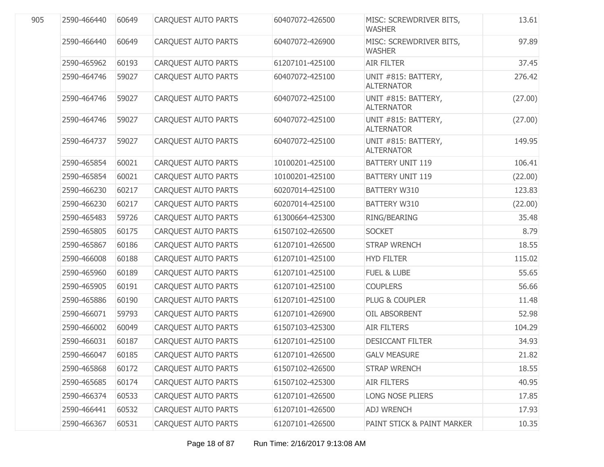| 905 | 2590-466440 | 60649 | <b>CARQUEST AUTO PARTS</b> | 60407072-426500 | MISC: SCREWDRIVER BITS,<br><b>WASHER</b> | 13.61   |
|-----|-------------|-------|----------------------------|-----------------|------------------------------------------|---------|
|     | 2590-466440 | 60649 | <b>CARQUEST AUTO PARTS</b> | 60407072-426900 | MISC: SCREWDRIVER BITS,<br><b>WASHER</b> | 97.89   |
|     | 2590-465962 | 60193 | <b>CARQUEST AUTO PARTS</b> | 61207101-425100 | <b>AIR FILTER</b>                        | 37.45   |
|     | 2590-464746 | 59027 | <b>CARQUEST AUTO PARTS</b> | 60407072-425100 | UNIT #815: BATTERY,<br><b>ALTERNATOR</b> | 276.42  |
|     | 2590-464746 | 59027 | <b>CARQUEST AUTO PARTS</b> | 60407072-425100 | UNIT #815: BATTERY,<br><b>ALTERNATOR</b> | (27.00) |
|     | 2590-464746 | 59027 | <b>CARQUEST AUTO PARTS</b> | 60407072-425100 | UNIT #815: BATTERY,<br><b>ALTERNATOR</b> | (27.00) |
|     | 2590-464737 | 59027 | <b>CARQUEST AUTO PARTS</b> | 60407072-425100 | UNIT #815: BATTERY,<br><b>ALTERNATOR</b> | 149.95  |
|     | 2590-465854 | 60021 | <b>CARQUEST AUTO PARTS</b> | 10100201-425100 | <b>BATTERY UNIT 119</b>                  | 106.41  |
|     | 2590-465854 | 60021 | <b>CARQUEST AUTO PARTS</b> | 10100201-425100 | <b>BATTERY UNIT 119</b>                  | (22.00) |
|     | 2590-466230 | 60217 | <b>CARQUEST AUTO PARTS</b> | 60207014-425100 | <b>BATTERY W310</b>                      | 123.83  |
|     | 2590-466230 | 60217 | <b>CARQUEST AUTO PARTS</b> | 60207014-425100 | <b>BATTERY W310</b>                      | (22.00) |
|     | 2590-465483 | 59726 | <b>CARQUEST AUTO PARTS</b> | 61300664-425300 | RING/BEARING                             | 35.48   |
|     | 2590-465805 | 60175 | <b>CARQUEST AUTO PARTS</b> | 61507102-426500 | <b>SOCKET</b>                            | 8.79    |
|     | 2590-465867 | 60186 | <b>CARQUEST AUTO PARTS</b> | 61207101-426500 | <b>STRAP WRENCH</b>                      | 18.55   |
|     | 2590-466008 | 60188 | <b>CARQUEST AUTO PARTS</b> | 61207101-425100 | <b>HYD FILTER</b>                        | 115.02  |
|     | 2590-465960 | 60189 | <b>CARQUEST AUTO PARTS</b> | 61207101-425100 | <b>FUEL &amp; LUBE</b>                   | 55.65   |
|     | 2590-465905 | 60191 | <b>CARQUEST AUTO PARTS</b> | 61207101-425100 | <b>COUPLERS</b>                          | 56.66   |
|     | 2590-465886 | 60190 | <b>CARQUEST AUTO PARTS</b> | 61207101-425100 | PLUG & COUPLER                           | 11.48   |
|     | 2590-466071 | 59793 | <b>CARQUEST AUTO PARTS</b> | 61207101-426900 | OIL ABSORBENT                            | 52.98   |
|     | 2590-466002 | 60049 | <b>CARQUEST AUTO PARTS</b> | 61507103-425300 | <b>AIR FILTERS</b>                       | 104.29  |
|     | 2590-466031 | 60187 | CARQUEST AUTO PARTS        | 61207101-425100 | <b>DESICCANT FILTER</b>                  | 34.93   |
|     | 2590-466047 | 60185 | CARQUEST AUTO PARTS        | 61207101-426500 | <b>GALV MEASURE</b>                      | 21.82   |
|     | 2590-465868 | 60172 | <b>CARQUEST AUTO PARTS</b> | 61507102-426500 | <b>STRAP WRENCH</b>                      | 18.55   |
|     | 2590-465685 | 60174 | <b>CARQUEST AUTO PARTS</b> | 61507102-425300 | <b>AIR FILTERS</b>                       | 40.95   |
|     | 2590-466374 | 60533 | <b>CARQUEST AUTO PARTS</b> | 61207101-426500 | <b>LONG NOSE PLIERS</b>                  | 17.85   |
|     | 2590-466441 | 60532 | <b>CARQUEST AUTO PARTS</b> | 61207101-426500 | <b>ADJ WRENCH</b>                        | 17.93   |
|     | 2590-466367 | 60531 | <b>CARQUEST AUTO PARTS</b> | 61207101-426500 | PAINT STICK & PAINT MARKER               | 10.35   |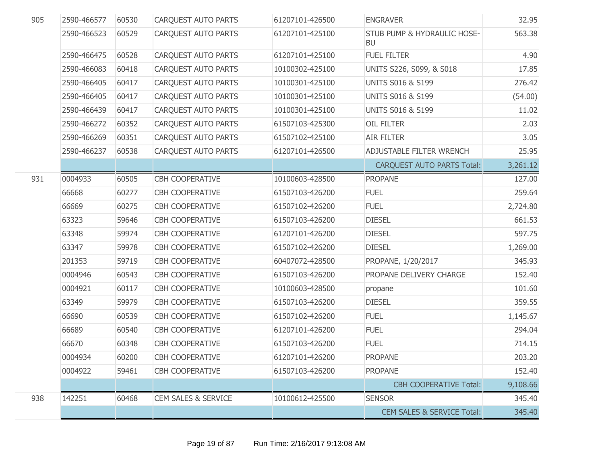| 905 | 2590-466577 | 60530 | <b>CARQUEST AUTO PARTS</b>     | 61207101-426500 | <b>ENGRAVER</b>                          | 32.95    |
|-----|-------------|-------|--------------------------------|-----------------|------------------------------------------|----------|
|     | 2590-466523 | 60529 | <b>CARQUEST AUTO PARTS</b>     | 61207101-425100 | STUB PUMP & HYDRAULIC HOSE-<br><b>BU</b> | 563.38   |
|     | 2590-466475 | 60528 | <b>CARQUEST AUTO PARTS</b>     | 61207101-425100 | <b>FUEL FILTER</b>                       | 4.90     |
|     | 2590-466083 | 60418 | <b>CARQUEST AUTO PARTS</b>     | 10100302-425100 | UNITS S226, S099, & S018                 | 17.85    |
|     | 2590-466405 | 60417 | <b>CARQUEST AUTO PARTS</b>     | 10100301-425100 | <b>UNITS S016 &amp; S199</b>             | 276.42   |
|     | 2590-466405 | 60417 | <b>CARQUEST AUTO PARTS</b>     | 10100301-425100 | <b>UNITS S016 &amp; S199</b>             | (54.00)  |
|     | 2590-466439 | 60417 | <b>CARQUEST AUTO PARTS</b>     | 10100301-425100 | <b>UNITS S016 &amp; S199</b>             | 11.02    |
|     | 2590-466272 | 60352 | <b>CARQUEST AUTO PARTS</b>     | 61507103-425300 | <b>OIL FILTER</b>                        | 2.03     |
|     | 2590-466269 | 60351 | <b>CARQUEST AUTO PARTS</b>     | 61507102-425100 | <b>AIR FILTER</b>                        | 3.05     |
|     | 2590-466237 | 60538 | <b>CARQUEST AUTO PARTS</b>     | 61207101-426500 | ADJUSTABLE FILTER WRENCH                 | 25.95    |
|     |             |       |                                |                 | <b>CARQUEST AUTO PARTS Total:</b>        | 3,261.12 |
| 931 | 0004933     | 60505 | <b>CBH COOPERATIVE</b>         | 10100603-428500 | <b>PROPANE</b>                           | 127.00   |
|     | 66668       | 60277 | <b>CBH COOPERATIVE</b>         | 61507103-426200 | <b>FUEL</b>                              | 259.64   |
|     | 66669       | 60275 | <b>CBH COOPERATIVE</b>         | 61507102-426200 | <b>FUEL</b>                              | 2,724.80 |
|     | 63323       | 59646 | <b>CBH COOPERATIVE</b>         | 61507103-426200 | <b>DIESEL</b>                            | 661.53   |
|     | 63348       | 59974 | <b>CBH COOPERATIVE</b>         | 61207101-426200 | <b>DIESEL</b>                            | 597.75   |
|     | 63347       | 59978 | <b>CBH COOPERATIVE</b>         | 61507102-426200 | <b>DIESEL</b>                            | 1,269.00 |
|     | 201353      | 59719 | <b>CBH COOPERATIVE</b>         | 60407072-428500 | PROPANE, 1/20/2017                       | 345.93   |
|     | 0004946     | 60543 | <b>CBH COOPERATIVE</b>         | 61507103-426200 | PROPANE DELIVERY CHARGE                  | 152.40   |
|     | 0004921     | 60117 | <b>CBH COOPERATIVE</b>         | 10100603-428500 | propane                                  | 101.60   |
|     | 63349       | 59979 | <b>CBH COOPERATIVE</b>         | 61507103-426200 | <b>DIESEL</b>                            | 359.55   |
|     | 66690       | 60539 | <b>CBH COOPERATIVE</b>         | 61507102-426200 | <b>FUEL</b>                              | 1,145.67 |
|     | 66689       | 60540 | <b>CBH COOPERATIVE</b>         | 61207101-426200 | <b>FUEL</b>                              | 294.04   |
|     | 66670       | 60348 | <b>CBH COOPERATIVE</b>         | 61507103-426200 | <b>FUEL</b>                              | 714.15   |
|     | 0004934     | 60200 | <b>CBH COOPERATIVE</b>         | 61207101-426200 | <b>PROPANE</b>                           | 203.20   |
|     | 0004922     | 59461 | <b>CBH COOPERATIVE</b>         | 61507103-426200 | <b>PROPANE</b>                           | 152.40   |
|     |             |       |                                |                 | <b>CBH COOPERATIVE Total:</b>            | 9,108.66 |
| 938 | 142251      | 60468 | <b>CEM SALES &amp; SERVICE</b> | 10100612-425500 | <b>SENSOR</b>                            | 345.40   |
|     |             |       |                                |                 | <b>CEM SALES &amp; SERVICE Total:</b>    | 345.40   |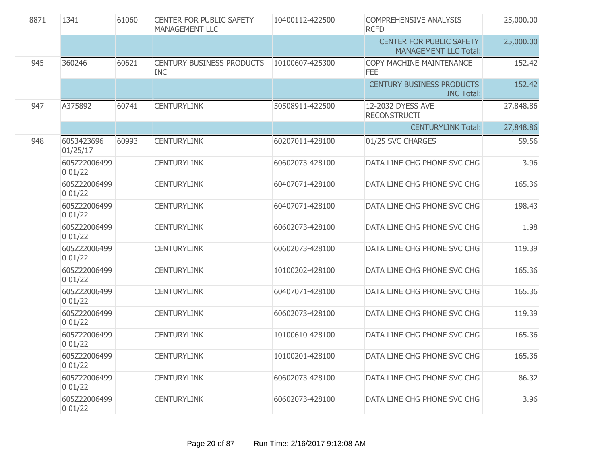| 8871 | 1341                   | 61060 | <b>CENTER FOR PUBLIC SAFETY</b><br>MANAGEMENT LLC | 10400112-422500 | <b>COMPREHENSIVE ANALYSIS</b><br><b>RCFD</b>                    | 25,000.00 |
|------|------------------------|-------|---------------------------------------------------|-----------------|-----------------------------------------------------------------|-----------|
|      |                        |       |                                                   |                 | <b>CENTER FOR PUBLIC SAFETY</b><br><b>MANAGEMENT LLC Total:</b> | 25,000.00 |
| 945  | 360246                 | 60621 | <b>CENTURY BUSINESS PRODUCTS</b><br><b>INC</b>    | 10100607-425300 | COPY MACHINE MAINTENANCE<br><b>FEE</b>                          | 152.42    |
|      |                        |       |                                                   |                 | <b>CENTURY BUSINESS PRODUCTS</b><br><b>INC Total:</b>           | 152.42    |
| 947  | A375892                | 60741 | <b>CENTURYLINK</b>                                | 50508911-422500 | 12-2032 DYESS AVE<br><b>RECONSTRUCTI</b>                        | 27,848.86 |
|      |                        |       |                                                   |                 | <b>CENTURYLINK Total:</b>                                       | 27,848.86 |
| 948  | 6053423696<br>01/25/17 | 60993 | <b>CENTURYLINK</b>                                | 60207011-428100 | 01/25 SVC CHARGES                                               | 59.56     |
|      | 605Z22006499<br>001/22 |       | <b>CENTURYLINK</b>                                | 60602073-428100 | DATA LINE CHG PHONE SVC CHG                                     | 3.96      |
|      | 605Z22006499<br>001/22 |       | <b>CENTURYLINK</b>                                | 60407071-428100 | DATA LINE CHG PHONE SVC CHG                                     | 165.36    |
|      | 605Z22006499<br>001/22 |       | <b>CENTURYLINK</b>                                | 60407071-428100 | DATA LINE CHG PHONE SVC CHG                                     | 198.43    |
|      | 605Z22006499<br>001/22 |       | <b>CENTURYLINK</b>                                | 60602073-428100 | DATA LINE CHG PHONE SVC CHG                                     | 1.98      |
|      | 605Z22006499<br>001/22 |       | <b>CENTURYLINK</b>                                | 60602073-428100 | DATA LINE CHG PHONE SVC CHG                                     | 119.39    |
|      | 605Z22006499<br>001/22 |       | <b>CENTURYLINK</b>                                | 10100202-428100 | DATA LINE CHG PHONE SVC CHG                                     | 165.36    |
|      | 605Z22006499<br>001/22 |       | <b>CENTURYLINK</b>                                | 60407071-428100 | DATA LINE CHG PHONE SVC CHG                                     | 165.36    |
|      | 605Z22006499<br>001/22 |       | <b>CENTURYLINK</b>                                | 60602073-428100 | DATA LINE CHG PHONE SVC CHG                                     | 119.39    |
|      | 605Z22006499<br>001/22 |       | <b>CENTURYLINK</b>                                | 10100610-428100 | DATA LINE CHG PHONE SVC CHG                                     | 165.36    |
|      | 605Z22006499<br>001/22 |       | <b>CENTURYLINK</b>                                | 10100201-428100 | DATA LINE CHG PHONE SVC CHG                                     | 165.36    |
|      | 605Z22006499<br>001/22 |       | <b>CENTURYLINK</b>                                | 60602073-428100 | DATA LINE CHG PHONE SVC CHG                                     | 86.32     |
|      | 605Z22006499<br>001/22 |       | <b>CENTURYLINK</b>                                | 60602073-428100 | DATA LINE CHG PHONE SVC CHG                                     | 3.96      |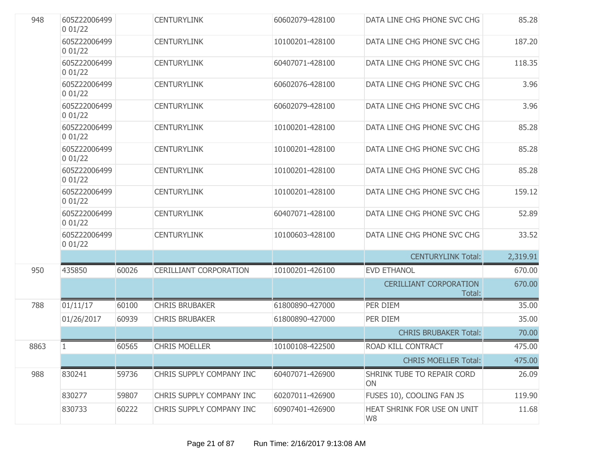| 948  | 605Z22006499<br>001/22 |       | <b>CENTURYLINK</b>            | 60602079-428100 | DATA LINE CHG PHONE SVC CHG             | 85.28    |
|------|------------------------|-------|-------------------------------|-----------------|-----------------------------------------|----------|
|      | 605Z22006499<br>001/22 |       | <b>CENTURYLINK</b>            | 10100201-428100 | DATA LINE CHG PHONE SVC CHG             | 187.20   |
|      | 605Z22006499<br>001/22 |       | <b>CENTURYLINK</b>            | 60407071-428100 | DATA LINE CHG PHONE SVC CHG             | 118.35   |
|      | 605Z22006499<br>001/22 |       | <b>CENTURYLINK</b>            | 60602076-428100 | DATA LINE CHG PHONE SVC CHG             | 3.96     |
|      | 605Z22006499<br>001/22 |       | <b>CENTURYLINK</b>            | 60602079-428100 | DATA LINE CHG PHONE SVC CHG             | 3.96     |
|      | 605Z22006499<br>001/22 |       | <b>CENTURYLINK</b>            | 10100201-428100 | DATA LINE CHG PHONE SVC CHG             | 85.28    |
|      | 605Z22006499<br>001/22 |       | <b>CENTURYLINK</b>            | 10100201-428100 | DATA LINE CHG PHONE SVC CHG             | 85.28    |
|      | 605Z22006499<br>001/22 |       | <b>CENTURYLINK</b>            | 10100201-428100 | DATA LINE CHG PHONE SVC CHG             | 85.28    |
|      | 605Z22006499<br>001/22 |       | <b>CENTURYLINK</b>            | 10100201-428100 | DATA LINE CHG PHONE SVC CHG             | 159.12   |
|      | 605Z22006499<br>001/22 |       | <b>CENTURYLINK</b>            | 60407071-428100 | DATA LINE CHG PHONE SVC CHG             | 52.89    |
|      | 605Z22006499<br>001/22 |       | <b>CENTURYLINK</b>            | 10100603-428100 | DATA LINE CHG PHONE SVC CHG             | 33.52    |
|      |                        |       |                               |                 | <b>CENTURYLINK Total:</b>               | 2,319.91 |
| 950  | 435850                 | 60026 | <b>CERILLIANT CORPORATION</b> | 10100201-426100 | <b>EVD ETHANOL</b>                      | 670.00   |
|      |                        |       |                               |                 | <b>CERILLIANT CORPORATION</b><br>Total: | 670.00   |
| 788  | 01/11/17               | 60100 | <b>CHRIS BRUBAKER</b>         | 61800890-427000 | PER DIEM                                | 35.00    |
|      | 01/26/2017             | 60939 | <b>CHRIS BRUBAKER</b>         | 61800890-427000 | PER DIEM                                | 35.00    |
|      |                        |       |                               |                 | <b>CHRIS BRUBAKER Total:</b>            | 70.00    |
| 8863 | 1                      | 60565 | <b>CHRIS MOELLER</b>          | 10100108-422500 | ROAD KILL CONTRACT                      | 475.00   |
|      |                        |       |                               |                 | <b>CHRIS MOELLER Total:</b>             | 475.00   |
| 988  | 830241                 | 59736 | CHRIS SUPPLY COMPANY INC      | 60407071-426900 | SHRINK TUBE TO REPAIR CORD<br>ON        | 26.09    |
|      | 830277                 | 59807 | CHRIS SUPPLY COMPANY INC      | 60207011-426900 | FUSES 10), COOLING FAN JS               | 119.90   |
|      | 830733                 | 60222 | CHRIS SUPPLY COMPANY INC      | 60907401-426900 | HEAT SHRINK FOR USE ON UNIT<br>W8       | 11.68    |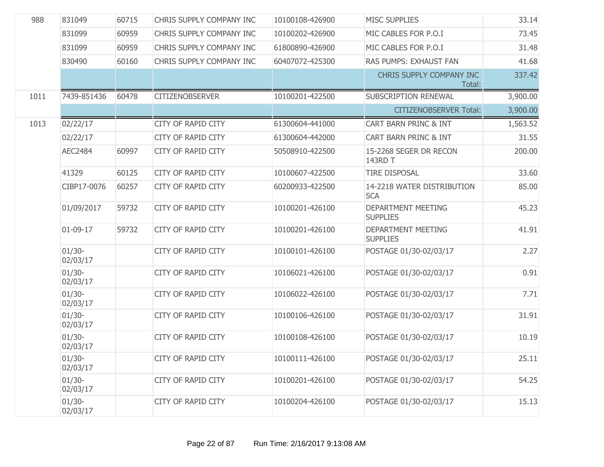| 988  | 831049                | 60715 | CHRIS SUPPLY COMPANY INC  | 10100108-426900 | <b>MISC SUPPLIES</b>                         | 33.14    |
|------|-----------------------|-------|---------------------------|-----------------|----------------------------------------------|----------|
|      | 831099                | 60959 | CHRIS SUPPLY COMPANY INC  | 10100202-426900 | MIC CABLES FOR P.O.I                         | 73.45    |
|      | 831099                | 60959 | CHRIS SUPPLY COMPANY INC  | 61800890-426900 | MIC CABLES FOR P.O.I                         | 31.48    |
|      | 830490                | 60160 | CHRIS SUPPLY COMPANY INC  | 60407072-425300 | <b>RAS PUMPS: EXHAUST FAN</b>                | 41.68    |
|      |                       |       |                           |                 | CHRIS SUPPLY COMPANY INC<br>Total:           | 337.42   |
| 1011 | 7439-851436           | 60478 | <b>CITIZENOBSERVER</b>    | 10100201-422500 | <b>SUBSCRIPTION RENEWAL</b>                  | 3,900.00 |
|      |                       |       |                           |                 | <b>CITIZENOBSERVER Total:</b>                | 3,900.00 |
| 1013 | 02/22/17              |       | CITY OF RAPID CITY        | 61300604-441000 | CART BARN PRINC & INT                        | 1,563.52 |
|      | 02/22/17              |       | CITY OF RAPID CITY        | 61300604-442000 | CART BARN PRINC & INT                        | 31.55    |
|      | <b>AEC2484</b>        | 60997 | <b>CITY OF RAPID CITY</b> | 50508910-422500 | 15-2268 SEGER DR RECON<br>143RD T            | 200.00   |
|      | 41329                 | 60125 | <b>CITY OF RAPID CITY</b> | 10100607-422500 | <b>TIRE DISPOSAL</b>                         | 33.60    |
|      | CIBP17-0076           | 60257 | <b>CITY OF RAPID CITY</b> | 60200933-422500 | 14-2218 WATER DISTRIBUTION<br><b>SCA</b>     | 85.00    |
|      | 01/09/2017            | 59732 | <b>CITY OF RAPID CITY</b> | 10100201-426100 | <b>DEPARTMENT MEETING</b><br><b>SUPPLIES</b> | 45.23    |
|      | $01-09-17$            | 59732 | <b>CITY OF RAPID CITY</b> | 10100201-426100 | <b>DEPARTMENT MEETING</b><br><b>SUPPLIES</b> | 41.91    |
|      | $01/30 -$<br>02/03/17 |       | CITY OF RAPID CITY        | 10100101-426100 | POSTAGE 01/30-02/03/17                       | 2.27     |
|      | $01/30 -$<br>02/03/17 |       | <b>CITY OF RAPID CITY</b> | 10106021-426100 | POSTAGE 01/30-02/03/17                       | 0.91     |
|      | $01/30 -$<br>02/03/17 |       | CITY OF RAPID CITY        | 10106022-426100 | POSTAGE 01/30-02/03/17                       | 7.71     |
|      | $01/30 -$<br>02/03/17 |       | CITY OF RAPID CITY        | 10100106-426100 | POSTAGE 01/30-02/03/17                       | 31.91    |
|      | $01/30 -$<br>02/03/17 |       | <b>CITY OF RAPID CITY</b> | 10100108-426100 | POSTAGE 01/30-02/03/17                       | 10.19    |
|      | $01/30 -$<br>02/03/17 |       | CITY OF RAPID CITY        | 10100111-426100 | POSTAGE 01/30-02/03/17                       | 25.11    |
|      | $01/30 -$<br>02/03/17 |       | CITY OF RAPID CITY        | 10100201-426100 | POSTAGE 01/30-02/03/17                       | 54.25    |
|      | $01/30 -$<br>02/03/17 |       | <b>CITY OF RAPID CITY</b> | 10100204-426100 | POSTAGE 01/30-02/03/17                       | 15.13    |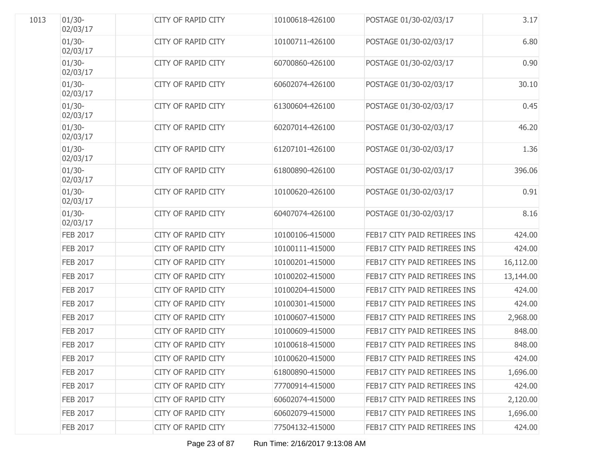| 1013 | $01/30 -$<br>02/03/17 | <b>CITY OF RAPID CITY</b> | 10100618-426100 | POSTAGE 01/30-02/03/17       | 3.17      |
|------|-----------------------|---------------------------|-----------------|------------------------------|-----------|
|      | $01/30 -$<br>02/03/17 | <b>CITY OF RAPID CITY</b> | 10100711-426100 | POSTAGE 01/30-02/03/17       | 6.80      |
|      | $01/30 -$<br>02/03/17 | <b>CITY OF RAPID CITY</b> | 60700860-426100 | POSTAGE 01/30-02/03/17       | 0.90      |
|      | $01/30 -$<br>02/03/17 | <b>CITY OF RAPID CITY</b> | 60602074-426100 | POSTAGE 01/30-02/03/17       | 30.10     |
|      | $01/30 -$<br>02/03/17 | <b>CITY OF RAPID CITY</b> | 61300604-426100 | POSTAGE 01/30-02/03/17       | 0.45      |
|      | $01/30 -$<br>02/03/17 | <b>CITY OF RAPID CITY</b> | 60207014-426100 | POSTAGE 01/30-02/03/17       | 46.20     |
|      | $01/30 -$<br>02/03/17 | <b>CITY OF RAPID CITY</b> | 61207101-426100 | POSTAGE 01/30-02/03/17       | 1.36      |
|      | $01/30 -$<br>02/03/17 | <b>CITY OF RAPID CITY</b> | 61800890-426100 | POSTAGE 01/30-02/03/17       | 396.06    |
|      | $01/30 -$<br>02/03/17 | <b>CITY OF RAPID CITY</b> | 10100620-426100 | POSTAGE 01/30-02/03/17       | 0.91      |
|      | $01/30 -$<br>02/03/17 | <b>CITY OF RAPID CITY</b> | 60407074-426100 | POSTAGE 01/30-02/03/17       | 8.16      |
|      | <b>FEB 2017</b>       | <b>CITY OF RAPID CITY</b> | 10100106-415000 | FEB17 CITY PAID RETIREES INS | 424.00    |
|      | <b>FEB 2017</b>       | <b>CITY OF RAPID CITY</b> | 10100111-415000 | FEB17 CITY PAID RETIREES INS | 424.00    |
|      | <b>FEB 2017</b>       | <b>CITY OF RAPID CITY</b> | 10100201-415000 | FEB17 CITY PAID RETIREES INS | 16,112.00 |
|      | <b>FEB 2017</b>       | <b>CITY OF RAPID CITY</b> | 10100202-415000 | FEB17 CITY PAID RETIREES INS | 13,144.00 |
|      | <b>FEB 2017</b>       | <b>CITY OF RAPID CITY</b> | 10100204-415000 | FEB17 CITY PAID RETIREES INS | 424.00    |
|      | <b>FEB 2017</b>       | <b>CITY OF RAPID CITY</b> | 10100301-415000 | FEB17 CITY PAID RETIREES INS | 424.00    |
|      | <b>FEB 2017</b>       | <b>CITY OF RAPID CITY</b> | 10100607-415000 | FEB17 CITY PAID RETIREES INS | 2,968.00  |
|      | <b>FEB 2017</b>       | <b>CITY OF RAPID CITY</b> | 10100609-415000 | FEB17 CITY PAID RETIREES INS | 848.00    |
|      | <b>FEB 2017</b>       | <b>CITY OF RAPID CITY</b> | 10100618-415000 | FEB17 CITY PAID RETIREES INS | 848.00    |
|      | <b>FEB 2017</b>       | <b>CITY OF RAPID CITY</b> | 10100620-415000 | FEB17 CITY PAID RETIREES INS | 424.00    |
|      | <b>FEB 2017</b>       | <b>CITY OF RAPID CITY</b> | 61800890-415000 | FEB17 CITY PAID RETIREES INS | 1,696.00  |
|      | <b>FEB 2017</b>       | <b>CITY OF RAPID CITY</b> | 77700914-415000 | FEB17 CITY PAID RETIREES INS | 424.00    |
|      | <b>FEB 2017</b>       | <b>CITY OF RAPID CITY</b> | 60602074-415000 | FEB17 CITY PAID RETIREES INS | 2,120.00  |
|      | <b>FEB 2017</b>       | <b>CITY OF RAPID CITY</b> | 60602079-415000 | FEB17 CITY PAID RETIREES INS | 1,696.00  |
|      | <b>FEB 2017</b>       | <b>CITY OF RAPID CITY</b> | 77504132-415000 | FEB17 CITY PAID RETIREES INS | 424.00    |
|      |                       |                           |                 |                              |           |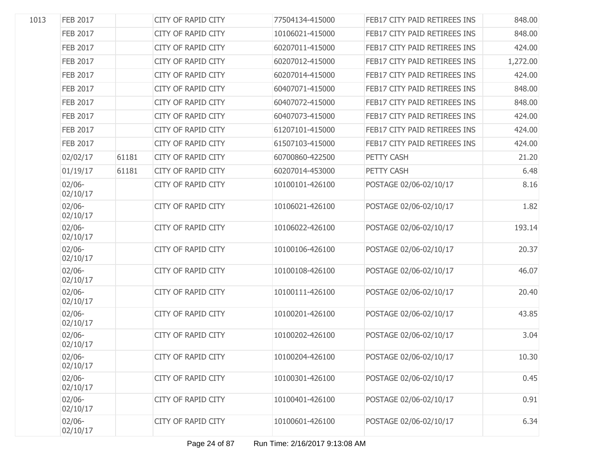| 1013 | <b>FEB 2017</b>       |       | <b>CITY OF RAPID CITY</b> | 77504134-415000 | FEB17 CITY PAID RETIREES INS | 848.00   |
|------|-----------------------|-------|---------------------------|-----------------|------------------------------|----------|
|      | <b>FEB 2017</b>       |       | <b>CITY OF RAPID CITY</b> | 10106021-415000 | FEB17 CITY PAID RETIREES INS | 848.00   |
|      | <b>FEB 2017</b>       |       | CITY OF RAPID CITY        | 60207011-415000 | FEB17 CITY PAID RETIREES INS | 424.00   |
|      | <b>FEB 2017</b>       |       | <b>CITY OF RAPID CITY</b> | 60207012-415000 | FEB17 CITY PAID RETIREES INS | 1,272.00 |
|      | <b>FEB 2017</b>       |       | CITY OF RAPID CITY        | 60207014-415000 | FEB17 CITY PAID RETIREES INS | 424.00   |
|      | <b>FEB 2017</b>       |       | <b>CITY OF RAPID CITY</b> | 60407071-415000 | FEB17 CITY PAID RETIREES INS | 848.00   |
|      | <b>FEB 2017</b>       |       | CITY OF RAPID CITY        | 60407072-415000 | FEB17 CITY PAID RETIREES INS | 848.00   |
|      | <b>FEB 2017</b>       |       | <b>CITY OF RAPID CITY</b> | 60407073-415000 | FEB17 CITY PAID RETIREES INS | 424.00   |
|      | <b>FEB 2017</b>       |       | CITY OF RAPID CITY        | 61207101-415000 | FEB17 CITY PAID RETIREES INS | 424.00   |
|      | <b>FEB 2017</b>       |       | <b>CITY OF RAPID CITY</b> | 61507103-415000 | FEB17 CITY PAID RETIREES INS | 424.00   |
|      | 02/02/17              | 61181 | <b>CITY OF RAPID CITY</b> | 60700860-422500 | PETTY CASH                   | 21.20    |
|      | 01/19/17              | 61181 | <b>CITY OF RAPID CITY</b> | 60207014-453000 | PETTY CASH                   | 6.48     |
|      | $02/06 -$<br>02/10/17 |       | <b>CITY OF RAPID CITY</b> | 10100101-426100 | POSTAGE 02/06-02/10/17       | 8.16     |
|      | $02/06 -$<br>02/10/17 |       | <b>CITY OF RAPID CITY</b> | 10106021-426100 | POSTAGE 02/06-02/10/17       | 1.82     |
|      | $02/06 -$<br>02/10/17 |       | <b>CITY OF RAPID CITY</b> | 10106022-426100 | POSTAGE 02/06-02/10/17       | 193.14   |
|      | $02/06 -$<br>02/10/17 |       | <b>CITY OF RAPID CITY</b> | 10100106-426100 | POSTAGE 02/06-02/10/17       | 20.37    |
|      | $02/06 -$<br>02/10/17 |       | <b>CITY OF RAPID CITY</b> | 10100108-426100 | POSTAGE 02/06-02/10/17       | 46.07    |
|      | $02/06 -$<br>02/10/17 |       | <b>CITY OF RAPID CITY</b> | 10100111-426100 | POSTAGE 02/06-02/10/17       | 20.40    |
|      | $02/06 -$<br>02/10/17 |       | CITY OF RAPID CITY        | 10100201-426100 | POSTAGE 02/06-02/10/17       | 43.85    |
|      | $02/06 -$<br>02/10/17 |       | <b>CITY OF RAPID CITY</b> | 10100202-426100 | POSTAGE 02/06-02/10/17       | 3.04     |
|      | $02/06 -$<br>02/10/17 |       | CITY OF RAPID CITY        | 10100204-426100 | POSTAGE 02/06-02/10/17       | 10.30    |
|      | $02/06 -$<br>02/10/17 |       | CITY OF RAPID CITY        | 10100301-426100 | POSTAGE 02/06-02/10/17       | 0.45     |
|      | $02/06 -$<br>02/10/17 |       | <b>CITY OF RAPID CITY</b> | 10100401-426100 | POSTAGE 02/06-02/10/17       | 0.91     |
|      | $02/06 -$<br>02/10/17 |       | CITY OF RAPID CITY        | 10100601-426100 | POSTAGE 02/06-02/10/17       | 6.34     |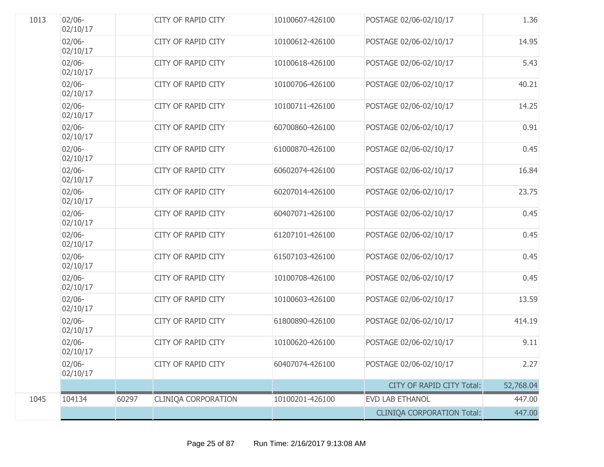| 1013 | $02/06 -$<br>02/10/17 |       | <b>CITY OF RAPID CITY</b>  | 10100607-426100 | POSTAGE 02/06-02/10/17            | 1.36      |
|------|-----------------------|-------|----------------------------|-----------------|-----------------------------------|-----------|
|      | $02/06 -$<br>02/10/17 |       | <b>CITY OF RAPID CITY</b>  | 10100612-426100 | POSTAGE 02/06-02/10/17            | 14.95     |
|      | $02/06 -$<br>02/10/17 |       | CITY OF RAPID CITY         | 10100618-426100 | POSTAGE 02/06-02/10/17            | 5.43      |
|      | $02/06 -$<br>02/10/17 |       | <b>CITY OF RAPID CITY</b>  | 10100706-426100 | POSTAGE 02/06-02/10/17            | 40.21     |
|      | $02/06 -$<br>02/10/17 |       | <b>CITY OF RAPID CITY</b>  | 10100711-426100 | POSTAGE 02/06-02/10/17            | 14.25     |
|      | $02/06 -$<br>02/10/17 |       | <b>CITY OF RAPID CITY</b>  | 60700860-426100 | POSTAGE 02/06-02/10/17            | 0.91      |
|      | $02/06 -$<br>02/10/17 |       | <b>CITY OF RAPID CITY</b>  | 61000870-426100 | POSTAGE 02/06-02/10/17            | 0.45      |
|      | $02/06 -$<br>02/10/17 |       | <b>CITY OF RAPID CITY</b>  | 60602074-426100 | POSTAGE 02/06-02/10/17            | 16.84     |
|      | $02/06 -$<br>02/10/17 |       | <b>CITY OF RAPID CITY</b>  | 60207014-426100 | POSTAGE 02/06-02/10/17            | 23.75     |
|      | $02/06 -$<br>02/10/17 |       | <b>CITY OF RAPID CITY</b>  | 60407071-426100 | POSTAGE 02/06-02/10/17            | 0.45      |
|      | $02/06 -$<br>02/10/17 |       | <b>CITY OF RAPID CITY</b>  | 61207101-426100 | POSTAGE 02/06-02/10/17            | 0.45      |
|      | $02/06 -$<br>02/10/17 |       | <b>CITY OF RAPID CITY</b>  | 61507103-426100 | POSTAGE 02/06-02/10/17            | 0.45      |
|      | $02/06 -$<br>02/10/17 |       | <b>CITY OF RAPID CITY</b>  | 10100708-426100 | POSTAGE 02/06-02/10/17            | 0.45      |
|      | $02/06 -$<br>02/10/17 |       | <b>CITY OF RAPID CITY</b>  | 10100603-426100 | POSTAGE 02/06-02/10/17            | 13.59     |
|      | $02/06 -$<br>02/10/17 |       | <b>CITY OF RAPID CITY</b>  | 61800890-426100 | POSTAGE 02/06-02/10/17            | 414.19    |
|      | $02/06 -$<br>02/10/17 |       | <b>CITY OF RAPID CITY</b>  | 10100620-426100 | POSTAGE 02/06-02/10/17            | 9.11      |
|      | $02/06 -$<br>02/10/17 |       | <b>CITY OF RAPID CITY</b>  | 60407074-426100 | POSTAGE 02/06-02/10/17            | 2.27      |
|      |                       |       |                            |                 | <b>CITY OF RAPID CITY Total:</b>  | 52,768.04 |
| 1045 | 104134                | 60297 | <b>CLINIQA CORPORATION</b> | 10100201-426100 | EVD LAB ETHANOL                   | 447.00    |
|      |                       |       |                            |                 | <b>CLINIQA CORPORATION Total:</b> | 447.00    |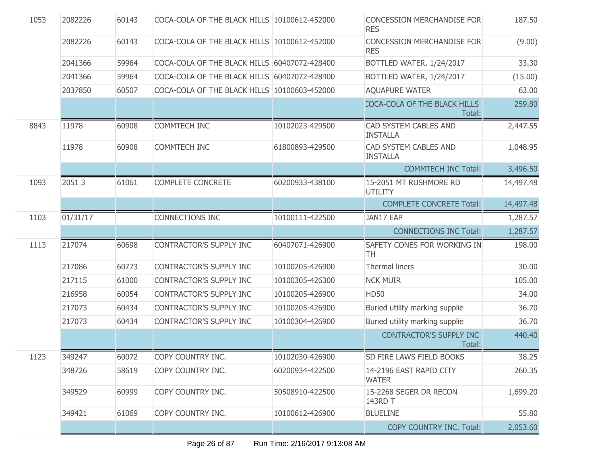| 1053 | 2082226  | 60143 | COCA-COLA OF THE BLACK HILLS 10100612-452000 |                 | <b>CONCESSION MERCHANDISE FOR</b><br><b>RES</b> | 187.50    |
|------|----------|-------|----------------------------------------------|-----------------|-------------------------------------------------|-----------|
|      | 2082226  | 60143 | COCA-COLA OF THE BLACK HILLS 10100612-452000 |                 | <b>CONCESSION MERCHANDISE FOR</b><br><b>RES</b> | (9.00)    |
|      | 2041366  | 59964 | COCA-COLA OF THE BLACK HILLS 60407072-428400 |                 | BOTTLED WATER, 1/24/2017                        | 33.30     |
|      | 2041366  | 59964 | COCA-COLA OF THE BLACK HILLS 60407072-428400 |                 | BOTTLED WATER, 1/24/2017                        | (15.00)   |
|      | 2037850  | 60507 | COCA-COLA OF THE BLACK HILLS 10100603-452000 |                 | <b>AQUAPURE WATER</b>                           | 63.00     |
|      |          |       |                                              |                 | COCA-COLA OF THE BLACK HILLS<br>Total:          | 259.80    |
| 8843 | 11978    | 60908 | <b>COMMTECH INC</b>                          | 10102023-429500 | CAD SYSTEM CABLES AND<br><b>INSTALLA</b>        | 2,447.55  |
|      | 11978    | 60908 | <b>COMMTECH INC</b>                          | 61800893-429500 | CAD SYSTEM CABLES AND<br><b>INSTALLA</b>        | 1,048.95  |
|      |          |       |                                              |                 | <b>COMMTECH INC Total:</b>                      | 3,496.50  |
| 1093 | 20513    | 61061 | <b>COMPLETE CONCRETE</b>                     | 60200933-438100 | 15-2051 MT RUSHMORE RD<br><b>UTILITY</b>        | 14,497.48 |
|      |          |       |                                              |                 | <b>COMPLETE CONCRETE Total:</b>                 | 14,497.48 |
| 1103 | 01/31/17 |       | <b>CONNECTIONS INC</b>                       | 10100111-422500 | JAN17 EAP                                       | 1,287.57  |
|      |          |       |                                              |                 |                                                 |           |
|      |          |       |                                              |                 | <b>CONNECTIONS INC Total:</b>                   | 1,287.57  |
| 1113 | 217074   | 60698 | CONTRACTOR'S SUPPLY INC                      | 60407071-426900 | SAFETY CONES FOR WORKING IN<br>TH               | 198.00    |
|      | 217086   | 60773 | CONTRACTOR'S SUPPLY INC                      | 10100205-426900 | Thermal liners                                  | 30.00     |
|      | 217115   | 61000 | CONTRACTOR'S SUPPLY INC                      | 10100305-426300 | <b>NCK MUIR</b>                                 | 105.00    |
|      | 216958   | 60054 | CONTRACTOR'S SUPPLY INC                      | 10100205-426900 | <b>HD50</b>                                     | 34.00     |
|      | 217073   | 60434 | CONTRACTOR'S SUPPLY INC                      | 10100205-426900 | Buried utility marking supplie                  | 36.70     |
|      | 217073   | 60434 | CONTRACTOR'S SUPPLY INC                      | 10100304-426900 | Buried utility marking supplie                  | 36.70     |
|      |          |       |                                              |                 | <b>CONTRACTOR'S SUPPLY INC</b><br>Total:        | 440.40    |
| 1123 | 349247   | 60072 | COPY COUNTRY INC.                            | 10102030-426900 | SD FIRE LAWS FIELD BOOKS                        | 38.25     |
|      | 348726   | 58619 | COPY COUNTRY INC.                            | 60200934-422500 | 14-2196 EAST RAPID CITY<br><b>WATER</b>         | 260.35    |
|      | 349529   | 60999 | COPY COUNTRY INC.                            | 50508910-422500 | 15-2268 SEGER DR RECON<br>143RD T               | 1,699.20  |
|      | 349421   | 61069 | COPY COUNTRY INC.                            | 10100612-426900 | <b>BLUELINE</b>                                 | 55.80     |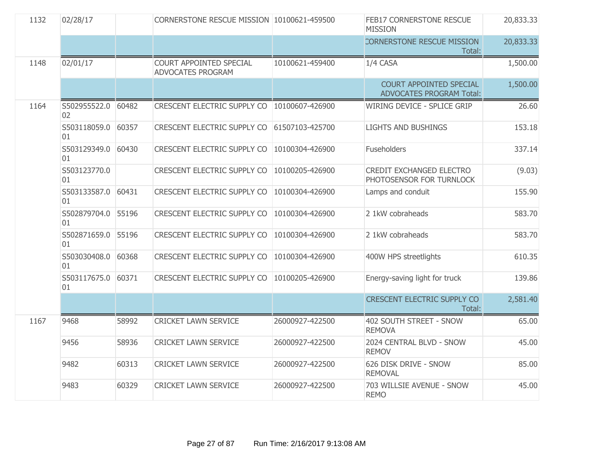| 1132 | 02/28/17                 |       | CORNERSTONE RESCUE MISSION 10100621-459500          |                 | FEB17 CORNERSTONE RESCUE<br><b>MISSION</b>                  | 20,833.33 |
|------|--------------------------|-------|-----------------------------------------------------|-----------------|-------------------------------------------------------------|-----------|
|      |                          |       |                                                     |                 | <b>CORNERSTONE RESCUE MISSION</b><br>Total:                 | 20,833.33 |
| 1148 | 02/01/17                 |       | COURT APPOINTED SPECIAL<br><b>ADVOCATES PROGRAM</b> | 10100621-459400 | 1/4 CASA                                                    | 1,500.00  |
|      |                          |       |                                                     |                 | COURT APPOINTED SPECIAL<br><b>ADVOCATES PROGRAM Total:</b>  | 1,500.00  |
| 1164 | S502955522.0 60482<br>02 |       | CRESCENT ELECTRIC SUPPLY CO   10100607-426900       |                 | <b>WIRING DEVICE - SPLICE GRIP</b>                          | 26.60     |
|      | S503118059.0<br>01       | 60357 | CRESCENT ELECTRIC SUPPLY CO 61507103-425700         |                 | <b>LIGHTS AND BUSHINGS</b>                                  | 153.18    |
|      | S503129349.0<br>01       | 60430 | CRESCENT ELECTRIC SUPPLY CO                         | 10100304-426900 | Fuseholders                                                 | 337.14    |
|      | S503123770.0<br>01       |       | CRESCENT ELECTRIC SUPPLY CO                         | 10100205-426900 | <b>CREDIT EXCHANGED ELECTRO</b><br>PHOTOSENSOR FOR TURNLOCK | (9.03)    |
|      | S503133587.0<br>01       | 60431 | <b>CRESCENT ELECTRIC SUPPLY CO</b>                  | 10100304-426900 | Lamps and conduit                                           | 155.90    |
|      | S502879704.0<br>01       | 55196 | CRESCENT ELECTRIC SUPPLY CO                         | 10100304-426900 | 2 1kW cobraheads                                            | 583.70    |
|      | S502871659.0<br>01       | 55196 | CRESCENT ELECTRIC SUPPLY CO                         | 10100304-426900 | 2 1kW cobraheads                                            | 583.70    |
|      | S503030408.0<br>01       | 60368 | CRESCENT ELECTRIC SUPPLY CO                         | 10100304-426900 | 400W HPS streetlights                                       | 610.35    |
|      | S503117675.0<br>01       | 60371 | CRESCENT ELECTRIC SUPPLY CO                         | 10100205-426900 | Energy-saving light for truck                               | 139.86    |
|      |                          |       |                                                     |                 | <b>CRESCENT ELECTRIC SUPPLY CO</b><br>Total:                | 2,581.40  |
| 1167 | 9468                     | 58992 | <b>CRICKET LAWN SERVICE</b>                         | 26000927-422500 | 402 SOUTH STREET - SNOW<br><b>REMOVA</b>                    | 65.00     |
|      | 9456                     | 58936 | <b>CRICKET LAWN SERVICE</b>                         | 26000927-422500 | 2024 CENTRAL BLVD - SNOW<br><b>REMOV</b>                    | 45.00     |
|      | 9482                     | 60313 | <b>CRICKET LAWN SERVICE</b>                         | 26000927-422500 | 626 DISK DRIVE - SNOW<br><b>REMOVAL</b>                     | 85.00     |
|      | 9483                     | 60329 | <b>CRICKET LAWN SERVICE</b>                         | 26000927-422500 | 703 WILLSIE AVENUE - SNOW<br><b>REMO</b>                    | 45.00     |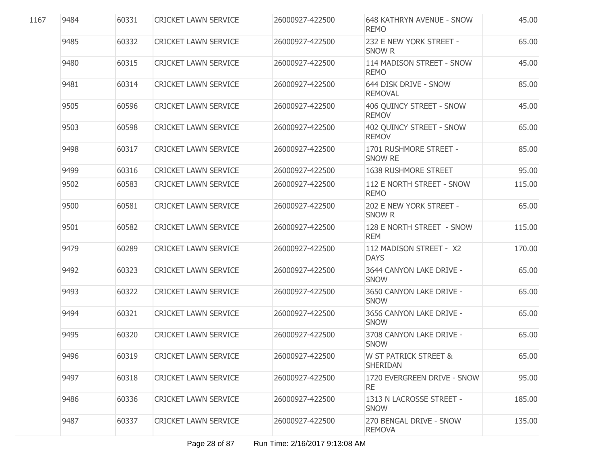| 1167 | 9484 | 60331 | <b>CRICKET LAWN SERVICE</b> | 26000927-422500 | <b>648 KATHRYN AVENUE - SNOW</b><br><b>REMO</b> | 45.00  |
|------|------|-------|-----------------------------|-----------------|-------------------------------------------------|--------|
|      | 9485 | 60332 | <b>CRICKET LAWN SERVICE</b> | 26000927-422500 | 232 E NEW YORK STREET -<br>SNOW R               | 65.00  |
|      | 9480 | 60315 | <b>CRICKET LAWN SERVICE</b> | 26000927-422500 | 114 MADISON STREET - SNOW<br><b>REMO</b>        | 45.00  |
|      | 9481 | 60314 | <b>CRICKET LAWN SERVICE</b> | 26000927-422500 | 644 DISK DRIVE - SNOW<br><b>REMOVAL</b>         | 85.00  |
|      | 9505 | 60596 | <b>CRICKET LAWN SERVICE</b> | 26000927-422500 | 406 QUINCY STREET - SNOW<br><b>REMOV</b>        | 45.00  |
|      | 9503 | 60598 | <b>CRICKET LAWN SERVICE</b> | 26000927-422500 | 402 QUINCY STREET - SNOW<br><b>REMOV</b>        | 65.00  |
|      | 9498 | 60317 | <b>CRICKET LAWN SERVICE</b> | 26000927-422500 | 1701 RUSHMORE STREET -<br>SNOW RE               | 85.00  |
|      | 9499 | 60316 | <b>CRICKET LAWN SERVICE</b> | 26000927-422500 | 1638 RUSHMORE STREET                            | 95.00  |
|      | 9502 | 60583 | <b>CRICKET LAWN SERVICE</b> | 26000927-422500 | 112 E NORTH STREET - SNOW<br><b>REMO</b>        | 115.00 |
|      | 9500 | 60581 | <b>CRICKET LAWN SERVICE</b> | 26000927-422500 | 202 E NEW YORK STREET -<br><b>SNOW R</b>        | 65.00  |
|      | 9501 | 60582 | <b>CRICKET LAWN SERVICE</b> | 26000927-422500 | 128 E NORTH STREET - SNOW<br><b>REM</b>         | 115.00 |
|      | 9479 | 60289 | <b>CRICKET LAWN SERVICE</b> | 26000927-422500 | 112 MADISON STREET - X2<br><b>DAYS</b>          | 170.00 |
|      | 9492 | 60323 | <b>CRICKET LAWN SERVICE</b> | 26000927-422500 | 3644 CANYON LAKE DRIVE -<br><b>SNOW</b>         | 65.00  |
|      | 9493 | 60322 | <b>CRICKET LAWN SERVICE</b> | 26000927-422500 | 3650 CANYON LAKE DRIVE -<br><b>SNOW</b>         | 65.00  |
|      | 9494 | 60321 | <b>CRICKET LAWN SERVICE</b> | 26000927-422500 | 3656 CANYON LAKE DRIVE -<br><b>SNOW</b>         | 65.00  |
|      | 9495 | 60320 | <b>CRICKET LAWN SERVICE</b> | 26000927-422500 | 3708 CANYON LAKE DRIVE -<br><b>SNOW</b>         | 65.00  |
|      | 9496 | 60319 | <b>CRICKET LAWN SERVICE</b> | 26000927-422500 | W ST PATRICK STREET &<br><b>SHERIDAN</b>        | 65.00  |
|      | 9497 | 60318 | <b>CRICKET LAWN SERVICE</b> | 26000927-422500 | 1720 EVERGREEN DRIVE - SNOW<br><b>RE</b>        | 95.00  |
|      | 9486 | 60336 | <b>CRICKET LAWN SERVICE</b> | 26000927-422500 | 1313 N LACROSSE STREET -<br><b>SNOW</b>         | 185.00 |
|      | 9487 | 60337 | <b>CRICKET LAWN SERVICE</b> | 26000927-422500 | 270 BENGAL DRIVE - SNOW<br><b>REMOVA</b>        | 135.00 |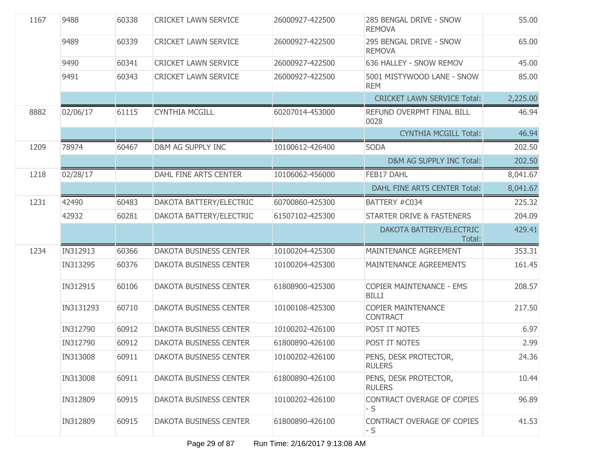| 1167 | 9488      | 60338 | <b>CRICKET LAWN SERVICE</b>   | 26000927-422500 | 285 BENGAL DRIVE - SNOW<br><b>REMOVA</b>        | 55.00    |
|------|-----------|-------|-------------------------------|-----------------|-------------------------------------------------|----------|
|      | 9489      | 60339 | <b>CRICKET LAWN SERVICE</b>   | 26000927-422500 | 295 BENGAL DRIVE - SNOW<br><b>REMOVA</b>        | 65.00    |
|      | 9490      | 60341 | <b>CRICKET LAWN SERVICE</b>   | 26000927-422500 | 636 HALLEY - SNOW REMOV                         | 45.00    |
|      | 9491      | 60343 | <b>CRICKET LAWN SERVICE</b>   | 26000927-422500 | 5001 MISTYWOOD LANE - SNOW<br><b>REM</b>        | 85.00    |
|      |           |       |                               |                 | <b>CRICKET LAWN SERVICE Total:</b>              | 2,225.00 |
| 8882 | 02/06/17  | 61115 | <b>CYNTHIA MCGILL</b>         | 60207014-453000 | REFUND OVERPMT FINAL BILL<br>0028               | 46.94    |
|      |           |       |                               |                 | <b>CYNTHIA MCGILL Total:</b>                    | 46.94    |
| 1209 | 78974     | 60467 | D&M AG SUPPLY INC             | 10100612-426400 | <b>SODA</b>                                     | 202.50   |
|      |           |       |                               |                 | D&M AG SUPPLY INC Total:                        | 202.50   |
| 1218 | 02/28/17  |       | DAHL FINE ARTS CENTER         | 10106062-456000 | FEB17 DAHL                                      | 8,041.67 |
|      |           |       |                               |                 | <b>DAHL FINE ARTS CENTER Total:</b>             | 8,041.67 |
| 1231 | 42490     | 60483 | DAKOTA BATTERY/ELECTRIC       | 60700860-425300 | BATTERY #C034                                   | 225.32   |
|      | 42932     | 60281 | DAKOTA BATTERY/ELECTRIC       | 61507102-425300 | <b>STARTER DRIVE &amp; FASTENERS</b>            | 204.09   |
|      |           |       |                               |                 | DAKOTA BATTERY/ELECTRIC<br>Total:               | 429.41   |
| 1234 | IN312913  | 60366 | <b>DAKOTA BUSINESS CENTER</b> | 10100204-425300 | MAINTENANCE AGREEMENT                           | 353.31   |
|      | IN313295  | 60376 | DAKOTA BUSINESS CENTER        | 10100204-425300 | MAINTENANCE AGREEMENTS                          | 161.45   |
|      | IN312915  | 60106 | <b>DAKOTA BUSINESS CENTER</b> | 61808900-425300 | <b>COPIER MAINTENANCE - EMS</b><br><b>BILLI</b> | 208.57   |
|      | IN3131293 | 60710 | DAKOTA BUSINESS CENTER        | 10100108-425300 | <b>COPIER MAINTENANCE</b><br><b>CONTRACT</b>    | 217.50   |
|      | IN312790  | 60912 | <b>DAKOTA BUSINESS CENTER</b> | 10100202-426100 | POST IT NOTES                                   | 6.97     |
|      | IN312790  | 60912 | DAKOTA BUSINESS CENTER        | 61800890-426100 | POST IT NOTES                                   | 2.99     |
|      | IN313008  | 60911 | DAKOTA BUSINESS CENTER        | 10100202-426100 | PENS, DESK PROTECTOR,<br><b>RULERS</b>          | 24.36    |
|      | IN313008  | 60911 | DAKOTA BUSINESS CENTER        | 61800890-426100 | PENS, DESK PROTECTOR,<br><b>RULERS</b>          | 10.44    |
|      | IN312809  | 60915 | DAKOTA BUSINESS CENTER        | 10100202-426100 | CONTRACT OVERAGE OF COPIES<br>- S               | 96.89    |
|      | IN312809  | 60915 | DAKOTA BUSINESS CENTER        | 61800890-426100 | CONTRACT OVERAGE OF COPIES<br>- S               | 41.53    |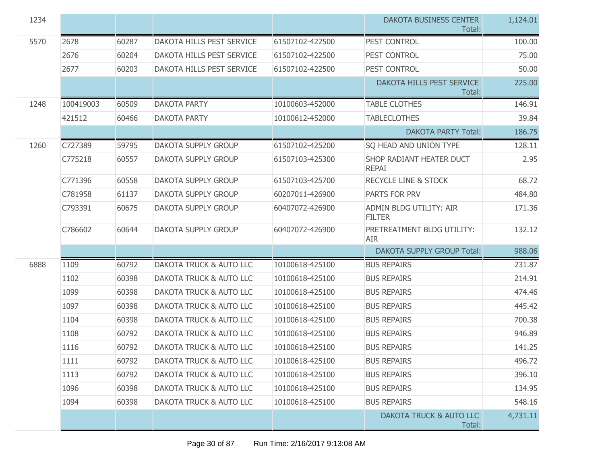| 1234 |           |       |                                    |                 | <b>DAKOTA BUSINESS CENTER</b><br>Total:  | 1,124.01 |
|------|-----------|-------|------------------------------------|-----------------|------------------------------------------|----------|
| 5570 | 2678      | 60287 | DAKOTA HILLS PEST SERVICE          | 61507102-422500 | PEST CONTROL                             | 100.00   |
|      | 2676      | 60204 | <b>DAKOTA HILLS PEST SERVICE</b>   | 61507102-422500 | PEST CONTROL                             | 75.00    |
|      | 2677      | 60203 | <b>DAKOTA HILLS PEST SERVICE</b>   | 61507102-422500 | PEST CONTROL                             | 50.00    |
|      |           |       |                                    |                 | DAKOTA HILLS PEST SERVICE<br>Total:      | 225.00   |
| 1248 | 100419003 | 60509 | <b>DAKOTA PARTY</b>                | 10100603-452000 | <b>TABLE CLOTHES</b>                     | 146.91   |
|      | 421512    | 60466 | <b>DAKOTA PARTY</b>                | 10100612-452000 | <b>TABLECLOTHES</b>                      | 39.84    |
|      |           |       |                                    |                 | <b>DAKOTA PARTY Total:</b>               | 186.75   |
| 1260 | C727389   | 59795 | <b>DAKOTA SUPPLY GROUP</b>         | 61507102-425200 | SQ HEAD AND UNION TYPE                   | 128.11   |
|      | C775218   | 60557 | <b>DAKOTA SUPPLY GROUP</b>         | 61507103-425300 | SHOP RADIANT HEATER DUCT<br><b>REPAI</b> | 2.95     |
|      | C771396   | 60558 | <b>DAKOTA SUPPLY GROUP</b>         | 61507103-425700 | <b>RECYCLE LINE &amp; STOCK</b>          | 68.72    |
|      | C781958   | 61137 | DAKOTA SUPPLY GROUP                | 60207011-426900 | PARTS FOR PRV                            | 484.80   |
|      | C793391   | 60675 | DAKOTA SUPPLY GROUP                | 60407072-426900 | ADMIN BLDG UTILITY: AIR<br><b>FILTER</b> | 171.36   |
|      | C786602   | 60644 | <b>DAKOTA SUPPLY GROUP</b>         | 60407072-426900 | PRETREATMENT BLDG UTILITY:<br><b>AIR</b> | 132.12   |
|      |           |       |                                    |                 | <b>DAKOTA SUPPLY GROUP Total:</b>        | 988.06   |
| 6888 | 1109      | 60792 | DAKOTA TRUCK & AUTO LLC            | 10100618-425100 | <b>BUS REPAIRS</b>                       | 231.87   |
|      | 1102      | 60398 | DAKOTA TRUCK & AUTO LLC            | 10100618-425100 | <b>BUS REPAIRS</b>                       | 214.91   |
|      | 1099      | 60398 | DAKOTA TRUCK & AUTO LLC            | 10100618-425100 | <b>BUS REPAIRS</b>                       | 474.46   |
|      | 1097      | 60398 | DAKOTA TRUCK & AUTO LLC            | 10100618-425100 | <b>BUS REPAIRS</b>                       | 445.42   |
|      | 1104      | 60398 | DAKOTA TRUCK & AUTO LLC            | 10100618-425100 | <b>BUS REPAIRS</b>                       | 700.38   |
|      | 1108      | 60792 | DAKOTA TRUCK & AUTO LLC            | 10100618-425100 | <b>BUS REPAIRS</b>                       | 946.89   |
|      | 1116      | 60792 | DAKOTA TRUCK & AUTO LLC            | 10100618-425100 | <b>BUS REPAIRS</b>                       | 141.25   |
|      | 1111      | 60792 | DAKOTA TRUCK & AUTO LLC            | 10100618-425100 | <b>BUS REPAIRS</b>                       | 496.72   |
|      | 1113      | 60792 | <b>DAKOTA TRUCK &amp; AUTO LLC</b> | 10100618-425100 | <b>BUS REPAIRS</b>                       | 396.10   |
|      | 1096      | 60398 | DAKOTA TRUCK & AUTO LLC            | 10100618-425100 | <b>BUS REPAIRS</b>                       | 134.95   |
|      | 1094      | 60398 | DAKOTA TRUCK & AUTO LLC            | 10100618-425100 | <b>BUS REPAIRS</b>                       | 548.16   |
|      |           |       |                                    |                 | DAKOTA TRUCK & AUTO LLC<br>Total:        | 4,731.11 |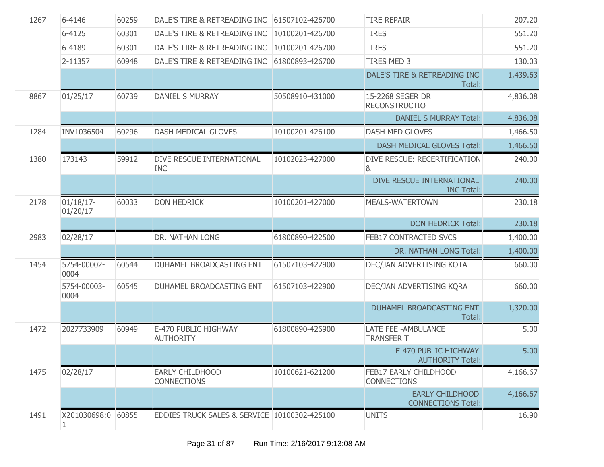| 1267 | 6-4146                   | 60259 | DALE'S TIRE & RETREADING INC                 | 61507102-426700 | <b>TIRE REPAIR</b>                                  | 207.20   |
|------|--------------------------|-------|----------------------------------------------|-----------------|-----------------------------------------------------|----------|
|      | 6-4125                   | 60301 | DALE'S TIRE & RETREADING INC                 | 10100201-426700 | <b>TIRES</b>                                        | 551.20   |
|      | 6-4189                   | 60301 | DALE'S TIRE & RETREADING INC                 | 10100201-426700 | <b>TIRES</b>                                        | 551.20   |
|      | 2-11357                  | 60948 | DALE'S TIRE & RETREADING INC                 | 61800893-426700 | <b>TIRES MED 3</b>                                  | 130.03   |
|      |                          |       |                                              |                 | DALE'S TIRE & RETREADING INC<br>Total:              | 1,439.63 |
| 8867 | 01/25/17                 | 60739 | <b>DANIEL S MURRAY</b>                       | 50508910-431000 | 15-2268 SEGER DR<br><b>RECONSTRUCTIO</b>            | 4,836.08 |
|      |                          |       |                                              |                 | <b>DANIEL S MURRAY Total:</b>                       | 4,836.08 |
| 1284 | INV1036504               | 60296 | <b>DASH MEDICAL GLOVES</b>                   | 10100201-426100 | DASH MED GLOVES                                     | 1,466.50 |
|      |                          |       |                                              |                 | <b>DASH MEDICAL GLOVES Total:</b>                   | 1,466.50 |
| 1380 | 173143                   | 59912 | DIVE RESCUE INTERNATIONAL<br><b>INC</b>      | 10102023-427000 | DIVE RESCUE: RECERTIFICATION<br>&                   | 240.00   |
|      |                          |       |                                              |                 | DIVE RESCUE INTERNATIONAL<br><b>INC Total:</b>      | 240.00   |
| 2178 | $01/18/17$ -<br>01/20/17 | 60033 | <b>DON HEDRICK</b>                           | 10100201-427000 | <b>MEALS-WATERTOWN</b>                              | 230.18   |
|      |                          |       |                                              |                 | <b>DON HEDRICK Total:</b>                           | 230.18   |
| 2983 | 02/28/17                 |       | DR. NATHAN LONG                              | 61800890-422500 | FEB17 CONTRACTED SVCS                               | 1,400.00 |
|      |                          |       |                                              |                 | DR. NATHAN LONG Total:                              | 1,400.00 |
| 1454 | 5754-00002-<br>0004      | 60544 | DUHAMEL BROADCASTING ENT                     | 61507103-422900 | DEC/JAN ADVERTISING KOTA                            | 660.00   |
|      | 5754-00003-<br>0004      | 60545 | DUHAMEL BROADCASTING ENT                     | 61507103-422900 | DEC/JAN ADVERTISING KQRA                            | 660.00   |
|      |                          |       |                                              |                 | DUHAMEL BROADCASTING ENT<br>Total:                  | 1,320.00 |
| 1472 | 2027733909               | 60949 | E-470 PUBLIC HIGHWAY<br><b>AUTHORITY</b>     | 61800890-426900 | LATE FEE - AMBULANCE<br><b>TRANSFER T</b>           | 5.00     |
|      |                          |       |                                              |                 | E-470 PUBLIC HIGHWAY<br><b>AUTHORITY Total:</b>     | 5.00     |
| 1475 | 02/28/17                 |       | <b>EARLY CHILDHOOD</b><br><b>CONNECTIONS</b> | 10100621-621200 | FEB17 EARLY CHILDHOOD<br><b>CONNECTIONS</b>         | 4,166.67 |
|      |                          |       |                                              |                 | <b>EARLY CHILDHOOD</b><br><b>CONNECTIONS Total:</b> | 4,166.67 |
| 1491 | X201030698:0             | 60855 | EDDIES TRUCK SALES & SERVICE 10100302-425100 |                 | <b>UNITS</b>                                        | 16.90    |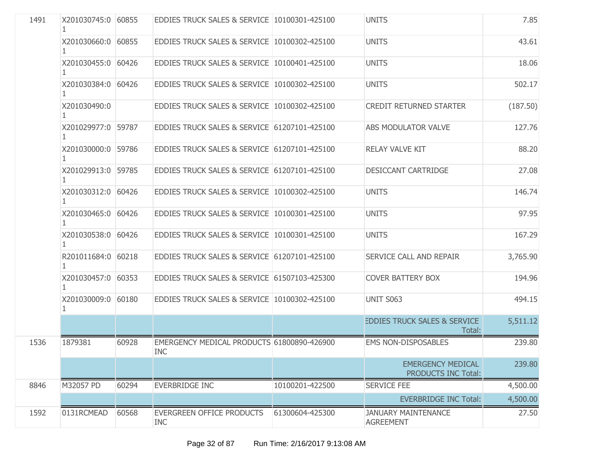| 1491 | X201030745:0 60855       |       | EDDIES TRUCK SALES & SERVICE 10100301-425100             |                 | <b>UNITS</b>                                      | 7.85     |
|------|--------------------------|-------|----------------------------------------------------------|-----------------|---------------------------------------------------|----------|
|      | X201030660:0 60855       |       | EDDIES TRUCK SALES & SERVICE 10100302-425100             |                 | <b>UNITS</b>                                      | 43.61    |
|      | X201030455:0 60426       |       | EDDIES TRUCK SALES & SERVICE 10100401-425100             |                 | <b>UNITS</b>                                      | 18.06    |
|      | X201030384:0 60426       |       | EDDIES TRUCK SALES & SERVICE 10100302-425100             |                 | <b>UNITS</b>                                      | 502.17   |
|      | X201030490:0             |       | EDDIES TRUCK SALES & SERVICE 10100302-425100             |                 | <b>CREDIT RETURNED STARTER</b>                    | (187.50) |
|      | X201029977:0 59787       |       | EDDIES TRUCK SALES & SERVICE 61207101-425100             |                 | ABS MODULATOR VALVE                               | 127.76   |
|      | X201030000:0 59786<br>1  |       | EDDIES TRUCK SALES & SERVICE 61207101-425100             |                 | <b>RELAY VALVE KIT</b>                            | 88.20    |
|      | X201029913:0 59785<br>1. |       | EDDIES TRUCK SALES & SERVICE 61207101-425100             |                 | DESICCANT CARTRIDGE                               | 27.08    |
|      | X201030312:0 60426       |       | EDDIES TRUCK SALES & SERVICE 10100302-425100             |                 | <b>UNITS</b>                                      | 146.74   |
|      | X201030465:0 60426<br>1  |       | EDDIES TRUCK SALES & SERVICE 10100301-425100             |                 | <b>UNITS</b>                                      | 97.95    |
|      | X201030538:0 60426<br>1. |       | EDDIES TRUCK SALES & SERVICE 10100301-425100             |                 | <b>UNITS</b>                                      | 167.29   |
|      | R201011684:0 60218       |       | EDDIES TRUCK SALES & SERVICE 61207101-425100             |                 | SERVICE CALL AND REPAIR                           | 3,765.90 |
|      | X201030457:0 60353<br>ı  |       | EDDIES TRUCK SALES & SERVICE 61507103-425300             |                 | <b>COVER BATTERY BOX</b>                          | 194.96   |
|      | X201030009:0 60180       |       | EDDIES TRUCK SALES & SERVICE 10100302-425100             |                 | <b>UNIT S063</b>                                  | 494.15   |
|      |                          |       |                                                          |                 | <b>EDDIES TRUCK SALES &amp; SERVICE</b><br>Total: | 5,511.12 |
| 1536 | 1879381                  | 60928 | EMERGENCY MEDICAL PRODUCTS 61800890-426900<br><b>INC</b> |                 | <b>EMS NON-DISPOSABLES</b>                        | 239.80   |
|      |                          |       |                                                          |                 | <b>EMERGENCY MEDICAL</b><br>PRODUCTS INC Total:   | 239.80   |
| 8846 | M32057 PD                | 60294 | <b>EVERBRIDGE INC</b>                                    | 10100201-422500 | <b>SERVICE FEE</b>                                | 4,500.00 |
|      |                          |       |                                                          |                 | <b>EVERBRIDGE INC Total:</b>                      | 4,500.00 |
| 1592 | 0131RCMEAD               | 60568 | <b>EVERGREEN OFFICE PRODUCTS</b><br><b>INC</b>           | 61300604-425300 | <b>JANUARY MAINTENANCE</b><br><b>AGREEMENT</b>    | 27.50    |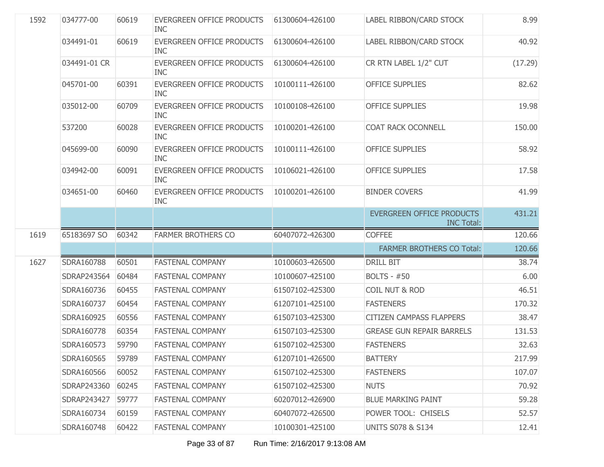| 1592 | 034777-00    | 60619 | EVERGREEN OFFICE PRODUCTS<br><b>INC</b> | 61300604-426100 | LABEL RIBBON/CARD STOCK                               | 8.99    |
|------|--------------|-------|-----------------------------------------|-----------------|-------------------------------------------------------|---------|
|      | 034491-01    | 60619 | EVERGREEN OFFICE PRODUCTS<br><b>INC</b> | 61300604-426100 | LABEL RIBBON/CARD STOCK                               | 40.92   |
|      | 034491-01 CR |       | EVERGREEN OFFICE PRODUCTS<br><b>INC</b> | 61300604-426100 | CR RTN LABEL 1/2" CUT                                 | (17.29) |
|      | 045701-00    | 60391 | EVERGREEN OFFICE PRODUCTS<br><b>INC</b> | 10100111-426100 | <b>OFFICE SUPPLIES</b>                                | 82.62   |
|      | 035012-00    | 60709 | EVERGREEN OFFICE PRODUCTS<br><b>INC</b> | 10100108-426100 | <b>OFFICE SUPPLIES</b>                                | 19.98   |
|      | 537200       | 60028 | EVERGREEN OFFICE PRODUCTS<br><b>INC</b> | 10100201-426100 | COAT RACK OCONNELL                                    | 150.00  |
|      | 045699-00    | 60090 | EVERGREEN OFFICE PRODUCTS<br><b>INC</b> | 10100111-426100 | <b>OFFICE SUPPLIES</b>                                | 58.92   |
|      | 034942-00    | 60091 | EVERGREEN OFFICE PRODUCTS<br><b>INC</b> | 10106021-426100 | <b>OFFICE SUPPLIES</b>                                | 17.58   |
|      | 034651-00    | 60460 | EVERGREEN OFFICE PRODUCTS<br><b>INC</b> | 10100201-426100 | <b>BINDER COVERS</b>                                  | 41.99   |
|      |              |       |                                         |                 | <b>EVERGREEN OFFICE PRODUCTS</b><br><b>INC Total:</b> | 431.21  |
|      |              |       |                                         |                 |                                                       |         |
| 1619 | 65183697 SO  | 60342 | <b>FARMER BROTHERS CO</b>               | 60407072-426300 | <b>COFFEE</b>                                         | 120.66  |
|      |              |       |                                         |                 | <b>FARMER BROTHERS CO Total:</b>                      | 120.66  |
| 1627 | SDRA160788   | 60501 | <b>FASTENAL COMPANY</b>                 | 10100603-426500 | <b>DRILL BIT</b>                                      | 38.74   |
|      | SDRAP243564  | 60484 | FASTENAL COMPANY                        | 10100607-425100 | <b>BOLTS - #50</b>                                    | 6.00    |
|      | SDRA160736   | 60455 | <b>FASTENAL COMPANY</b>                 | 61507102-425300 | <b>COIL NUT &amp; ROD</b>                             | 46.51   |
|      | SDRA160737   | 60454 | <b>FASTENAL COMPANY</b>                 | 61207101-425100 | <b>FASTENERS</b>                                      | 170.32  |
|      | SDRA160925   | 60556 | <b>FASTENAL COMPANY</b>                 | 61507103-425300 | <b>CITIZEN CAMPASS FLAPPERS</b>                       | 38.47   |
|      | SDRA160778   | 60354 | <b>FASTENAL COMPANY</b>                 | 61507103-425300 | <b>GREASE GUN REPAIR BARRELS</b>                      | 131.53  |
|      | SDRA160573   | 59790 | <b>FASTENAL COMPANY</b>                 | 61507102-425300 | <b>FASTENERS</b>                                      | 32.63   |
|      | SDRA160565   | 59789 | <b>FASTENAL COMPANY</b>                 | 61207101-426500 | <b>BATTERY</b>                                        | 217.99  |
|      | SDRA160566   | 60052 | <b>FASTENAL COMPANY</b>                 | 61507102-425300 | <b>FASTENERS</b>                                      | 107.07  |
|      | SDRAP243360  | 60245 | <b>FASTENAL COMPANY</b>                 | 61507102-425300 | <b>NUTS</b>                                           | 70.92   |
|      | SDRAP243427  | 59777 | <b>FASTENAL COMPANY</b>                 | 60207012-426900 | <b>BLUE MARKING PAINT</b>                             | 59.28   |
|      | SDRA160734   | 60159 | <b>FASTENAL COMPANY</b>                 | 60407072-426500 | POWER TOOL: CHISELS                                   | 52.57   |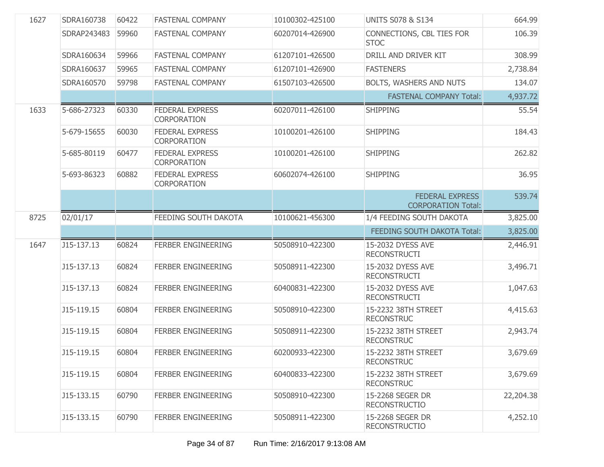| 1627 | SDRA160738  | 60422 | <b>FASTENAL COMPANY</b>                      | 10100302-425100 | <b>UNITS S078 &amp; S134</b>                        | 664.99    |
|------|-------------|-------|----------------------------------------------|-----------------|-----------------------------------------------------|-----------|
|      | SDRAP243483 | 59960 | <b>FASTENAL COMPANY</b>                      | 60207014-426900 | CONNECTIONS, CBL TIES FOR<br><b>STOC</b>            | 106.39    |
|      | SDRA160634  | 59966 | <b>FASTENAL COMPANY</b>                      | 61207101-426500 | DRILL AND DRIVER KIT                                | 308.99    |
|      | SDRA160637  | 59965 | <b>FASTENAL COMPANY</b>                      | 61207101-426900 | <b>FASTENERS</b>                                    | 2,738.84  |
|      | SDRA160570  | 59798 | <b>FASTENAL COMPANY</b>                      | 61507103-426500 | BOLTS, WASHERS AND NUTS                             | 134.07    |
|      |             |       |                                              |                 | <b>FASTENAL COMPANY Total:</b>                      | 4,937.72  |
| 1633 | 5-686-27323 | 60330 | <b>FEDERAL EXPRESS</b><br><b>CORPORATION</b> | 60207011-426100 | <b>SHIPPING</b>                                     | 55.54     |
|      | 5-679-15655 | 60030 | <b>FEDERAL EXPRESS</b><br><b>CORPORATION</b> | 10100201-426100 | <b>SHIPPING</b>                                     | 184.43    |
|      | 5-685-80119 | 60477 | <b>FEDERAL EXPRESS</b><br><b>CORPORATION</b> | 10100201-426100 | <b>SHIPPING</b>                                     | 262.82    |
|      | 5-693-86323 | 60882 | <b>FEDERAL EXPRESS</b><br><b>CORPORATION</b> | 60602074-426100 | <b>SHIPPING</b>                                     | 36.95     |
|      |             |       |                                              |                 | <b>FEDERAL EXPRESS</b><br><b>CORPORATION Total:</b> | 539.74    |
| 8725 | 02/01/17    |       | FEEDING SOUTH DAKOTA                         | 10100621-456300 | 1/4 FEEDING SOUTH DAKOTA                            | 3,825.00  |
|      |             |       |                                              |                 |                                                     |           |
|      |             |       |                                              |                 | FEEDING SOUTH DAKOTA Total:                         | 3,825.00  |
| 1647 | J15-137.13  | 60824 | FERBER ENGINEERING                           | 50508910-422300 | 15-2032 DYESS AVE<br><b>RECONSTRUCTI</b>            | 2,446.91  |
|      | J15-137.13  | 60824 | FERBER ENGINEERING                           | 50508911-422300 | 15-2032 DYESS AVE<br><b>RECONSTRUCTI</b>            | 3,496.71  |
|      | J15-137.13  | 60824 | <b>FERBER ENGINEERING</b>                    | 60400831-422300 | 15-2032 DYESS AVE<br><b>RECONSTRUCTI</b>            | 1,047.63  |
|      | J15-119.15  | 60804 | <b>FERBER ENGINEERING</b>                    | 50508910-422300 | 15-2232 38TH STREET<br><b>RECONSTRUC</b>            | 4,415.63  |
|      | J15-119.15  | 60804 | <b>FERBER ENGINEERING</b>                    | 50508911-422300 | 15-2232 38TH STREET<br><b>RECONSTRUC</b>            | 2,943.74  |
|      | J15-119.15  | 60804 | <b>FERBER ENGINEERING</b>                    | 60200933-422300 | 15-2232 38TH STREET<br><b>RECONSTRUC</b>            | 3,679.69  |
|      | J15-119.15  | 60804 | <b>FERBER ENGINEERING</b>                    | 60400833-422300 | 15-2232 38TH STREET<br><b>RECONSTRUC</b>            | 3,679.69  |
|      | J15-133.15  | 60790 | <b>FERBER ENGINEERING</b>                    | 50508910-422300 | 15-2268 SEGER DR<br><b>RECONSTRUCTIO</b>            | 22,204.38 |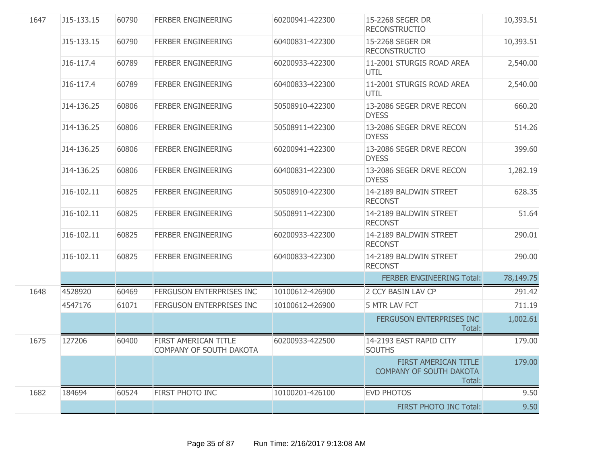| 1647 | J15-133.15 | 60790 | <b>FERBER ENGINEERING</b>                       | 60200941-422300 | 15-2268 SEGER DR<br><b>RECONSTRUCTIO</b>                         | 10,393.51 |
|------|------------|-------|-------------------------------------------------|-----------------|------------------------------------------------------------------|-----------|
|      | J15-133.15 | 60790 | <b>FERBER ENGINEERING</b>                       | 60400831-422300 | 15-2268 SEGER DR<br><b>RECONSTRUCTIO</b>                         | 10,393.51 |
|      | J16-117.4  | 60789 | <b>FERBER ENGINEERING</b>                       | 60200933-422300 | 11-2001 STURGIS ROAD AREA<br>UTIL                                | 2,540.00  |
|      | J16-117.4  | 60789 | <b>FERBER ENGINEERING</b>                       | 60400833-422300 | 11-2001 STURGIS ROAD AREA<br>UTIL                                | 2,540.00  |
|      | J14-136.25 | 60806 | <b>FERBER ENGINEERING</b>                       | 50508910-422300 | 13-2086 SEGER DRVE RECON<br><b>DYESS</b>                         | 660.20    |
|      | J14-136.25 | 60806 | FERBER ENGINEERING                              | 50508911-422300 | 13-2086 SEGER DRVE RECON<br><b>DYESS</b>                         | 514.26    |
|      | J14-136.25 | 60806 | <b>FERBER ENGINEERING</b>                       | 60200941-422300 | 13-2086 SEGER DRVE RECON<br><b>DYESS</b>                         | 399.60    |
|      | J14-136.25 | 60806 | <b>FERBER ENGINEERING</b>                       | 60400831-422300 | 13-2086 SEGER DRVE RECON<br><b>DYESS</b>                         | 1,282.19  |
|      | J16-102.11 | 60825 | FERBER ENGINEERING                              | 50508910-422300 | 14-2189 BALDWIN STREET<br><b>RECONST</b>                         | 628.35    |
|      | J16-102.11 | 60825 | <b>FERBER ENGINEERING</b>                       | 50508911-422300 | 14-2189 BALDWIN STREET<br><b>RECONST</b>                         | 51.64     |
|      | J16-102.11 | 60825 | <b>FERBER ENGINEERING</b>                       | 60200933-422300 | 14-2189 BALDWIN STREET<br><b>RECONST</b>                         | 290.01    |
|      | J16-102.11 | 60825 | <b>FERBER ENGINEERING</b>                       | 60400833-422300 | 14-2189 BALDWIN STREET<br><b>RECONST</b>                         | 290.00    |
|      |            |       |                                                 |                 | <b>FERBER ENGINEERING Total:</b>                                 | 78,149.75 |
| 1648 | 4528920    | 60469 | FERGUSON ENTERPRISES INC                        | 10100612-426900 | 2 CCY BASIN LAV CP                                               | 291.42    |
|      | 4547176    | 61071 | FERGUSON ENTERPRISES INC                        | 10100612-426900 | 5 MTR LAV FCT                                                    | 711.19    |
|      |            |       |                                                 |                 | FERGUSON ENTERPRISES INC<br>Total:                               | 1,002.61  |
| 1675 | 127206     | 60400 | FIRST AMERICAN TITLE<br>COMPANY OF SOUTH DAKOTA | 60200933-422500 | 14-2193 EAST RAPID CITY<br><b>SOUTHS</b>                         | 179.00    |
|      |            |       |                                                 |                 | FIRST AMERICAN TITLE<br><b>COMPANY OF SOUTH DAKOTA</b><br>Total: | 179.00    |
| 1682 | 184694     | 60524 | FIRST PHOTO INC                                 | 10100201-426100 | <b>EVD PHOTOS</b>                                                | 9.50      |
|      |            |       |                                                 |                 | FIRST PHOTO INC Total:                                           | 9.50      |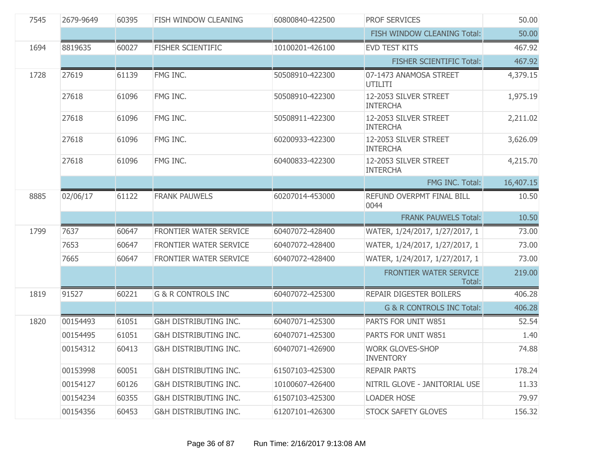| 7545 | 2679-9649 | 60395 | FISH WINDOW CLEANING             | 60800840-422500 | <b>PROF SERVICES</b>                        | 50.00     |
|------|-----------|-------|----------------------------------|-----------------|---------------------------------------------|-----------|
|      |           |       |                                  |                 | FISH WINDOW CLEANING Total:                 | 50.00     |
| 1694 | 8819635   | 60027 | <b>FISHER SCIENTIFIC</b>         | 10100201-426100 | <b>EVD TEST KITS</b>                        | 467.92    |
|      |           |       |                                  |                 | <b>FISHER SCIENTIFIC Total:</b>             | 467.92    |
| 1728 | 27619     | 61139 | FMG INC.                         | 50508910-422300 | 07-1473 ANAMOSA STREET<br>UTILITI           | 4,379.15  |
|      | 27618     | 61096 | FMG INC.                         | 50508910-422300 | 12-2053 SILVER STREET<br><b>INTERCHA</b>    | 1,975.19  |
|      | 27618     | 61096 | FMG INC.                         | 50508911-422300 | 12-2053 SILVER STREET<br><b>INTERCHA</b>    | 2,211.02  |
|      | 27618     | 61096 | FMG INC.                         | 60200933-422300 | 12-2053 SILVER STREET<br><b>INTERCHA</b>    | 3,626.09  |
|      | 27618     | 61096 | FMG INC.                         | 60400833-422300 | 12-2053 SILVER STREET<br><b>INTERCHA</b>    | 4,215.70  |
|      |           |       |                                  |                 | FMG INC. Total:                             | 16,407.15 |
| 8885 | 02/06/17  | 61122 | <b>FRANK PAUWELS</b>             | 60207014-453000 | REFUND OVERPMT FINAL BILL<br>0044           | 10.50     |
|      |           |       |                                  |                 | <b>FRANK PAUWELS Total:</b>                 | 10.50     |
| 1799 | 7637      | 60647 | FRONTIER WATER SERVICE           | 60407072-428400 | WATER, 1/24/2017, 1/27/2017, 1              | 73.00     |
|      | 7653      | 60647 | FRONTIER WATER SERVICE           | 60407072-428400 | WATER, 1/24/2017, 1/27/2017, 1              | 73.00     |
|      | 7665      | 60647 | FRONTIER WATER SERVICE           | 60407072-428400 | WATER, 1/24/2017, 1/27/2017, 1              | 73.00     |
|      |           |       |                                  |                 | FRONTIER WATER SERVICE<br>Total:            | 219.00    |
| 1819 | 91527     | 60221 | <b>G &amp; R CONTROLS INC</b>    | 60407072-425300 | REPAIR DIGESTER BOILERS                     | 406.28    |
|      |           |       |                                  |                 | G & R CONTROLS INC Total:                   | 406.28    |
| 1820 | 00154493  | 61051 | G&H DISTRIBUTING INC.            | 60407071-425300 | PARTS FOR UNIT W851                         | 52.54     |
|      | 00154495  | 61051 | <b>G&amp;H DISTRIBUTING INC.</b> | 60407071-425300 | PARTS FOR UNIT W851                         | 1.40      |
|      | 00154312  | 60413 | <b>G&amp;H DISTRIBUTING INC.</b> | 60407071-426900 | <b>WORK GLOVES-SHOP</b><br><b>INVENTORY</b> | 74.88     |
|      | 00153998  | 60051 | <b>G&amp;H DISTRIBUTING INC.</b> | 61507103-425300 | <b>REPAIR PARTS</b>                         | 178.24    |
|      | 00154127  | 60126 | <b>G&amp;H DISTRIBUTING INC.</b> | 10100607-426400 | NITRIL GLOVE - JANITORIAL USE               | 11.33     |
|      | 00154234  | 60355 | G&H DISTRIBUTING INC.            | 61507103-425300 | <b>LOADER HOSE</b>                          | 79.97     |
|      | 00154356  | 60453 | G&H DISTRIBUTING INC.            | 61207101-426300 | <b>STOCK SAFETY GLOVES</b>                  | 156.32    |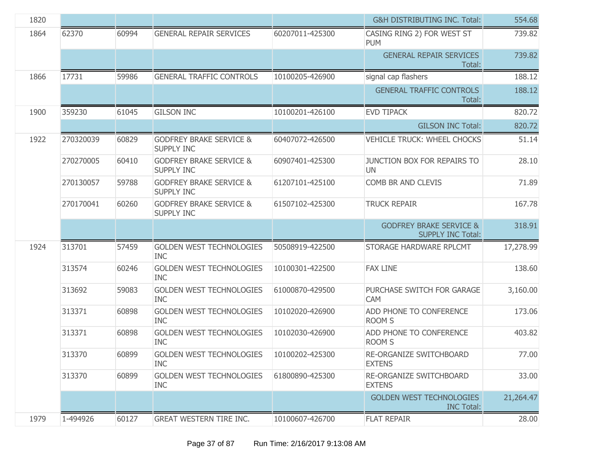| 1820 |           |       |                                                         |                 | <b>G&amp;H DISTRIBUTING INC. Total:</b>                        | 554.68    |
|------|-----------|-------|---------------------------------------------------------|-----------------|----------------------------------------------------------------|-----------|
| 1864 | 62370     | 60994 | <b>GENERAL REPAIR SERVICES</b>                          | 60207011-425300 | CASING RING 2) FOR WEST ST<br><b>PUM</b>                       | 739.82    |
|      |           |       |                                                         |                 | <b>GENERAL REPAIR SERVICES</b><br>Total:                       | 739.82    |
| 1866 | 17731     | 59986 | <b>GENERAL TRAFFIC CONTROLS</b>                         | 10100205-426900 | signal cap flashers                                            | 188.12    |
|      |           |       |                                                         |                 | <b>GENERAL TRAFFIC CONTROLS</b><br>Total:                      | 188.12    |
| 1900 | 359230    | 61045 | <b>GILSON INC</b>                                       | 10100201-426100 | <b>EVD TIPACK</b>                                              | 820.72    |
|      |           |       |                                                         |                 | <b>GILSON INC Total:</b>                                       | 820.72    |
| 1922 | 270320039 | 60829 | <b>GODFREY BRAKE SERVICE &amp;</b><br><b>SUPPLY INC</b> | 60407072-426500 | <b>VEHICLE TRUCK: WHEEL CHOCKS</b>                             | 51.14     |
|      | 270270005 | 60410 | <b>GODFREY BRAKE SERVICE &amp;</b><br><b>SUPPLY INC</b> | 60907401-425300 | JUNCTION BOX FOR REPAIRS TO<br><b>UN</b>                       | 28.10     |
|      | 270130057 | 59788 | <b>GODFREY BRAKE SERVICE &amp;</b><br><b>SUPPLY INC</b> | 61207101-425100 | COMB BR AND CLEVIS                                             | 71.89     |
|      | 270170041 | 60260 | <b>GODFREY BRAKE SERVICE &amp;</b><br><b>SUPPLY INC</b> | 61507102-425300 | <b>TRUCK REPAIR</b>                                            | 167.78    |
|      |           |       |                                                         |                 | <b>GODFREY BRAKE SERVICE &amp;</b><br><b>SUPPLY INC Total:</b> | 318.91    |
| 1924 | 313701    | 57459 | <b>GOLDEN WEST TECHNOLOGIES</b><br><b>INC</b>           | 50508919-422500 | STORAGE HARDWARE RPLCMT                                        | 17,278.99 |
|      | 313574    | 60246 | <b>GOLDEN WEST TECHNOLOGIES</b><br><b>INC</b>           | 10100301-422500 | <b>FAX LINE</b>                                                | 138.60    |
|      | 313692    | 59083 | <b>GOLDEN WEST TECHNOLOGIES</b><br><b>INC</b>           | 61000870-429500 | PURCHASE SWITCH FOR GARAGE<br><b>CAM</b>                       | 3,160.00  |
|      | 313371    | 60898 | <b>GOLDEN WEST TECHNOLOGIES</b><br><b>INC</b>           | 10102020-426900 | ADD PHONE TO CONFERENCE<br><b>ROOM S</b>                       | 173.06    |
|      | 313371    | 60898 | <b>GOLDEN WEST TECHNOLOGIES</b><br><b>INC</b>           | 10102030-426900 | ADD PHONE TO CONFERENCE<br><b>ROOM S</b>                       | 403.82    |
|      | 313370    | 60899 | <b>GOLDEN WEST TECHNOLOGIES</b><br><b>INC</b>           | 10100202-425300 | RE-ORGANIZE SWITCHBOARD<br><b>EXTENS</b>                       | 77.00     |
|      | 313370    | 60899 | <b>GOLDEN WEST TECHNOLOGIES</b><br><b>INC</b>           | 61800890-425300 | RE-ORGANIZE SWITCHBOARD<br><b>EXTENS</b>                       | 33.00     |
|      |           |       |                                                         |                 | <b>GOLDEN WEST TECHNOLOGIES</b><br><b>INC Total:</b>           | 21,264.47 |
| 1979 | 1-494926  | 60127 | <b>GREAT WESTERN TIRE INC.</b>                          | 10100607-426700 | <b>FLAT REPAIR</b>                                             | 28.00     |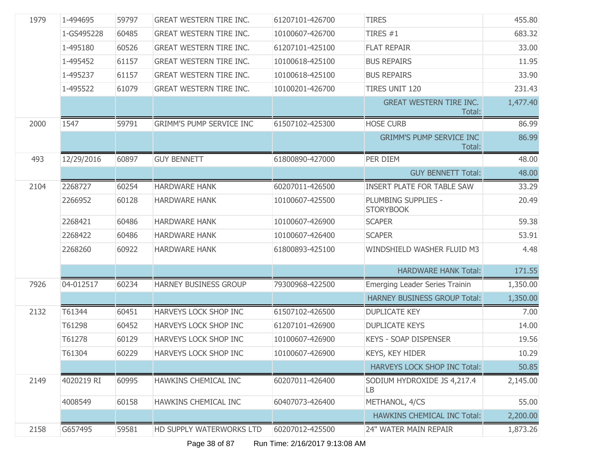| 1-494695   | 59797 | <b>GREAT WESTERN TIRE INC.</b>  | 61207101-426700 | <b>TIRES</b>                              | 455.80   |
|------------|-------|---------------------------------|-----------------|-------------------------------------------|----------|
| 1-GS495228 | 60485 | <b>GREAT WESTERN TIRE INC.</b>  | 10100607-426700 | TIRES $#1$                                | 683.32   |
| 1-495180   | 60526 | <b>GREAT WESTERN TIRE INC.</b>  | 61207101-425100 | <b>FLAT REPAIR</b>                        | 33.00    |
| 1-495452   | 61157 | <b>GREAT WESTERN TIRE INC.</b>  | 10100618-425100 | <b>BUS REPAIRS</b>                        | 11.95    |
| 1-495237   | 61157 | <b>GREAT WESTERN TIRE INC.</b>  | 10100618-425100 | <b>BUS REPAIRS</b>                        | 33.90    |
| 1-495522   | 61079 | <b>GREAT WESTERN TIRE INC.</b>  | 10100201-426700 | <b>TIRES UNIT 120</b>                     | 231.43   |
|            |       |                                 |                 | <b>GREAT WESTERN TIRE INC.</b><br>Total:  | 1,477.40 |
| 1547       | 59791 | <b>GRIMM'S PUMP SERVICE INC</b> | 61507102-425300 | <b>HOSE CURB</b>                          | 86.99    |
|            |       |                                 |                 | <b>GRIMM'S PUMP SERVICE INC</b><br>Total: | 86.99    |
| 12/29/2016 | 60897 | <b>GUY BENNETT</b>              | 61800890-427000 | PER DIEM                                  | 48.00    |
|            |       |                                 |                 | <b>GUY BENNETT Total:</b>                 | 48.00    |
| 2268727    | 60254 | <b>HARDWARE HANK</b>            | 60207011-426500 | <b>INSERT PLATE FOR TABLE SAW</b>         | 33.29    |
| 2266952    | 60128 | <b>HARDWARE HANK</b>            | 10100607-425500 | PLUMBING SUPPLIES -<br><b>STORYBOOK</b>   | 20.49    |
| 2268421    | 60486 | <b>HARDWARE HANK</b>            | 10100607-426900 | <b>SCAPER</b>                             | 59.38    |
| 2268422    | 60486 | <b>HARDWARE HANK</b>            | 10100607-426400 | <b>SCAPER</b>                             | 53.91    |
| 2268260    | 60922 | <b>HARDWARE HANK</b>            | 61800893-425100 | WINDSHIELD WASHER FLUID M3                | 4.48     |
|            |       |                                 |                 | <b>HARDWARE HANK Total:</b>               | 171.55   |
| 04-012517  | 60234 | HARNEY BUSINESS GROUP           | 79300968-422500 | <b>Emerging Leader Series Trainin</b>     | 1,350.00 |
|            |       |                                 |                 | <b>HARNEY BUSINESS GROUP Total:</b>       | 1,350.00 |
| T61344     | 60451 | HARVEYS LOCK SHOP INC           | 61507102-426500 | <b>DUPLICATE KEY</b>                      | 7.00     |
| T61298     | 60452 | HARVEYS LOCK SHOP INC           | 61207101-426900 | <b>DUPLICATE KEYS</b>                     | 14.00    |
| T61278     | 60129 | HARVEYS LOCK SHOP INC           | 10100607-426900 | <b>KEYS - SOAP DISPENSER</b>              | 19.56    |
| T61304     | 60229 | HARVEYS LOCK SHOP INC           | 10100607-426900 | KEYS, KEY HIDER                           | 10.29    |
|            |       |                                 |                 | <b>HARVEYS LOCK SHOP INC Total:</b>       | 50.85    |
| 4020219 RI | 60995 | HAWKINS CHEMICAL INC            | 60207011-426400 | SODIUM HYDROXIDE JS 4,217.4<br>LВ         | 2,145.00 |
| 4008549    | 60158 | HAWKINS CHEMICAL INC            | 60407073-426400 | METHANOL, 4/CS                            | 55.00    |
|            |       |                                 |                 | HAWKINS CHEMICAL INC Total:               | 2,200.00 |
| G657495    | 59581 | HD SUPPLY WATERWORKS LTD        | 60207012-425500 | 24" WATER MAIN REPAIR                     | 1,873.26 |
|            |       |                                 |                 |                                           |          |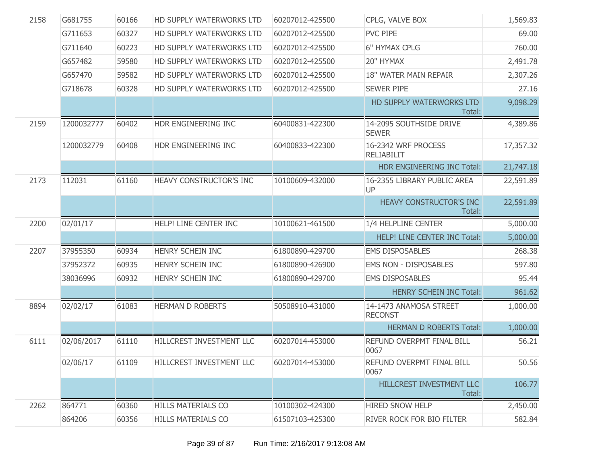| 2158 | G681755    | 60166 | HD SUPPLY WATERWORKS LTD  | 60207012-425500 | CPLG, VALVE BOX                          | 1,569.83  |
|------|------------|-------|---------------------------|-----------------|------------------------------------------|-----------|
|      | G711653    | 60327 | HD SUPPLY WATERWORKS LTD  | 60207012-425500 | PVC PIPE                                 | 69.00     |
|      | G711640    | 60223 | HD SUPPLY WATERWORKS LTD  | 60207012-425500 | <b>6" HYMAX CPLG</b>                     | 760.00    |
|      | G657482    | 59580 | HD SUPPLY WATERWORKS LTD  | 60207012-425500 | 20" HYMAX                                | 2,491.78  |
|      | G657470    | 59582 | HD SUPPLY WATERWORKS LTD  | 60207012-425500 | 18" WATER MAIN REPAIR                    | 2,307.26  |
|      | G718678    | 60328 | HD SUPPLY WATERWORKS LTD  | 60207012-425500 | <b>SEWER PIPE</b>                        | 27.16     |
|      |            |       |                           |                 | HD SUPPLY WATERWORKS LTD<br>Total:       | 9,098.29  |
| 2159 | 1200032777 | 60402 | HDR ENGINEERING INC       | 60400831-422300 | 14-2095 SOUTHSIDE DRIVE<br><b>SEWER</b>  | 4,389.86  |
|      | 1200032779 | 60408 | HDR ENGINEERING INC       | 60400833-422300 | 16-2342 WRF PROCESS<br><b>RELIABILIT</b> | 17,357.32 |
|      |            |       |                           |                 | HDR ENGINEERING INC Total:               | 21,747.18 |
| 2173 | 112031     | 61160 | HEAVY CONSTRUCTOR'S INC   | 10100609-432000 | 16-2355 LIBRARY PUBLIC AREA<br>UP        | 22,591.89 |
|      |            |       |                           |                 | HEAVY CONSTRUCTOR'S INC<br>Total:        | 22,591.89 |
| 2200 | 02/01/17   |       | HELP! LINE CENTER INC     | 10100621-461500 | 1/4 HELPLINE CENTER                      | 5,000.00  |
|      |            |       |                           |                 | HELP! LINE CENTER INC Total:             | 5,000.00  |
| 2207 | 37955350   | 60934 | HENRY SCHEIN INC          | 61800890-429700 | <b>EMS DISPOSABLES</b>                   | 268.38    |
|      | 37952372   | 60935 | HENRY SCHEIN INC          | 61800890-426900 | <b>EMS NON - DISPOSABLES</b>             | 597.80    |
|      | 38036996   | 60932 | HENRY SCHEIN INC          | 61800890-429700 | <b>EMS DISPOSABLES</b>                   | 95.44     |
|      |            |       |                           |                 | HENRY SCHEIN INC Total:                  | 961.62    |
| 8894 | 02/02/17   | 61083 | <b>HERMAN D ROBERTS</b>   | 50508910-431000 | 14-1473 ANAMOSA STREET<br><b>RECONST</b> | 1,000.00  |
|      |            |       |                           |                 | <b>HERMAN D ROBERTS Total:</b>           | 1,000.00  |
| 6111 | 02/06/2017 | 61110 | HILLCREST INVESTMENT LLC  | 60207014-453000 | REFUND OVERPMT FINAL BILL<br>0067        | 56.21     |
|      | 02/06/17   | 61109 | HILLCREST INVESTMENT LLC  | 60207014-453000 | REFUND OVERPMT FINAL BILL<br>0067        | 50.56     |
|      |            |       |                           |                 | HILLCREST INVESTMENT LLC<br>Total:       | 106.77    |
| 2262 | 864771     | 60360 | <b>HILLS MATERIALS CO</b> | 10100302-424300 | <b>HIRED SNOW HELP</b>                   | 2,450.00  |
|      | 864206     | 60356 | <b>HILLS MATERIALS CO</b> | 61507103-425300 | RIVER ROCK FOR BIO FILTER                | 582.84    |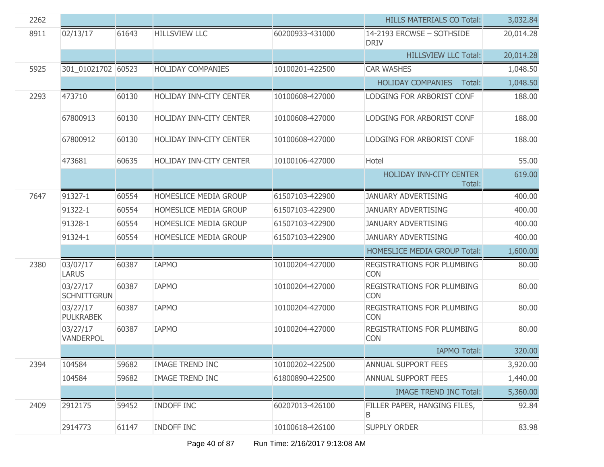| 2262 |                                |       |                          |                 | <b>HILLS MATERIALS CO Total:</b>                | 3,032.84  |
|------|--------------------------------|-------|--------------------------|-----------------|-------------------------------------------------|-----------|
| 8911 | 02/13/17                       | 61643 | <b>HILLSVIEW LLC</b>     | 60200933-431000 | 14-2193 ERCWSE - SOTHSIDE<br><b>DRIV</b>        | 20,014.28 |
|      |                                |       |                          |                 | <b>HILLSVIEW LLC Total:</b>                     | 20,014.28 |
| 5925 | 301_01021702 60523             |       | <b>HOLIDAY COMPANIES</b> | 10100201-422500 | <b>CAR WASHES</b>                               | 1,048.50  |
|      |                                |       |                          |                 | <b>HOLIDAY COMPANIES</b><br>Total:              | 1,048.50  |
| 2293 | 473710                         | 60130 | HOLIDAY INN-CITY CENTER  | 10100608-427000 | LODGING FOR ARBORIST CONF                       | 188.00    |
|      | 67800913                       | 60130 | HOLIDAY INN-CITY CENTER  | 10100608-427000 | LODGING FOR ARBORIST CONF                       | 188.00    |
|      | 67800912                       | 60130 | HOLIDAY INN-CITY CENTER  | 10100608-427000 | LODGING FOR ARBORIST CONF                       | 188.00    |
|      | 473681                         | 60635 | HOLIDAY INN-CITY CENTER  | 10100106-427000 | Hotel                                           | 55.00     |
|      |                                |       |                          |                 | HOLIDAY INN-CITY CENTER<br>Total:               | 619.00    |
| 7647 | 91327-1                        | 60554 | HOMESLICE MEDIA GROUP    | 61507103-422900 | <b>JANUARY ADVERTISING</b>                      | 400.00    |
|      | 91322-1                        | 60554 | HOMESLICE MEDIA GROUP    | 61507103-422900 | <b>JANUARY ADVERTISING</b>                      | 400.00    |
|      | 91328-1                        | 60554 | HOMESLICE MEDIA GROUP    | 61507103-422900 | <b>JANUARY ADVERTISING</b>                      | 400.00    |
|      | 91324-1                        | 60554 | HOMESLICE MEDIA GROUP    | 61507103-422900 | <b>JANUARY ADVERTISING</b>                      | 400.00    |
|      |                                |       |                          |                 | <b>HOMESLICE MEDIA GROUP Total:</b>             | 1,600.00  |
| 2380 | 03/07/17<br><b>LARUS</b>       | 60387 | <b>IAPMO</b>             | 10100204-427000 | REGISTRATIONS FOR PLUMBING<br><b>CON</b>        | 80.00     |
|      | 03/27/17<br><b>SCHNITTGRUN</b> | 60387 | <b>IAPMO</b>             | 10100204-427000 | REGISTRATIONS FOR PLUMBING<br><b>CON</b>        | 80.00     |
|      | 03/27/17<br><b>PULKRABEK</b>   | 60387 | <b>IAPMO</b>             | 10100204-427000 | <b>REGISTRATIONS FOR PLUMBING</b><br><b>CON</b> | 80.00     |
|      | 03/27/17<br>VANDERPOL          | 60387 | <b>IAPMO</b>             | 10100204-427000 | REGISTRATIONS FOR PLUMBING<br><b>CON</b>        | 80.00     |
|      |                                |       |                          |                 | <b>IAPMO Total:</b>                             | 320.00    |
| 2394 | 104584                         | 59682 | <b>IMAGE TREND INC</b>   | 10100202-422500 | ANNUAL SUPPORT FEES                             | 3,920.00  |
|      | 104584                         | 59682 | <b>IMAGE TREND INC</b>   | 61800890-422500 | <b>ANNUAL SUPPORT FEES</b>                      | 1,440.00  |
|      |                                |       |                          |                 | <b>IMAGE TREND INC Total:</b>                   | 5,360.00  |
| 2409 | 2912175                        | 59452 | <b>INDOFF INC</b>        | 60207013-426100 | FILLER PAPER, HANGING FILES,<br>B               | 92.84     |
|      | 2914773                        | 61147 | <b>INDOFF INC</b>        | 10100618-426100 | <b>SUPPLY ORDER</b>                             | 83.98     |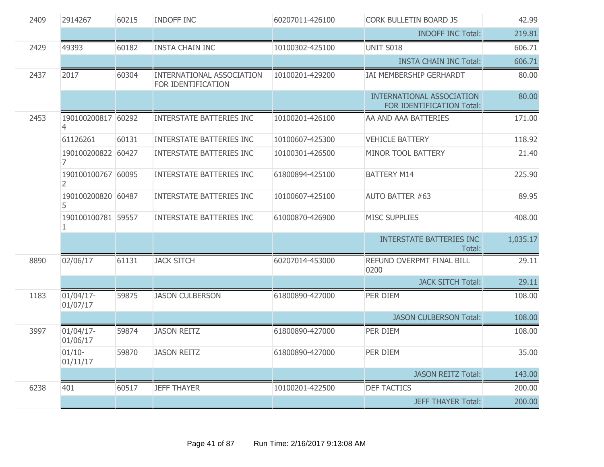| 2409 | 2914267                              | 60215 | <b>INDOFF INC</b>                               | 60207011-426100 | <b>CORK BULLETIN BOARD JS</b>                          | 42.99    |
|------|--------------------------------------|-------|-------------------------------------------------|-----------------|--------------------------------------------------------|----------|
|      |                                      |       |                                                 |                 | <b>INDOFF INC Total:</b>                               | 219.81   |
| 2429 | 49393                                | 60182 | <b>INSTA CHAIN INC</b>                          | 10100302-425100 | UNIT S018                                              | 606.71   |
|      |                                      |       |                                                 |                 | <b>INSTA CHAIN INC Total:</b>                          | 606.71   |
| 2437 | 2017                                 | 60304 | INTERNATIONAL ASSOCIATION<br>FOR IDENTIFICATION | 10100201-429200 | IAI MEMBERSHIP GERHARDT                                | 80.00    |
|      |                                      |       |                                                 |                 | INTERNATIONAL ASSOCIATION<br>FOR IDENTIFICATION Total: | 80.00    |
| 2453 | 190100200817 60292<br>$\overline{4}$ |       | <b>INTERSTATE BATTERIES INC</b>                 | 10100201-426100 | AA AND AAA BATTERIES                                   | 171.00   |
|      | 61126261                             | 60131 | <b>INTERSTATE BATTERIES INC</b>                 | 10100607-425300 | <b>VEHICLE BATTERY</b>                                 | 118.92   |
|      | 190100200822 60427<br>7              |       | <b>INTERSTATE BATTERIES INC</b>                 | 10100301-426500 | MINOR TOOL BATTERY                                     | 21.40    |
|      | 190100100767 60095<br>2              |       | <b>INTERSTATE BATTERIES INC</b>                 | 61800894-425100 | <b>BATTERY M14</b>                                     | 225.90   |
|      | 190100200820 60487<br>5              |       | <b>INTERSTATE BATTERIES INC</b>                 | 10100607-425100 | <b>AUTO BATTER #63</b>                                 | 89.95    |
|      | 190100100781 59557<br>1              |       | <b>INTERSTATE BATTERIES INC</b>                 | 61000870-426900 | <b>MISC SUPPLIES</b>                                   | 408.00   |
|      |                                      |       |                                                 |                 | <b>INTERSTATE BATTERIES INC</b><br>Total:              | 1,035.17 |
| 8890 | 02/06/17                             | 61131 | <b>JACK SITCH</b>                               | 60207014-453000 | REFUND OVERPMT FINAL BILL<br>0200                      | 29.11    |
|      |                                      |       |                                                 |                 | <b>JACK SITCH Total:</b>                               | 29.11    |
| 1183 | $01/04/17$ -<br>01/07/17             | 59875 | <b>JASON CULBERSON</b>                          | 61800890-427000 | PER DIEM                                               | 108.00   |
|      |                                      |       |                                                 |                 | <b>JASON CULBERSON Total:</b>                          | 108.00   |
| 3997 | $01/04/17$ -<br>01/06/17             | 59874 | <b>JASON REITZ</b>                              | 61800890-427000 | PER DIEM                                               | 108.00   |
|      | $01/10-$<br>01/11/17                 | 59870 | <b>JASON REITZ</b>                              | 61800890-427000 | PER DIEM                                               | 35.00    |
|      |                                      |       |                                                 |                 | <b>JASON REITZ Total:</b>                              | 143.00   |
| 6238 | 401                                  | 60517 | <b>JEFF THAYER</b>                              | 10100201-422500 | <b>DEF TACTICS</b>                                     | 200.00   |
|      |                                      |       |                                                 |                 | <b>JEFF THAYER Total:</b>                              | 200.00   |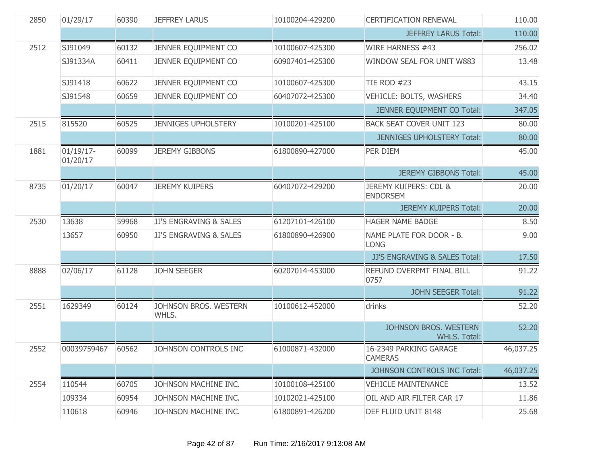| 2850 | 01/29/17                 | 60390 | <b>JEFFREY LARUS</b>           | 10100204-429200 | <b>CERTIFICATION RENEWAL</b>                 | 110.00    |
|------|--------------------------|-------|--------------------------------|-----------------|----------------------------------------------|-----------|
|      |                          |       |                                |                 | <b>JEFFREY LARUS Total:</b>                  | 110.00    |
| 2512 | SJ91049                  | 60132 | JENNER EQUIPMENT CO            | 10100607-425300 | WIRE HARNESS #43                             | 256.02    |
|      | SJ91334A                 | 60411 | JENNER EQUIPMENT CO            | 60907401-425300 | WINDOW SEAL FOR UNIT W883                    | 13.48     |
|      | SJ91418                  | 60622 | JENNER EQUIPMENT CO            | 10100607-425300 | <b>TIE ROD #23</b>                           | 43.15     |
|      | SJ91548                  | 60659 | JENNER EQUIPMENT CO            | 60407072-425300 | VEHICLE: BOLTS, WASHERS                      | 34.40     |
|      |                          |       |                                |                 | JENNER EQUIPMENT CO Total:                   | 347.05    |
| 2515 | 815520                   | 60525 | <b>JENNIGES UPHOLSTERY</b>     | 10100201-425100 | <b>BACK SEAT COVER UNIT 123</b>              | 80.00     |
|      |                          |       |                                |                 | <b>JENNIGES UPHOLSTERY Total:</b>            | 80.00     |
| 1881 | $01/19/17$ -<br>01/20/17 | 60099 | <b>JEREMY GIBBONS</b>          | 61800890-427000 | PER DIEM                                     | 45.00     |
|      |                          |       |                                |                 | <b>JEREMY GIBBONS Total:</b>                 | 45.00     |
| 8735 | 01/20/17                 | 60047 | <b>JEREMY KUIPERS</b>          | 60407072-429200 | JEREMY KUIPERS: CDL &<br><b>ENDORSEM</b>     | 20.00     |
|      |                          |       |                                |                 | <b>JEREMY KUIPERS Total:</b>                 | 20.00     |
| 2530 | 13638                    | 59968 | JJ'S ENGRAVING & SALES         | 61207101-426100 | <b>HAGER NAME BADGE</b>                      | 8.50      |
|      | 13657                    | 60950 | JJ'S ENGRAVING & SALES         | 61800890-426900 | NAME PLATE FOR DOOR - B.<br><b>LONG</b>      | 9.00      |
|      |                          |       |                                |                 | JJ'S ENGRAVING & SALES Total:                | 17.50     |
| 8888 | 02/06/17                 | 61128 | <b>JOHN SEEGER</b>             | 60207014-453000 | REFUND OVERPMT FINAL BILL<br>0757            | 91.22     |
|      |                          |       |                                |                 | <b>JOHN SEEGER Total:</b>                    | 91.22     |
| 2551 | 1629349                  | 60124 | JOHNSON BROS. WESTERN<br>WHLS. | 10100612-452000 | drinks                                       | 52.20     |
|      |                          |       |                                |                 | JOHNSON BROS. WESTERN<br><b>WHLS. Total:</b> | 52.20     |
| 2552 | 00039759467              | 60562 | JOHNSON CONTROLS INC           | 61000871-432000 | 16-2349 PARKING GARAGE<br><b>CAMERAS</b>     | 46,037.25 |
|      |                          |       |                                |                 | JOHNSON CONTROLS INC Total:                  | 46,037.25 |
| 2554 | 110544                   | 60705 | JOHNSON MACHINE INC.           | 10100108-425100 | <b>VEHICLE MAINTENANCE</b>                   | 13.52     |
|      | 109334                   | 60954 | JOHNSON MACHINE INC.           | 10102021-425100 | OIL AND AIR FILTER CAR 17                    | 11.86     |
|      | 110618                   | 60946 | JOHNSON MACHINE INC.           | 61800891-426200 | DEF FLUID UNIT 8148                          | 25.68     |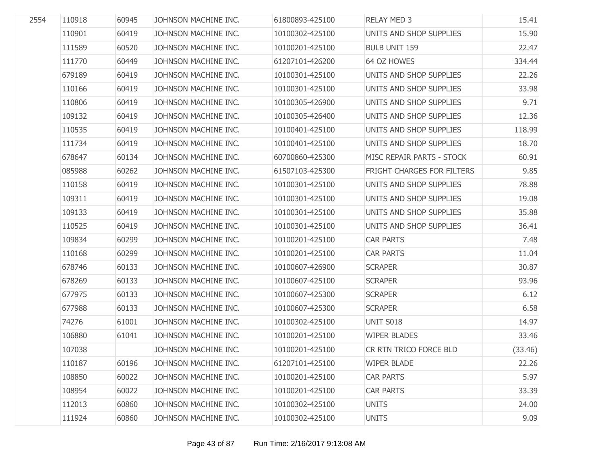| 2554 | 110918 | 60945 | JOHNSON MACHINE INC. | 61800893-425100 | <b>RELAY MED 3</b>         | 15.41   |
|------|--------|-------|----------------------|-----------------|----------------------------|---------|
|      | 110901 | 60419 | JOHNSON MACHINE INC. | 10100302-425100 | UNITS AND SHOP SUPPLIES    | 15.90   |
|      | 111589 | 60520 | JOHNSON MACHINE INC. | 10100201-425100 | <b>BULB UNIT 159</b>       | 22.47   |
|      | 111770 | 60449 | JOHNSON MACHINE INC. | 61207101-426200 | 64 OZ HOWES                | 334.44  |
|      | 679189 | 60419 | JOHNSON MACHINE INC. | 10100301-425100 | UNITS AND SHOP SUPPLIES    | 22.26   |
|      | 110166 | 60419 | JOHNSON MACHINE INC. | 10100301-425100 | UNITS AND SHOP SUPPLIES    | 33.98   |
|      | 110806 | 60419 | JOHNSON MACHINE INC. | 10100305-426900 | UNITS AND SHOP SUPPLIES    | 9.71    |
|      | 109132 | 60419 | JOHNSON MACHINE INC. | 10100305-426400 | UNITS AND SHOP SUPPLIES    | 12.36   |
|      | 110535 | 60419 | JOHNSON MACHINE INC. | 10100401-425100 | UNITS AND SHOP SUPPLIES    | 118.99  |
|      | 111734 | 60419 | JOHNSON MACHINE INC. | 10100401-425100 | UNITS AND SHOP SUPPLIES    | 18.70   |
|      | 678647 | 60134 | JOHNSON MACHINE INC. | 60700860-425300 | MISC REPAIR PARTS - STOCK  | 60.91   |
|      | 085988 | 60262 | JOHNSON MACHINE INC. | 61507103-425300 | FRIGHT CHARGES FOR FILTERS | 9.85    |
|      | 110158 | 60419 | JOHNSON MACHINE INC. | 10100301-425100 | UNITS AND SHOP SUPPLIES    | 78.88   |
|      | 109311 | 60419 | JOHNSON MACHINE INC. | 10100301-425100 | UNITS AND SHOP SUPPLIES    | 19.08   |
|      | 109133 | 60419 | JOHNSON MACHINE INC. | 10100301-425100 | UNITS AND SHOP SUPPLIES    | 35.88   |
|      | 110525 | 60419 | JOHNSON MACHINE INC. | 10100301-425100 | UNITS AND SHOP SUPPLIES    | 36.41   |
|      | 109834 | 60299 | JOHNSON MACHINE INC. | 10100201-425100 | <b>CAR PARTS</b>           | 7.48    |
|      | 110168 | 60299 | JOHNSON MACHINE INC. | 10100201-425100 | <b>CAR PARTS</b>           | 11.04   |
|      | 678746 | 60133 | JOHNSON MACHINE INC. | 10100607-426900 | <b>SCRAPER</b>             | 30.87   |
|      | 678269 | 60133 | JOHNSON MACHINE INC. | 10100607-425100 | <b>SCRAPER</b>             | 93.96   |
|      | 677975 | 60133 | JOHNSON MACHINE INC. | 10100607-425300 | <b>SCRAPER</b>             | 6.12    |
|      | 677988 | 60133 | JOHNSON MACHINE INC. | 10100607-425300 | <b>SCRAPER</b>             | 6.58    |
|      | 74276  | 61001 | JOHNSON MACHINE INC. | 10100302-425100 | UNIT S018                  | 14.97   |
|      | 106880 | 61041 | JOHNSON MACHINE INC. | 10100201-425100 | <b>WIPER BLADES</b>        | 33.46   |
|      | 107038 |       | JOHNSON MACHINE INC. | 10100201-425100 | CR RTN TRICO FORCE BLD     | (33.46) |
|      | 110187 | 60196 | JOHNSON MACHINE INC. | 61207101-425100 | <b>WIPER BLADE</b>         | 22.26   |
|      | 108850 | 60022 | JOHNSON MACHINE INC. | 10100201-425100 | <b>CAR PARTS</b>           | 5.97    |
|      | 108954 | 60022 | JOHNSON MACHINE INC. | 10100201-425100 | <b>CAR PARTS</b>           | 33.39   |
|      | 112013 | 60860 | JOHNSON MACHINE INC. | 10100302-425100 | <b>UNITS</b>               | 24.00   |
|      | 111924 | 60860 | JOHNSON MACHINE INC. | 10100302-425100 | <b>UNITS</b>               | 9.09    |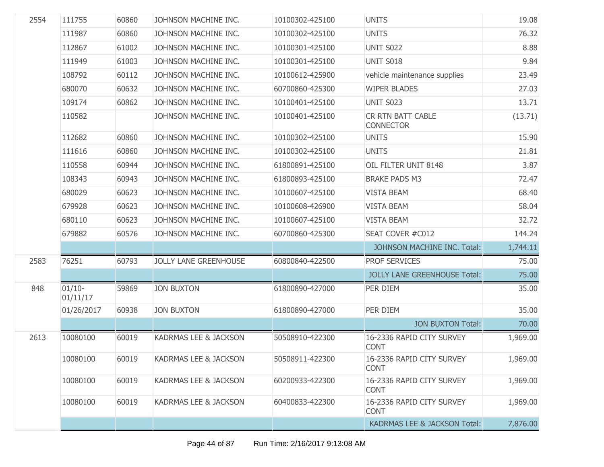| 2554 | 111755               | 60860 | JOHNSON MACHINE INC.         | 10100302-425100 | <b>UNITS</b>                             | 19.08    |
|------|----------------------|-------|------------------------------|-----------------|------------------------------------------|----------|
|      | 111987               | 60860 | JOHNSON MACHINE INC.         | 10100302-425100 | <b>UNITS</b>                             | 76.32    |
|      | 112867               | 61002 | JOHNSON MACHINE INC.         | 10100301-425100 | <b>UNIT S022</b>                         | 8.88     |
|      | 111949               | 61003 | JOHNSON MACHINE INC.         | 10100301-425100 | UNIT S018                                | 9.84     |
|      | 108792               | 60112 | JOHNSON MACHINE INC.         | 10100612-425900 | vehicle maintenance supplies             | 23.49    |
|      | 680070               | 60632 | JOHNSON MACHINE INC.         | 60700860-425300 | <b>WIPER BLADES</b>                      | 27.03    |
|      | 109174               | 60862 | JOHNSON MACHINE INC.         | 10100401-425100 | <b>UNIT S023</b>                         | 13.71    |
|      | 110582               |       | JOHNSON MACHINE INC.         | 10100401-425100 | CR RTN BATT CABLE<br><b>CONNECTOR</b>    | (13.71)  |
|      | 112682               | 60860 | JOHNSON MACHINE INC.         | 10100302-425100 | <b>UNITS</b>                             | 15.90    |
|      | 111616               | 60860 | JOHNSON MACHINE INC.         | 10100302-425100 | <b>UNITS</b>                             | 21.81    |
|      | 110558               | 60944 | JOHNSON MACHINE INC.         | 61800891-425100 | OIL FILTER UNIT 8148                     | 3.87     |
|      | 108343               | 60943 | JOHNSON MACHINE INC.         | 61800893-425100 | <b>BRAKE PADS M3</b>                     | 72.47    |
|      | 680029               | 60623 | JOHNSON MACHINE INC.         | 10100607-425100 | <b>VISTA BEAM</b>                        | 68.40    |
|      | 679928               | 60623 | JOHNSON MACHINE INC.         | 10100608-426900 | <b>VISTA BEAM</b>                        | 58.04    |
|      | 680110               | 60623 | JOHNSON MACHINE INC.         | 10100607-425100 | <b>VISTA BEAM</b>                        | 32.72    |
|      | 679882               | 60576 | JOHNSON MACHINE INC.         | 60700860-425300 | SEAT COVER #C012                         | 144.24   |
|      |                      |       |                              |                 | JOHNSON MACHINE INC. Total:              | 1,744.11 |
| 2583 | 76251                | 60793 | <b>JOLLY LANE GREENHOUSE</b> | 60800840-422500 | PROF SERVICES                            | 75.00    |
|      |                      |       |                              |                 | <b>JOLLY LANE GREENHOUSE Total:</b>      | 75.00    |
| 848  | $01/10-$<br>01/11/17 | 59869 | <b>JON BUXTON</b>            | 61800890-427000 | PER DIEM                                 | 35.00    |
|      | 01/26/2017           | 60938 | <b>JON BUXTON</b>            | 61800890-427000 | PER DIEM                                 | 35.00    |
|      |                      |       |                              |                 | <b>JON BUXTON Total:</b>                 | 70.00    |
| 2613 | 10080100             | 60019 | KADRMAS LEE & JACKSON        | 50508910-422300 | 16-2336 RAPID CITY SURVEY<br><b>CONT</b> | 1,969.00 |
|      | 10080100             | 60019 | KADRMAS LEE & JACKSON        | 50508911-422300 | 16-2336 RAPID CITY SURVEY<br><b>CONT</b> | 1,969.00 |
|      | 10080100             | 60019 | KADRMAS LEE & JACKSON        | 60200933-422300 | 16-2336 RAPID CITY SURVEY<br><b>CONT</b> | 1,969.00 |
|      | 10080100             | 60019 | KADRMAS LEE & JACKSON        | 60400833-422300 | 16-2336 RAPID CITY SURVEY<br><b>CONT</b> | 1,969.00 |
|      |                      |       |                              |                 | <b>KADRMAS LEE &amp; JACKSON Total:</b>  | 7,876.00 |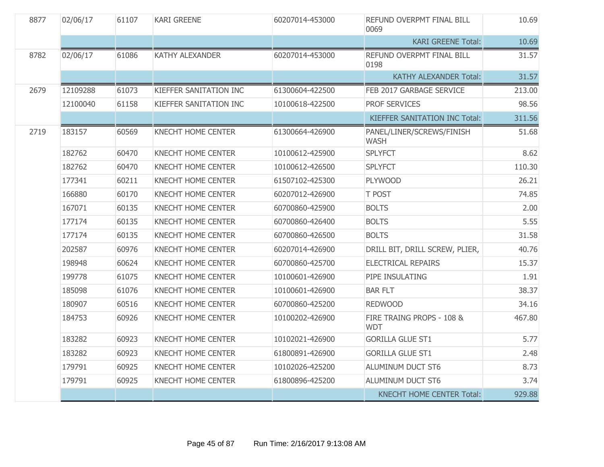| 8877 | 02/06/17 | 61107 | <b>KARI GREENE</b>        | 60207014-453000 | REFUND OVERPMT FINAL BILL<br>0069        | 10.69  |
|------|----------|-------|---------------------------|-----------------|------------------------------------------|--------|
|      |          |       |                           |                 | <b>KARI GREENE Total:</b>                | 10.69  |
| 8782 | 02/06/17 | 61086 | <b>KATHY ALEXANDER</b>    | 60207014-453000 | REFUND OVERPMT FINAL BILL<br>0198        | 31.57  |
|      |          |       |                           |                 | <b>KATHY ALEXANDER Total:</b>            | 31.57  |
| 2679 | 12109288 | 61073 | KIEFFER SANITATION INC    | 61300604-422500 | FEB 2017 GARBAGE SERVICE                 | 213.00 |
|      | 12100040 | 61158 | KIEFFER SANITATION INC    | 10100618-422500 | PROF SERVICES                            | 98.56  |
|      |          |       |                           |                 | KIEFFER SANITATION INC Total:            | 311.56 |
| 2719 | 183157   | 60569 | <b>KNECHT HOME CENTER</b> | 61300664-426900 | PANEL/LINER/SCREWS/FINISH<br><b>WASH</b> | 51.68  |
|      | 182762   | 60470 | <b>KNECHT HOME CENTER</b> | 10100612-425900 | <b>SPLYFCT</b>                           | 8.62   |
|      | 182762   | 60470 | <b>KNECHT HOME CENTER</b> | 10100612-426500 | <b>SPLYFCT</b>                           | 110.30 |
|      | 177341   | 60211 | <b>KNECHT HOME CENTER</b> | 61507102-425300 | <b>PLYWOOD</b>                           | 26.21  |
|      | 166880   | 60170 | <b>KNECHT HOME CENTER</b> | 60207012-426900 | T POST                                   | 74.85  |
|      | 167071   | 60135 | <b>KNECHT HOME CENTER</b> | 60700860-425900 | <b>BOLTS</b>                             | 2.00   |
|      | 177174   | 60135 | KNECHT HOME CENTER        | 60700860-426400 | <b>BOLTS</b>                             | $5.55$ |
|      | 177174   | 60135 | <b>KNECHT HOME CENTER</b> | 60700860-426500 | <b>BOLTS</b>                             | 31.58  |
|      | 202587   | 60976 | KNECHT HOME CENTER        | 60207014-426900 | DRILL BIT, DRILL SCREW, PLIER,           | 40.76  |
|      | 198948   | 60624 | KNECHT HOME CENTER        | 60700860-425700 | <b>ELECTRICAL REPAIRS</b>                | 15.37  |
|      | 199778   | 61075 | KNECHT HOME CENTER        | 10100601-426900 | PIPE INSULATING                          | 1.91   |
|      | 185098   | 61076 | <b>KNECHT HOME CENTER</b> | 10100601-426900 | <b>BAR FLT</b>                           | 38.37  |
|      | 180907   | 60516 | <b>KNECHT HOME CENTER</b> | 60700860-425200 | <b>REDWOOD</b>                           | 34.16  |
|      | 184753   | 60926 | <b>KNECHT HOME CENTER</b> | 10100202-426900 | FIRE TRAING PROPS - 108 &<br><b>WDT</b>  | 467.80 |
|      | 183282   | 60923 | KNECHT HOME CENTER        | 10102021-426900 | <b>GORILLA GLUE ST1</b>                  | 5.77   |
|      | 183282   | 60923 | <b>KNECHT HOME CENTER</b> | 61800891-426900 | <b>GORILLA GLUE ST1</b>                  | 2.48   |
|      | 179791   | 60925 | <b>KNECHT HOME CENTER</b> | 10102026-425200 | ALUMINUM DUCT ST6                        | 8.73   |
|      | 179791   | 60925 | KNECHT HOME CENTER        | 61800896-425200 | <b>ALUMINUM DUCT ST6</b>                 | 3.74   |
|      |          |       |                           |                 | <b>KNECHT HOME CENTER Total:</b>         | 929.88 |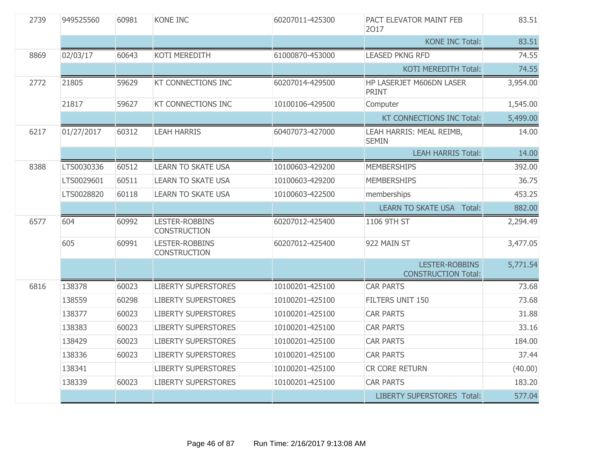| 2739 | 949525560  | 60981 | KONE INC                                     | 60207011-425300 | PACT ELEVATOR MAINT FEB<br>2017                     | 83.51    |
|------|------------|-------|----------------------------------------------|-----------------|-----------------------------------------------------|----------|
|      |            |       |                                              |                 | <b>KONE INC Total:</b>                              | 83.51    |
| 8869 | 02/03/17   | 60643 | <b>KOTI MEREDITH</b>                         | 61000870-453000 | <b>LEASED PKNG RFD</b>                              | 74.55    |
|      |            |       |                                              |                 | KOTI MEREDITH Total:                                | 74.55    |
| 2772 | 21805      | 59629 | <b>KT CONNECTIONS INC</b>                    | 60207014-429500 | HP LASERJET M606DN LASER<br><b>PRINT</b>            | 3,954.00 |
|      | 21817      | 59627 | KT CONNECTIONS INC                           | 10100106-429500 | Computer                                            | 1,545.00 |
|      |            |       |                                              |                 | KT CONNECTIONS INC Total:                           | 5,499.00 |
| 6217 | 01/27/2017 | 60312 | <b>LEAH HARRIS</b>                           | 60407073-427000 | LEAH HARRIS: MEAL REIMB,<br><b>SEMIN</b>            | 14.00    |
|      |            |       |                                              |                 | <b>LEAH HARRIS Total:</b>                           | 14.00    |
| 8388 | LTS0030336 | 60512 | <b>LEARN TO SKATE USA</b>                    | 10100603-429200 | <b>MEMBERSHIPS</b>                                  | 392.00   |
|      | LTS0029601 | 60511 | <b>LEARN TO SKATE USA</b>                    | 10100603-429200 | <b>MEMBERSHIPS</b>                                  | 36.75    |
|      | LTS0028820 | 60118 | <b>LEARN TO SKATE USA</b>                    | 10100603-422500 | memberships                                         | 453.25   |
|      |            |       |                                              |                 | <b>LEARN TO SKATE USA Total:</b>                    | 882.00   |
| 6577 | 604        | 60992 | LESTER-ROBBINS<br><b>CONSTRUCTION</b>        | 60207012-425400 | 1106 9TH ST                                         | 2,294.49 |
|      | 605        | 60991 | <b>LESTER-ROBBINS</b><br><b>CONSTRUCTION</b> | 60207012-425400 | 922 MAIN ST                                         | 3,477.05 |
|      |            |       |                                              |                 | <b>LESTER-ROBBINS</b><br><b>CONSTRUCTION Total:</b> | 5,771.54 |
| 6816 | 138378     | 60023 | <b>LIBERTY SUPERSTORES</b>                   | 10100201-425100 | <b>CAR PARTS</b>                                    | 73.68    |
|      | 138559     | 60298 | <b>LIBERTY SUPERSTORES</b>                   | 10100201-425100 | FILTERS UNIT 150                                    | 73.68    |
|      | 138377     | 60023 | <b>LIBERTY SUPERSTORES</b>                   | 10100201-425100 | <b>CAR PARTS</b>                                    | 31.88    |
|      | 138383     | 60023 | <b>LIBERTY SUPERSTORES</b>                   | 10100201-425100 | <b>CAR PARTS</b>                                    | 33.16    |
|      | 138429     | 60023 | <b>LIBERTY SUPERSTORES</b>                   | 10100201-425100 | <b>CAR PARTS</b>                                    | 184.00   |
|      | 138336     | 60023 | <b>LIBERTY SUPERSTORES</b>                   | 10100201-425100 | <b>CAR PARTS</b>                                    | 37.44    |
|      | 138341     |       | <b>LIBERTY SUPERSTORES</b>                   | 10100201-425100 | CR CORE RETURN                                      | (40.00)  |
|      | 138339     | 60023 | <b>LIBERTY SUPERSTORES</b>                   | 10100201-425100 | <b>CAR PARTS</b>                                    | 183.20   |
|      |            |       |                                              |                 | <b>LIBERTY SUPERSTORES Total:</b>                   | 577.04   |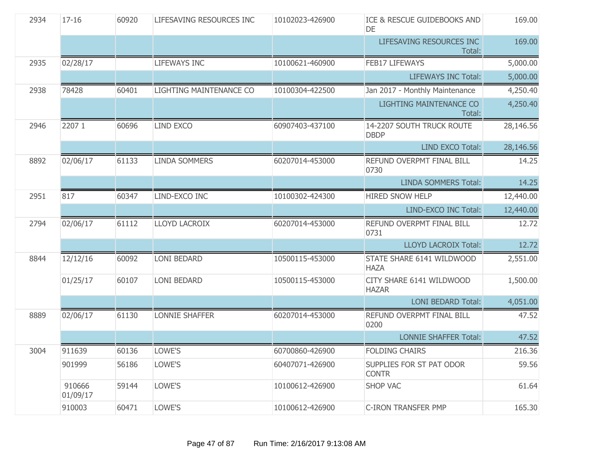| 2934 | $17 - 16$          | 60920 | LIFESAVING RESOURCES INC | 10102023-426900 | ICE & RESCUE GUIDEBOOKS AND<br>DE        | 169.00    |
|------|--------------------|-------|--------------------------|-----------------|------------------------------------------|-----------|
|      |                    |       |                          |                 | LIFESAVING RESOURCES INC<br>Total:       | 169.00    |
| 2935 | 02/28/17           |       | <b>LIFEWAYS INC</b>      | 10100621-460900 | <b>FEB17 LIFEWAYS</b>                    | 5,000.00  |
|      |                    |       |                          |                 | <b>LIFEWAYS INC Total:</b>               | 5,000.00  |
| 2938 | 78428              | 60401 | LIGHTING MAINTENANCE CO  | 10100304-422500 | Jan 2017 - Monthly Maintenance           | 4,250.40  |
|      |                    |       |                          |                 | LIGHTING MAINTENANCE CO<br>Total:        | 4,250.40  |
| 2946 | 2207 1             | 60696 | <b>LIND EXCO</b>         | 60907403-437100 | 14-2207 SOUTH TRUCK ROUTE<br><b>DBDP</b> | 28,146.56 |
|      |                    |       |                          |                 | LIND EXCO Total:                         | 28,146.56 |
| 8892 | 02/06/17           | 61133 | <b>LINDA SOMMERS</b>     | 60207014-453000 | REFUND OVERPMT FINAL BILL<br>0730        | 14.25     |
|      |                    |       |                          |                 | <b>LINDA SOMMERS Total:</b>              | 14.25     |
| 2951 | 817                | 60347 | LIND-EXCO INC            | 10100302-424300 | <b>HIRED SNOW HELP</b>                   | 12,440.00 |
|      |                    |       |                          |                 | LIND-EXCO INC Total:                     | 12,440.00 |
| 2794 | 02/06/17           | 61112 | <b>LLOYD LACROIX</b>     | 60207014-453000 | REFUND OVERPMT FINAL BILL<br>0731        | 12.72     |
|      |                    |       |                          |                 | <b>LLOYD LACROIX Total:</b>              | 12.72     |
| 8844 | 12/12/16           | 60092 | <b>LONI BEDARD</b>       | 10500115-453000 | STATE SHARE 6141 WILDWOOD<br><b>HAZA</b> | 2,551.00  |
|      | 01/25/17           | 60107 | <b>LONI BEDARD</b>       | 10500115-453000 | CITY SHARE 6141 WILDWOOD<br><b>HAZAR</b> | 1,500.00  |
|      |                    |       |                          |                 | <b>LONI BEDARD Total:</b>                | 4,051.00  |
| 8889 | 02/06/17           | 61130 | <b>LONNIE SHAFFER</b>    | 60207014-453000 | REFUND OVERPMT FINAL BILL<br>0200        | 47.52     |
|      |                    |       |                          |                 | <b>LONNIE SHAFFER Total:</b>             | 47.52     |
| 3004 | 911639             | 60136 | LOWE'S                   | 60700860-426900 | <b>FOLDING CHAIRS</b>                    | 216.36    |
|      | 901999             | 56186 | LOWE'S                   | 60407071-426900 | SUPPLIES FOR ST PAT ODOR<br><b>CONTR</b> | 59.56     |
|      | 910666<br>01/09/17 | 59144 | LOWE'S                   | 10100612-426900 | <b>SHOP VAC</b>                          | 61.64     |
|      | 910003             | 60471 | LOWE'S                   | 10100612-426900 | <b>C-IRON TRANSFER PMP</b>               | 165.30    |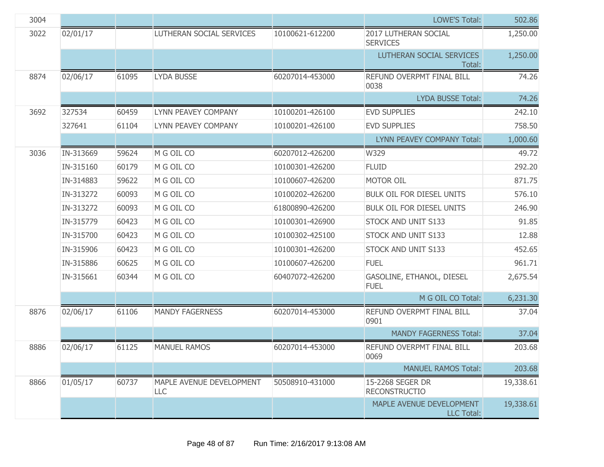| 3004 |           |       |                                 |                 | <b>LOWE'S Total:</b>                          | 502.86    |
|------|-----------|-------|---------------------------------|-----------------|-----------------------------------------------|-----------|
| 3022 | 02/01/17  |       | LUTHERAN SOCIAL SERVICES        | 10100621-612200 | 2017 LUTHERAN SOCIAL<br><b>SERVICES</b>       | 1,250.00  |
|      |           |       |                                 |                 | LUTHERAN SOCIAL SERVICES<br>Total:            | 1,250.00  |
| 8874 | 02/06/17  | 61095 | <b>LYDA BUSSE</b>               | 60207014-453000 | REFUND OVERPMT FINAL BILL<br>0038             | 74.26     |
|      |           |       |                                 |                 | <b>LYDA BUSSE Total:</b>                      | 74.26     |
| 3692 | 327534    | 60459 | LYNN PEAVEY COMPANY             | 10100201-426100 | <b>EVD SUPPLIES</b>                           | 242.10    |
|      | 327641    | 61104 | LYNN PEAVEY COMPANY             | 10100201-426100 | <b>EVD SUPPLIES</b>                           | 758.50    |
|      |           |       |                                 |                 | LYNN PEAVEY COMPANY Total:                    | 1,000.60  |
| 3036 | IN-313669 | 59624 | M G OIL CO                      | 60207012-426200 | W329                                          | 49.72     |
|      | IN-315160 | 60179 | M G OIL CO                      | 10100301-426200 | <b>FLUID</b>                                  | 292.20    |
|      | IN-314883 | 59622 | M G OIL CO                      | 10100607-426200 | <b>MOTOR OIL</b>                              | 871.75    |
|      | IN-313272 | 60093 | M G OIL CO                      | 10100202-426200 | <b>BULK OIL FOR DIESEL UNITS</b>              | 576.10    |
|      | IN-313272 | 60093 | M G OIL CO                      | 61800890-426200 | <b>BULK OIL FOR DIESEL UNITS</b>              | 246.90    |
|      | IN-315779 | 60423 | M G OIL CO                      | 10100301-426900 | STOCK AND UNIT S133                           | 91.85     |
|      | IN-315700 | 60423 | M G OIL CO                      | 10100302-425100 | STOCK AND UNIT S133                           | 12.88     |
|      | IN-315906 | 60423 | M G OIL CO                      | 10100301-426200 | STOCK AND UNIT S133                           | 452.65    |
|      | IN-315886 | 60625 | M G OIL CO                      | 10100607-426200 | <b>FUEL</b>                                   | 961.71    |
|      | IN-315661 | 60344 | M G OIL CO                      | 60407072-426200 | GASOLINE, ETHANOL, DIESEL<br><b>FUEL</b>      | 2,675.54  |
|      |           |       |                                 |                 | M G OIL CO Total:                             | 6,231.30  |
| 8876 | 02/06/17  | 61106 | <b>MANDY FAGERNESS</b>          | 60207014-453000 | REFUND OVERPMT FINAL BILL<br>0901             | 37.04     |
|      |           |       |                                 |                 | <b>MANDY FAGERNESS Total:</b>                 | 37.04     |
| 8886 | 02/06/17  | 61125 | <b>MANUEL RAMOS</b>             | 60207014-453000 | REFUND OVERPMT FINAL BILL<br>0069             | 203.68    |
|      |           |       |                                 |                 | <b>MANUEL RAMOS Total:</b>                    | 203.68    |
| 8866 | 01/05/17  | 60737 | MAPLE AVENUE DEVELOPMENT<br>LLC | 50508910-431000 | 15-2268 SEGER DR<br><b>RECONSTRUCTIO</b>      | 19,338.61 |
|      |           |       |                                 |                 | MAPLE AVENUE DEVELOPMENT<br><b>LLC Total:</b> | 19,338.61 |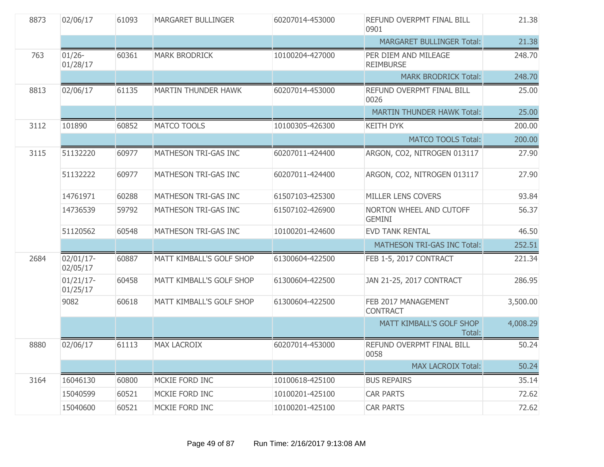| 8873 | 02/06/17                 | 61093 | <b>MARGARET BULLINGER</b>  | 60207014-453000 | REFUND OVERPMT FINAL BILL<br>0901               | 21.38    |
|------|--------------------------|-------|----------------------------|-----------------|-------------------------------------------------|----------|
|      |                          |       |                            |                 | <b>MARGARET BULLINGER Total:</b>                | 21.38    |
| 763  | $01/26 -$<br>01/28/17    | 60361 | <b>MARK BRODRICK</b>       | 10100204-427000 | PER DIEM AND MILEAGE<br><b>REIMBURSE</b>        | 248.70   |
|      |                          |       |                            |                 | <b>MARK BRODRICK Total:</b>                     | 248.70   |
| 8813 | 02/06/17                 | 61135 | <b>MARTIN THUNDER HAWK</b> | 60207014-453000 | REFUND OVERPMT FINAL BILL<br>0026               | 25.00    |
|      |                          |       |                            |                 | <b>MARTIN THUNDER HAWK Total:</b>               | 25.00    |
| 3112 | 101890                   | 60852 | <b>MATCO TOOLS</b>         | 10100305-426300 | <b>KEITH DYK</b>                                | 200.00   |
|      |                          |       |                            |                 | <b>MATCO TOOLS Total:</b>                       | 200.00   |
| 3115 | 51132220                 | 60977 | MATHESON TRI-GAS INC       | 60207011-424400 | ARGON, CO2, NITROGEN 013117                     | 27.90    |
|      | 51132222                 | 60977 | MATHESON TRI-GAS INC       | 60207011-424400 | ARGON, CO2, NITROGEN 013117                     | 27.90    |
|      | 14761971                 | 60288 | MATHESON TRI-GAS INC       | 61507103-425300 | MILLER LENS COVERS                              | 93.84    |
|      | 14736539                 | 59792 | MATHESON TRI-GAS INC       | 61507102-426900 | <b>NORTON WHEEL AND CUTOFF</b><br><b>GEMINI</b> | 56.37    |
|      | 51120562                 | 60548 | MATHESON TRI-GAS INC       | 10100201-424600 | <b>EVD TANK RENTAL</b>                          | 46.50    |
|      |                          |       |                            |                 | MATHESON TRI-GAS INC Total:                     | 252.51   |
| 2684 | 02/01/17-<br>02/05/17    | 60887 | MATT KIMBALL'S GOLF SHOP   | 61300604-422500 | FEB 1-5, 2017 CONTRACT                          | 221.34   |
|      | $01/21/17$ -<br>01/25/17 | 60458 | MATT KIMBALL'S GOLF SHOP   | 61300604-422500 | JAN 21-25, 2017 CONTRACT                        | 286.95   |
|      | 9082                     | 60618 | MATT KIMBALL'S GOLF SHOP   | 61300604-422500 | FEB 2017 MANAGEMENT<br><b>CONTRACT</b>          | 3,500.00 |
|      |                          |       |                            |                 | MATT KIMBALL'S GOLF SHOP<br>Total:              | 4,008.29 |
| 8880 | 02/06/17                 | 61113 | <b>MAX LACROIX</b>         | 60207014-453000 | REFUND OVERPMT FINAL BILL<br>0058               | 50.24    |
|      |                          |       |                            |                 | <b>MAX LACROIX Total:</b>                       | 50.24    |
| 3164 | 16046130                 | 60800 | MCKIE FORD INC             | 10100618-425100 | <b>BUS REPAIRS</b>                              | 35.14    |
|      | 15040599                 | 60521 | MCKIE FORD INC             | 10100201-425100 | <b>CAR PARTS</b>                                | 72.62    |
|      | 15040600                 | 60521 | MCKIE FORD INC             | 10100201-425100 | <b>CAR PARTS</b>                                | 72.62    |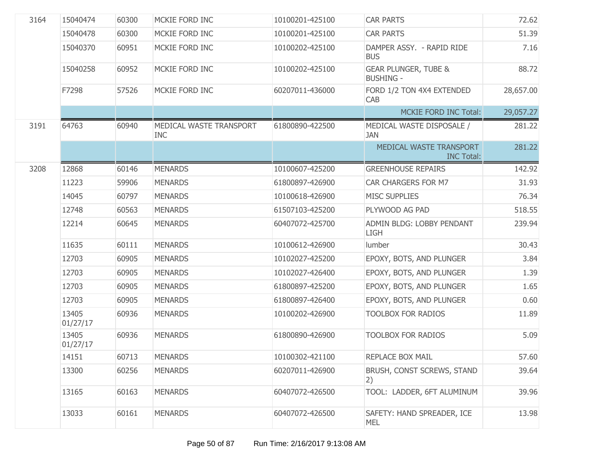| 3164 | 15040474          | 60300 | MCKIE FORD INC                        | 10100201-425100 | <b>CAR PARTS</b>                                    | 72.62     |
|------|-------------------|-------|---------------------------------------|-----------------|-----------------------------------------------------|-----------|
|      | 15040478          | 60300 | MCKIE FORD INC                        | 10100201-425100 | <b>CAR PARTS</b>                                    | 51.39     |
|      | 15040370          | 60951 | MCKIE FORD INC                        | 10100202-425100 | DAMPER ASSY. - RAPID RIDE<br><b>BUS</b>             | 7.16      |
|      | 15040258          | 60952 | MCKIE FORD INC                        | 10100202-425100 | <b>GEAR PLUNGER, TUBE &amp;</b><br><b>BUSHING -</b> | 88.72     |
|      | F7298             | 57526 | MCKIE FORD INC                        | 60207011-436000 | FORD 1/2 TON 4X4 EXTENDED<br>CAB                    | 28,657.00 |
|      |                   |       |                                       |                 | <b>MCKIE FORD INC Total:</b>                        | 29,057.27 |
| 3191 | 64763             | 60940 | MEDICAL WASTE TRANSPORT<br><b>INC</b> | 61800890-422500 | MEDICAL WASTE DISPOSALE /<br><b>JAN</b>             | 281.22    |
|      |                   |       |                                       |                 | MEDICAL WASTE TRANSPORT<br><b>INC Total:</b>        | 281.22    |
| 3208 | 12868             | 60146 | <b>MENARDS</b>                        | 10100607-425200 | <b>GREENHOUSE REPAIRS</b>                           | 142.92    |
|      | 11223             | 59906 | <b>MENARDS</b>                        | 61800897-426900 | CAR CHARGERS FOR M7                                 | 31.93     |
|      | 14045             | 60797 | <b>MENARDS</b>                        | 10100618-426900 | <b>MISC SUPPLIES</b>                                | 76.34     |
|      | 12748             | 60563 | <b>MENARDS</b>                        | 61507103-425200 | PLYWOOD AG PAD                                      | 518.55    |
|      | 12214             | 60645 | <b>MENARDS</b>                        | 60407072-425700 | ADMIN BLDG: LOBBY PENDANT<br><b>LIGH</b>            | 239.94    |
|      | 11635             | 60111 | <b>MENARDS</b>                        | 10100612-426900 | lumber                                              | 30.43     |
|      | 12703             | 60905 | <b>MENARDS</b>                        | 10102027-425200 | EPOXY, BOTS, AND PLUNGER                            | 3.84      |
|      | 12703             | 60905 | <b>MENARDS</b>                        | 10102027-426400 | EPOXY, BOTS, AND PLUNGER                            | 1.39      |
|      | 12703             | 60905 | <b>MENARDS</b>                        | 61800897-425200 | EPOXY, BOTS, AND PLUNGER                            | 1.65      |
|      | 12703             | 60905 | <b>MENARDS</b>                        | 61800897-426400 | EPOXY, BOTS, AND PLUNGER                            | 0.60      |
|      | 13405<br>01/27/17 | 60936 | <b>MENARDS</b>                        | 10100202-426900 | <b>TOOLBOX FOR RADIOS</b>                           | 11.89     |
|      | 13405<br>01/27/17 | 60936 | <b>MENARDS</b>                        | 61800890-426900 | <b>TOOLBOX FOR RADIOS</b>                           | 5.09      |
|      | 14151             | 60713 | <b>MENARDS</b>                        | 10100302-421100 | REPLACE BOX MAIL                                    | 57.60     |
|      | 13300             | 60256 | <b>MENARDS</b>                        | 60207011-426900 | BRUSH, CONST SCREWS, STAND<br>2)                    | 39.64     |
|      | 13165             | 60163 | <b>MENARDS</b>                        | 60407072-426500 | TOOL: LADDER, 6FT ALUMINUM                          | 39.96     |
|      | 13033             | 60161 | <b>MENARDS</b>                        | 60407072-426500 | SAFETY: HAND SPREADER, ICE<br><b>MEL</b>            | 13.98     |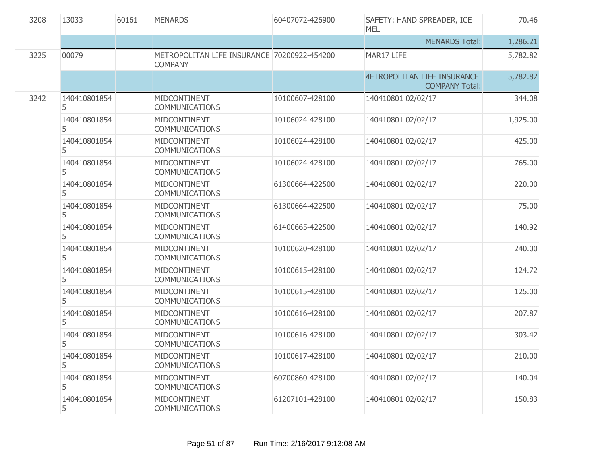| 3208 | 13033             | 60161 | <b>MENARDS</b>                                                | 60407072-426900 | SAFETY: HAND SPREADER, ICE<br><b>MEL</b>             | 70.46    |
|------|-------------------|-------|---------------------------------------------------------------|-----------------|------------------------------------------------------|----------|
|      |                   |       |                                                               |                 | <b>MENARDS Total:</b>                                | 1,286.21 |
| 3225 | 00079             |       | METROPOLITAN LIFE INSURANCE 70200922-454200<br><b>COMPANY</b> |                 | MAR17 LIFE                                           | 5,782.82 |
|      |                   |       |                                                               |                 | METROPOLITAN LIFE INSURANCE<br><b>COMPANY Total:</b> | 5,782.82 |
| 3242 | 140410801854<br>5 |       | MIDCONTINENT<br><b>COMMUNICATIONS</b>                         | 10100607-428100 | 140410801 02/02/17                                   | 344.08   |
|      | 140410801854<br>5 |       | MIDCONTINENT<br><b>COMMUNICATIONS</b>                         | 10106024-428100 | 140410801 02/02/17                                   | 1,925.00 |
|      | 140410801854<br>5 |       | MIDCONTINENT<br><b>COMMUNICATIONS</b>                         | 10106024-428100 | 140410801 02/02/17                                   | 425.00   |
|      | 140410801854<br>5 |       | MIDCONTINENT<br><b>COMMUNICATIONS</b>                         | 10106024-428100 | 140410801 02/02/17                                   | 765.00   |
|      | 140410801854<br>5 |       | MIDCONTINENT<br><b>COMMUNICATIONS</b>                         | 61300664-422500 | 140410801 02/02/17                                   | 220.00   |
|      | 140410801854<br>5 |       | MIDCONTINENT<br><b>COMMUNICATIONS</b>                         | 61300664-422500 | 140410801 02/02/17                                   | 75.00    |
|      | 140410801854<br>5 |       | MIDCONTINENT<br><b>COMMUNICATIONS</b>                         | 61400665-422500 | 140410801 02/02/17                                   | 140.92   |
|      | 140410801854<br>5 |       | MIDCONTINENT<br><b>COMMUNICATIONS</b>                         | 10100620-428100 | 140410801 02/02/17                                   | 240.00   |
|      | 140410801854<br>5 |       | MIDCONTINENT<br><b>COMMUNICATIONS</b>                         | 10100615-428100 | 140410801 02/02/17                                   | 124.72   |
|      | 140410801854<br>5 |       | MIDCONTINENT<br><b>COMMUNICATIONS</b>                         | 10100615-428100 | 140410801 02/02/17                                   | 125.00   |
|      | 140410801854<br>5 |       | MIDCONTINENT<br><b>COMMUNICATIONS</b>                         | 10100616-428100 | 140410801 02/02/17                                   | 207.87   |
|      | 140410801854<br>5 |       | MIDCONTINENT<br><b>COMMUNICATIONS</b>                         | 10100616-428100 | 140410801 02/02/17                                   | 303.42   |
|      | 140410801854<br>5 |       | MIDCONTINENT<br><b>COMMUNICATIONS</b>                         | 10100617-428100 | 140410801 02/02/17                                   | 210.00   |
|      | 140410801854<br>5 |       | MIDCONTINENT<br><b>COMMUNICATIONS</b>                         | 60700860-428100 | 140410801 02/02/17                                   | 140.04   |
|      | 140410801854<br>5 |       | MIDCONTINENT<br><b>COMMUNICATIONS</b>                         | 61207101-428100 | 140410801 02/02/17                                   | 150.83   |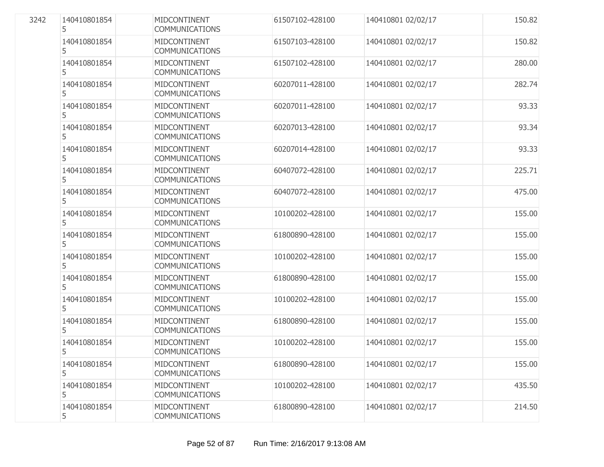| 140410801854<br>5 | MIDCONTINENT<br><b>COMMUNICATIONS</b>        | 61507102-428100 | 140410801 02/02/17 | 150.82 |
|-------------------|----------------------------------------------|-----------------|--------------------|--------|
| 140410801854<br>5 | MIDCONTINENT<br><b>COMMUNICATIONS</b>        | 61507103-428100 | 140410801 02/02/17 | 150.82 |
| 140410801854<br>5 | MIDCONTINENT<br><b>COMMUNICATIONS</b>        | 61507102-428100 | 140410801 02/02/17 | 280.00 |
| 140410801854<br>5 | MIDCONTINENT<br><b>COMMUNICATIONS</b>        | 60207011-428100 | 140410801 02/02/17 | 282.74 |
| 140410801854<br>5 | MIDCONTINENT<br><b>COMMUNICATIONS</b>        | 60207011-428100 | 140410801 02/02/17 | 93.33  |
| 140410801854<br>5 | MIDCONTINENT<br><b>COMMUNICATIONS</b>        | 60207013-428100 | 140410801 02/02/17 | 93.34  |
| 140410801854<br>5 | MIDCONTINENT<br><b>COMMUNICATIONS</b>        | 60207014-428100 | 140410801 02/02/17 | 93.33  |
| 140410801854<br>5 | MIDCONTINENT<br><b>COMMUNICATIONS</b>        | 60407072-428100 | 140410801 02/02/17 | 225.71 |
| 140410801854<br>5 | MIDCONTINENT<br><b>COMMUNICATIONS</b>        | 60407072-428100 | 140410801 02/02/17 | 475.00 |
| 140410801854<br>5 | MIDCONTINENT<br><b>COMMUNICATIONS</b>        | 10100202-428100 | 140410801 02/02/17 | 155.00 |
| 140410801854<br>5 | MIDCONTINENT<br><b>COMMUNICATIONS</b>        | 61800890-428100 | 140410801 02/02/17 | 155.00 |
| 140410801854<br>5 | <b>MIDCONTINENT</b><br><b>COMMUNICATIONS</b> | 10100202-428100 | 140410801 02/02/17 | 155.00 |
| 140410801854<br>5 | MIDCONTINENT<br><b>COMMUNICATIONS</b>        | 61800890-428100 | 140410801 02/02/17 | 155.00 |
| 140410801854<br>5 | MIDCONTINENT<br><b>COMMUNICATIONS</b>        | 10100202-428100 | 140410801 02/02/17 | 155.00 |
| 140410801854<br>5 | MIDCONTINENT<br><b>COMMUNICATIONS</b>        | 61800890-428100 | 140410801 02/02/17 | 155.00 |
| 140410801854<br>5 | MIDCONTINENT<br><b>COMMUNICATIONS</b>        | 10100202-428100 | 140410801 02/02/17 | 155.00 |
| 140410801854<br>5 | MIDCONTINENT<br><b>COMMUNICATIONS</b>        | 61800890-428100 | 140410801 02/02/17 | 155.00 |
| 140410801854<br>5 | MIDCONTINENT<br><b>COMMUNICATIONS</b>        | 10100202-428100 | 140410801 02/02/17 | 435.50 |
| 140410801854<br>5 | MIDCONTINENT<br>COMMUNICATIONS               | 61800890-428100 | 140410801 02/02/17 | 214.50 |

3242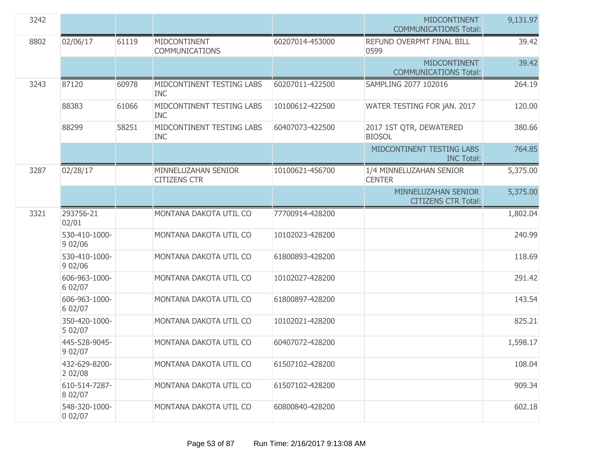| 3242 |                          |       |                                            |                 | <b>MIDCONTINENT</b><br><b>COMMUNICATIONS Total:</b> | 9,131.97 |
|------|--------------------------|-------|--------------------------------------------|-----------------|-----------------------------------------------------|----------|
| 8802 | 02/06/17                 | 61119 | MIDCONTINENT<br><b>COMMUNICATIONS</b>      | 60207014-453000 | REFUND OVERPMT FINAL BILL<br>0599                   | 39.42    |
|      |                          |       |                                            |                 | <b>MIDCONTINENT</b><br><b>COMMUNICATIONS Total:</b> | 39.42    |
| 3243 | 87120                    | 60978 | MIDCONTINENT TESTING LABS<br><b>INC</b>    | 60207011-422500 | SAMPLING 2077 102016                                | 264.19   |
|      | 88383                    | 61066 | MIDCONTINENT TESTING LABS<br><b>INC</b>    | 10100612-422500 | WATER TESTING FOR jAN. 2017                         | 120.00   |
|      | 88299                    | 58251 | MIDCONTINENT TESTING LABS<br><b>INC</b>    | 60407073-422500 | 2017 1ST QTR, DEWATERED<br><b>BIOSOL</b>            | 380.66   |
|      |                          |       |                                            |                 | MIDCONTINENT TESTING LABS<br><b>INC Total:</b>      | 764.85   |
| 3287 | 02/28/17                 |       | MINNELUZAHAN SENIOR<br><b>CITIZENS CTR</b> | 10100621-456700 | 1/4 MINNELUZAHAN SENIOR<br><b>CENTER</b>            | 5,375.00 |
|      |                          |       |                                            |                 | MINNELUZAHAN SENIOR<br><b>CITIZENS CTR Total:</b>   | 5,375.00 |
| 3321 | 293756-21<br>02/01       |       | MONTANA DAKOTA UTIL CO                     | 77700914-428200 |                                                     | 1,802.04 |
|      | 530-410-1000-<br>902/06  |       | MONTANA DAKOTA UTIL CO                     | 10102023-428200 |                                                     | 240.99   |
|      | 530-410-1000-<br>9 02/06 |       | MONTANA DAKOTA UTIL CO                     | 61800893-428200 |                                                     | 118.69   |
|      | 606-963-1000-<br>6 02/07 |       | MONTANA DAKOTA UTIL CO                     | 10102027-428200 |                                                     | 291.42   |
|      | 606-963-1000-<br>6 02/07 |       | MONTANA DAKOTA UTIL CO                     | 61800897-428200 |                                                     | 143.54   |
|      | 350-420-1000-<br>5 02/07 |       | MONTANA DAKOTA UTIL CO                     | 10102021-428200 |                                                     | 825.21   |
|      | 445-528-9045-<br>9 02/07 |       | MONTANA DAKOTA UTIL CO                     | 60407072-428200 |                                                     | 1,598.17 |
|      | 432-629-8200-<br>2 02/08 |       | MONTANA DAKOTA UTIL CO                     | 61507102-428200 |                                                     | 108.04   |
|      | 610-514-7287-<br>8 02/07 |       | MONTANA DAKOTA UTIL CO                     | 61507102-428200 |                                                     | 909.34   |
|      | 548-320-1000-<br>002/07  |       | MONTANA DAKOTA UTIL CO                     | 60800840-428200 |                                                     | 602.18   |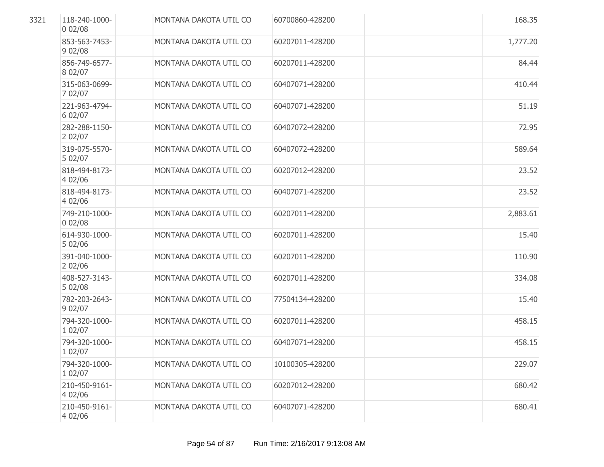| 3321 | 118-240-1000-<br>002/08  | MONTANA DAKOTA UTIL CO | 60700860-428200 | 168.35   |
|------|--------------------------|------------------------|-----------------|----------|
|      | 853-563-7453-<br>902/08  | MONTANA DAKOTA UTIL CO | 60207011-428200 | 1,777.20 |
|      | 856-749-6577-<br>8 02/07 | MONTANA DAKOTA UTIL CO | 60207011-428200 | 84.44    |
|      | 315-063-0699-<br>7 02/07 | MONTANA DAKOTA UTIL CO | 60407071-428200 | 410.44   |
|      | 221-963-4794-<br>6 02/07 | MONTANA DAKOTA UTIL CO | 60407071-428200 | 51.19    |
|      | 282-288-1150-<br>202/07  | MONTANA DAKOTA UTIL CO | 60407072-428200 | 72.95    |
|      | 319-075-5570-<br>5 02/07 | MONTANA DAKOTA UTIL CO | 60407072-428200 | 589.64   |
|      | 818-494-8173-<br>4 02/06 | MONTANA DAKOTA UTIL CO | 60207012-428200 | 23.52    |
|      | 818-494-8173-<br>4 02/06 | MONTANA DAKOTA UTIL CO | 60407071-428200 | 23.52    |
|      | 749-210-1000-<br>002/08  | MONTANA DAKOTA UTIL CO | 60207011-428200 | 2,883.61 |
|      | 614-930-1000-<br>5 02/06 | MONTANA DAKOTA UTIL CO | 60207011-428200 | 15.40    |
|      | 391-040-1000-<br>202/06  | MONTANA DAKOTA UTIL CO | 60207011-428200 | 110.90   |
|      | 408-527-3143-<br>5 02/08 | MONTANA DAKOTA UTIL CO | 60207011-428200 | 334.08   |
|      | 782-203-2643-<br>9 02/07 | MONTANA DAKOTA UTIL CO | 77504134-428200 | 15.40    |
|      | 794-320-1000-<br>1 02/07 | MONTANA DAKOTA UTIL CO | 60207011-428200 | 458.15   |
|      | 794-320-1000-<br>1 02/07 | MONTANA DAKOTA UTIL CO | 60407071-428200 | 458.15   |
|      | 794-320-1000-<br>1 02/07 | MONTANA DAKOTA UTIL CO | 10100305-428200 | 229.07   |
|      | 210-450-9161-<br>4 02/06 | MONTANA DAKOTA UTIL CO | 60207012-428200 | 680.42   |
|      | 210-450-9161-<br>4 02/06 | MONTANA DAKOTA UTIL CO | 60407071-428200 | 680.41   |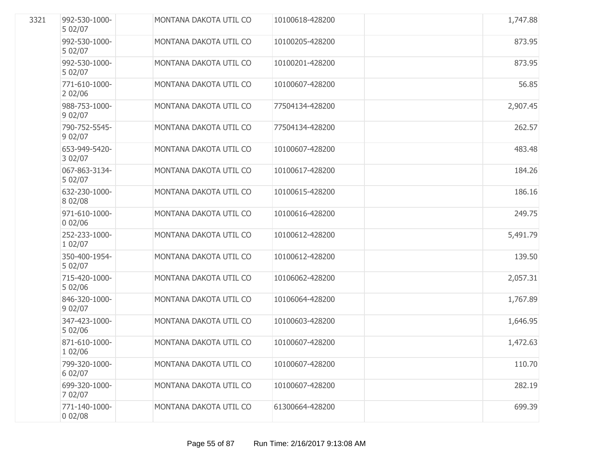| 3321 | 992-530-1000-<br>5 02/07 | MONTANA DAKOTA UTIL CO | 10100618-428200 | 1,747.88 |
|------|--------------------------|------------------------|-----------------|----------|
|      | 992-530-1000-<br>5 02/07 | MONTANA DAKOTA UTIL CO | 10100205-428200 | 873.95   |
|      | 992-530-1000-<br>5 02/07 | MONTANA DAKOTA UTIL CO | 10100201-428200 | 873.95   |
|      | 771-610-1000-<br>202/06  | MONTANA DAKOTA UTIL CO | 10100607-428200 | 56.85    |
|      | 988-753-1000-<br>9 02/07 | MONTANA DAKOTA UTIL CO | 77504134-428200 | 2,907.45 |
|      | 790-752-5545-<br>9 02/07 | MONTANA DAKOTA UTIL CO | 77504134-428200 | 262.57   |
|      | 653-949-5420-<br>3 02/07 | MONTANA DAKOTA UTIL CO | 10100607-428200 | 483.48   |
|      | 067-863-3134-<br>5 02/07 | MONTANA DAKOTA UTIL CO | 10100617-428200 | 184.26   |
|      | 632-230-1000-<br>8 02/08 | MONTANA DAKOTA UTIL CO | 10100615-428200 | 186.16   |
|      | 971-610-1000-<br>002/06  | MONTANA DAKOTA UTIL CO | 10100616-428200 | 249.75   |
|      | 252-233-1000-<br>1 02/07 | MONTANA DAKOTA UTIL CO | 10100612-428200 | 5,491.79 |
|      | 350-400-1954-<br>5 02/07 | MONTANA DAKOTA UTIL CO | 10100612-428200 | 139.50   |
|      | 715-420-1000-<br>5 02/06 | MONTANA DAKOTA UTIL CO | 10106062-428200 | 2,057.31 |
|      | 846-320-1000-<br>9 02/07 | MONTANA DAKOTA UTIL CO | 10106064-428200 | 1,767.89 |
|      | 347-423-1000-<br>5 02/06 | MONTANA DAKOTA UTIL CO | 10100603-428200 | 1,646.95 |
|      | 871-610-1000-<br>1 02/06 | MONTANA DAKOTA UTIL CO | 10100607-428200 | 1,472.63 |
|      | 799-320-1000-<br>6 02/07 | MONTANA DAKOTA UTIL CO | 10100607-428200 | 110.70   |
|      | 699-320-1000-<br>7 02/07 | MONTANA DAKOTA UTIL CO | 10100607-428200 | 282.19   |
|      | 771-140-1000-<br>002/08  | MONTANA DAKOTA UTIL CO | 61300664-428200 | 699.39   |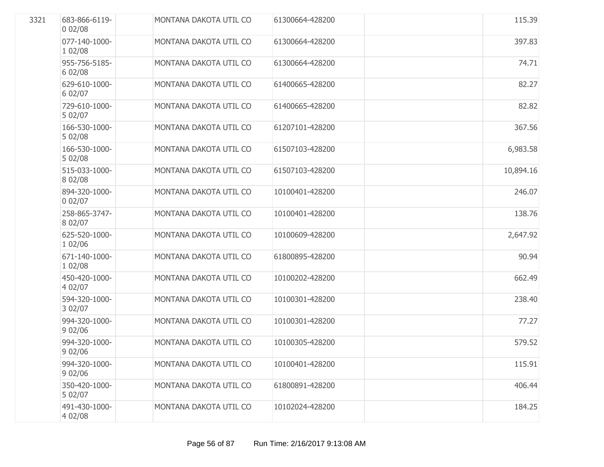| 3321 | 683-866-6119-<br>002/08  | MONTANA DAKOTA UTIL CO | 61300664-428200 | 115.39    |
|------|--------------------------|------------------------|-----------------|-----------|
|      | 077-140-1000-<br>1 02/08 | MONTANA DAKOTA UTIL CO | 61300664-428200 | 397.83    |
|      | 955-756-5185-<br>6 02/08 | MONTANA DAKOTA UTIL CO | 61300664-428200 | 74.71     |
|      | 629-610-1000-<br>6 02/07 | MONTANA DAKOTA UTIL CO | 61400665-428200 | 82.27     |
|      | 729-610-1000-<br>5 02/07 | MONTANA DAKOTA UTIL CO | 61400665-428200 | 82.82     |
|      | 166-530-1000-<br>5 02/08 | MONTANA DAKOTA UTIL CO | 61207101-428200 | 367.56    |
|      | 166-530-1000-<br>5 02/08 | MONTANA DAKOTA UTIL CO | 61507103-428200 | 6,983.58  |
|      | 515-033-1000-<br>8 02/08 | MONTANA DAKOTA UTIL CO | 61507103-428200 | 10,894.16 |
|      | 894-320-1000-<br>002/07  | MONTANA DAKOTA UTIL CO | 10100401-428200 | 246.07    |
|      | 258-865-3747-<br>8 02/07 | MONTANA DAKOTA UTIL CO | 10100401-428200 | 138.76    |
|      | 625-520-1000-<br>1 02/06 | MONTANA DAKOTA UTIL CO | 10100609-428200 | 2,647.92  |
|      | 671-140-1000-<br>1 02/08 | MONTANA DAKOTA UTIL CO | 61800895-428200 | 90.94     |
|      | 450-420-1000-<br>4 02/07 | MONTANA DAKOTA UTIL CO | 10100202-428200 | 662.49    |
|      | 594-320-1000-<br>3 02/07 | MONTANA DAKOTA UTIL CO | 10100301-428200 | 238.40    |
|      | 994-320-1000-<br>902/06  | MONTANA DAKOTA UTIL CO | 10100301-428200 | 77.27     |
|      | 994-320-1000-<br>902/06  | MONTANA DAKOTA UTIL CO | 10100305-428200 | 579.52    |
|      | 994-320-1000-<br>902/06  | MONTANA DAKOTA UTIL CO | 10100401-428200 | 115.91    |
|      | 350-420-1000-<br>5 02/07 | MONTANA DAKOTA UTIL CO | 61800891-428200 | 406.44    |
|      | 491-430-1000-<br>4 02/08 | MONTANA DAKOTA UTIL CO | 10102024-428200 | 184.25    |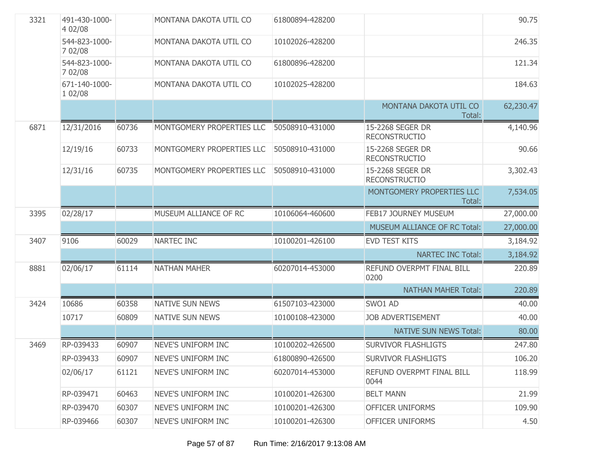| 3321 | 491-430-1000-<br>4 02/08 |       | MONTANA DAKOTA UTIL CO    | 61800894-428200 |                                          | 90.75     |
|------|--------------------------|-------|---------------------------|-----------------|------------------------------------------|-----------|
|      | 544-823-1000-<br>7 02/08 |       | MONTANA DAKOTA UTIL CO    | 10102026-428200 |                                          | 246.35    |
|      | 544-823-1000-<br>7 02/08 |       | MONTANA DAKOTA UTIL CO    | 61800896-428200 |                                          | 121.34    |
|      | 671-140-1000-<br>1 02/08 |       | MONTANA DAKOTA UTIL CO    | 10102025-428200 |                                          | 184.63    |
|      |                          |       |                           |                 | MONTANA DAKOTA UTIL CO<br>Total:         | 62,230.47 |
| 6871 | 12/31/2016               | 60736 | MONTGOMERY PROPERTIES LLC | 50508910-431000 | 15-2268 SEGER DR<br><b>RECONSTRUCTIO</b> | 4,140.96  |
|      | 12/19/16                 | 60733 | MONTGOMERY PROPERTIES LLC | 50508910-431000 | 15-2268 SEGER DR<br><b>RECONSTRUCTIO</b> | 90.66     |
|      | 12/31/16                 | 60735 | MONTGOMERY PROPERTIES LLC | 50508910-431000 | 15-2268 SEGER DR<br><b>RECONSTRUCTIO</b> | 3,302.43  |
|      |                          |       |                           |                 | MONTGOMERY PROPERTIES LLC<br>Total:      | 7,534.05  |
| 3395 | 02/28/17                 |       | MUSEUM ALLIANCE OF RC     | 10106064-460600 | FEB17 JOURNEY MUSEUM                     | 27,000.00 |
|      |                          |       |                           |                 | MUSEUM ALLIANCE OF RC Total:             | 27,000.00 |
| 3407 | 9106                     | 60029 | NARTEC INC                | 10100201-426100 | EVD TEST KITS                            | 3,184.92  |
|      |                          |       |                           |                 | <b>NARTEC INC Total:</b>                 | 3,184.92  |
| 8881 | 02/06/17                 | 61114 | <b>NATHAN MAHER</b>       | 60207014-453000 | REFUND OVERPMT FINAL BILL<br>0200        | 220.89    |
|      |                          |       |                           |                 | <b>NATHAN MAHER Total:</b>               | 220.89    |
| 3424 | 10686                    | 60358 | NATIVE SUN NEWS           | 61507103-423000 | SWO1 AD                                  | 40.00     |
|      | 10717                    | 60809 | <b>NATIVE SUN NEWS</b>    | 10100108-423000 | <b>JOB ADVERTISEMENT</b>                 | 40.00     |
|      |                          |       |                           |                 | <b>NATIVE SUN NEWS Total:</b>            | 80.00     |
| 3469 | RP-039433                | 60907 | NEVE'S UNIFORM INC        | 10100202-426500 | <b>SURVIVOR FLASHLIGTS</b>               | 247.80    |
|      | RP-039433                | 60907 | NEVE'S UNIFORM INC        | 61800890-426500 | <b>SURVIVOR FLASHLIGTS</b>               | 106.20    |
|      | 02/06/17                 | 61121 | NEVE'S UNIFORM INC        | 60207014-453000 | REFUND OVERPMT FINAL BILL<br>0044        | 118.99    |
|      | RP-039471                | 60463 | NEVE'S UNIFORM INC        | 10100201-426300 | <b>BELT MANN</b>                         | 21.99     |
|      | RP-039470                | 60307 | NEVE'S UNIFORM INC        | 10100201-426300 | OFFICER UNIFORMS                         | 109.90    |
|      | RP-039466                | 60307 | NEVE'S UNIFORM INC        | 10100201-426300 | OFFICER UNIFORMS                         | 4.50      |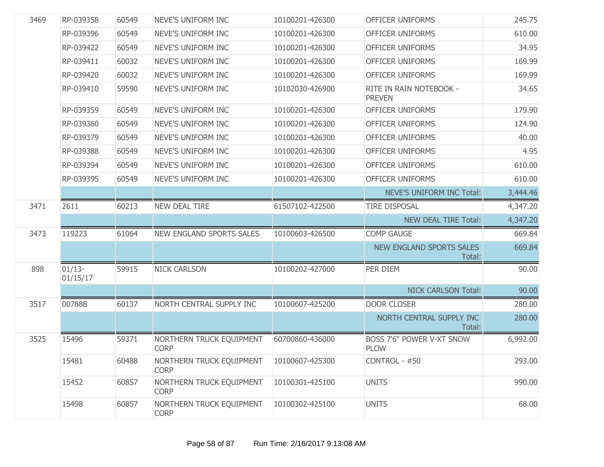| 3469 | RP-039358            | 60549 | NEVE'S UNIFORM INC                      | 10100201-426300 | <b>OFFICER UNIFORMS</b>                  | 245.75   |
|------|----------------------|-------|-----------------------------------------|-----------------|------------------------------------------|----------|
|      | RP-039396            | 60549 | NEVE'S UNIFORM INC                      | 10100201-426300 | <b>OFFICER UNIFORMS</b>                  | 610.00   |
|      | RP-039422            | 60549 | NEVE'S UNIFORM INC                      | 10100201-426300 | OFFICER UNIFORMS                         | 34.95    |
|      | RP-039411            | 60032 | NEVE'S UNIFORM INC                      | 10100201-426300 | <b>OFFICER UNIFORMS</b>                  | 169.99   |
|      | RP-039420            | 60032 | NEVE'S UNIFORM INC                      | 10100201-426300 | OFFICER UNIFORMS                         | 169.99   |
|      | RP-039410            | 59590 | NEVE'S UNIFORM INC                      | 10102030-426900 | RITE IN RAIN NOTEBOOK -<br><b>PREVEN</b> | 34.65    |
|      | RP-039359            | 60549 | NEVE'S UNIFORM INC                      | 10100201-426300 | OFFICER UNIFORMS                         | 179.90   |
|      | RP-039360            | 60549 | NEVE'S UNIFORM INC                      | 10100201-426300 | OFFICER UNIFORMS                         | 124.90   |
|      | RP-039379            | 60549 | NEVE'S UNIFORM INC                      | 10100201-426300 | OFFICER UNIFORMS                         | 40.00    |
|      | RP-039388            | 60549 | NEVE'S UNIFORM INC                      | 10100201-426300 | <b>OFFICER UNIFORMS</b>                  | 4.95     |
|      | RP-039394            | 60549 | NEVE'S UNIFORM INC                      | 10100201-426300 | OFFICER UNIFORMS                         | 610.00   |
|      | RP-039395            | 60549 | NEVE'S UNIFORM INC                      | 10100201-426300 | <b>OFFICER UNIFORMS</b>                  | 610.00   |
|      |                      |       |                                         |                 | NEVE'S UNIFORM INC Total:                | 3,444.46 |
| 3471 | 2611                 | 60213 | <b>NEW DEAL TIRE</b>                    | 61507102-422500 | <b>TIRE DISPOSAL</b>                     | 4,347.20 |
|      |                      |       |                                         |                 | <b>NEW DEAL TIRE Total:</b>              | 4,347.20 |
| 3473 | 119223               | 61064 | <b>NEW ENGLAND SPORTS SALES</b>         | 10100603-426500 | <b>COMP GAUGE</b>                        | 669.84   |
|      |                      |       |                                         |                 | NEW ENGLAND SPORTS SALES<br>Total:       | 669.84   |
| 898  | $01/13-$<br>01/15/17 | 59915 | <b>NICK CARLSON</b>                     | 10100202-427000 | PER DIEM                                 | 90.00    |
|      |                      |       |                                         |                 | <b>NICK CARLSON Total:</b>               | 90.00    |
| 3517 | 007888               | 60137 | NORTH CENTRAL SUPPLY INC                | 10100607-425200 | <b>DOOR CLOSER</b>                       | 280.00   |
|      |                      |       |                                         |                 | NORTH CENTRAL SUPPLY INC<br>Total:       | 280.00   |
| 3525 | 15496                | 59371 | NORTHERN TRUCK EQUIPMENT<br><b>CORP</b> | 60700860-436000 | BOSS 7'6" POWER V-XT SNOW<br><b>PLOW</b> | 6,992.00 |
|      | 15481                | 60488 | NORTHERN TRUCK EQUIPMENT<br><b>CORP</b> | 10100607-425300 | CONTROL - #50                            | 293.00   |
|      | 15452                | 60857 | NORTHERN TRUCK EQUIPMENT<br><b>CORP</b> | 10100301-425100 | <b>UNITS</b>                             | 990.00   |
|      | 15498                | 60857 | NORTHERN TRUCK EQUIPMENT<br><b>CORP</b> | 10100302-425100 | <b>UNITS</b>                             | 68.00    |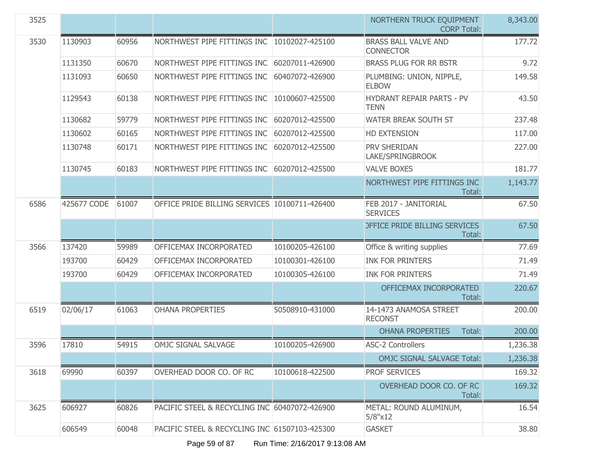| 3525 |             |       |                                               |                 | NORTHERN TRUCK EQUIPMENT<br><b>CORP Total:</b>  | 8,343.00 |
|------|-------------|-------|-----------------------------------------------|-----------------|-------------------------------------------------|----------|
| 3530 | 1130903     | 60956 | NORTHWEST PIPE FITTINGS INC                   | 10102027-425100 | <b>BRASS BALL VALVE AND</b><br><b>CONNECTOR</b> | 177.72   |
|      | 1131350     | 60670 | NORTHWEST PIPE FITTINGS INC                   | 60207011-426900 | <b>BRASS PLUG FOR RR BSTR</b>                   | 9.72     |
|      | 1131093     | 60650 | NORTHWEST PIPE FITTINGS INC                   | 60407072-426900 | PLUMBING: UNION, NIPPLE,<br><b>ELBOW</b>        | 149.58   |
|      | 1129543     | 60138 | NORTHWEST PIPE FITTINGS INC                   | 10100607-425500 | <b>HYDRANT REPAIR PARTS - PV</b><br><b>TENN</b> | 43.50    |
|      | 1130682     | 59779 | NORTHWEST PIPE FITTINGS INC                   | 60207012-425500 | WATER BREAK SOUTH ST                            | 237.48   |
|      | 1130602     | 60165 | NORTHWEST PIPE FITTINGS INC                   | 60207012-425500 | <b>HD EXTENSION</b>                             | 117.00   |
|      | 1130748     | 60171 | NORTHWEST PIPE FITTINGS INC                   | 60207012-425500 | PRV SHERIDAN<br>LAKE/SPRINGBROOK                | 227.00   |
|      | 1130745     | 60183 | NORTHWEST PIPE FITTINGS INC                   | 60207012-425500 | <b>VALVE BOXES</b>                              | 181.77   |
|      |             |       |                                               |                 | NORTHWEST PIPE FITTINGS INC<br>Total:           | 1,143.77 |
| 6586 | 425677 CODE | 61007 | OFFICE PRIDE BILLING SERVICES 10100711-426400 |                 | FEB 2017 - JANITORIAL<br><b>SERVICES</b>        | 67.50    |
|      |             |       |                                               |                 | <b>DEFICE PRIDE BILLING SERVICES</b><br>Total:  | 67.50    |
| 3566 | 137420      | 59989 | OFFICEMAX INCORPORATED                        | 10100205-426100 | Office & writing supplies                       | 77.69    |
|      | 193700      | 60429 | OFFICEMAX INCORPORATED                        | 10100301-426100 | <b>INK FOR PRINTERS</b>                         | 71.49    |
|      | 193700      | 60429 | OFFICEMAX INCORPORATED                        | 10100305-426100 | <b>INK FOR PRINTERS</b>                         | 71.49    |
|      |             |       |                                               |                 | OFFICEMAX INCORPORATED<br>Total:                | 220.67   |
| 6519 | 02/06/17    | 61063 | <b>OHANA PROPERTIES</b>                       | 50508910-431000 | 14-1473 ANAMOSA STREET<br><b>RECONST</b>        | 200.00   |
|      |             |       |                                               |                 | <b>OHANA PROPERTIES</b><br>Total:               | 200.00   |
| 3596 | 17810       | 54915 | OMJC SIGNAL SALVAGE                           | 10100205-426900 | <b>ASC-2 Controllers</b>                        | 1,236.38 |
|      |             |       |                                               |                 | <b>OMJC SIGNAL SALVAGE Total:</b>               | 1,236.38 |
| 3618 | 69990       | 60397 | OVERHEAD DOOR CO. OF RC                       | 10100618-422500 | PROF SERVICES                                   | 169.32   |
|      |             |       |                                               |                 | OVERHEAD DOOR CO. OF RC<br>Total:               | 169.32   |
| 3625 | 606927      | 60826 | PACIFIC STEEL & RECYCLING INC 60407072-426900 |                 | METAL: ROUND ALUMINUM,<br>5/8"x12               | 16.54    |
|      | 606549      | 60048 | PACIFIC STEEL & RECYCLING INC 61507103-425300 |                 | <b>GASKET</b>                                   | 38.80    |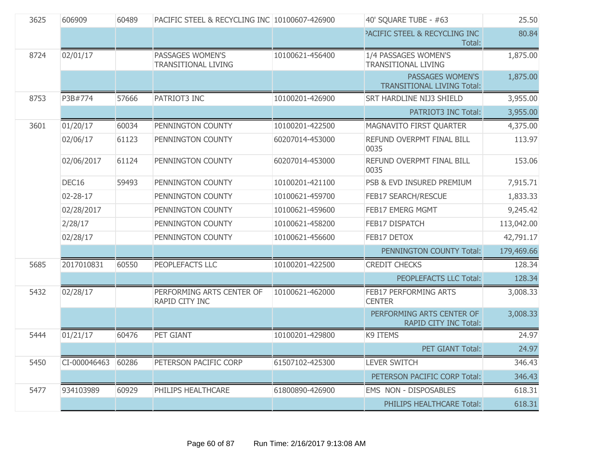| 3625 | 606909       | 60489 | PACIFIC STEEL & RECYCLING INC 10100607-426900  |                 | 40' SQUARE TUBE - #63                                     | 25.50      |
|------|--------------|-------|------------------------------------------------|-----------------|-----------------------------------------------------------|------------|
|      |              |       |                                                |                 | <b>PACIFIC STEEL &amp; RECYCLING INC</b><br>Total:        | 80.84      |
| 8724 | 02/01/17     |       | PASSAGES WOMEN'S<br><b>TRANSITIONAL LIVING</b> | 10100621-456400 | 1/4 PASSAGES WOMEN'S<br><b>TRANSITIONAL LIVING</b>        | 1,875.00   |
|      |              |       |                                                |                 | PASSAGES WOMEN'S<br><b>TRANSITIONAL LIVING Total:</b>     | 1,875.00   |
| 8753 | P3B#774      | 57666 | PATRIOT3 INC                                   | 10100201-426900 | <b>SRT HARDLINE NIJ3 SHIELD</b>                           | 3,955.00   |
|      |              |       |                                                |                 | <b>PATRIOT3 INC Total:</b>                                | 3,955.00   |
| 3601 | 01/20/17     | 60034 | PENNINGTON COUNTY                              | 10100201-422500 | MAGNAVITO FIRST QUARTER                                   | 4,375.00   |
|      | 02/06/17     | 61123 | PENNINGTON COUNTY                              | 60207014-453000 | REFUND OVERPMT FINAL BILL<br>0035                         | 113.97     |
|      | 02/06/2017   | 61124 | PENNINGTON COUNTY                              | 60207014-453000 | REFUND OVERPMT FINAL BILL<br>0035                         | 153.06     |
|      | DEC16        | 59493 | PENNINGTON COUNTY                              | 10100201-421100 | PSB & EVD INSURED PREMIUM                                 | 7,915.71   |
|      | 02-28-17     |       | PENNINGTON COUNTY                              | 10100621-459700 | <b>FEB17 SEARCH/RESCUE</b>                                | 1,833.33   |
|      | 02/28/2017   |       | PENNINGTON COUNTY                              | 10100621-459600 | <b>FEB17 EMERG MGMT</b>                                   | 9,245.42   |
|      | 2/28/17      |       | PENNINGTON COUNTY                              | 10100621-458200 | FEB17 DISPATCH                                            | 113,042.00 |
|      | 02/28/17     |       | PENNINGTON COUNTY                              | 10100621-456600 | FEB17 DETOX                                               | 42,791.17  |
|      |              |       |                                                |                 | PENNINGTON COUNTY Total:                                  | 179,469.66 |
| 5685 | 2017010831   | 60550 | PEOPLEFACTS LLC                                | 10100201-422500 | <b>CREDIT CHECKS</b>                                      | 128.34     |
|      |              |       |                                                |                 | PEOPLEFACTS LLC Total:                                    | 128.34     |
| 5432 | 02/28/17     |       | PERFORMING ARTS CENTER OF<br>RAPID CITY INC    | 10100621-462000 | <b>FEB17 PERFORMING ARTS</b><br><b>CENTER</b>             | 3,008.33   |
|      |              |       |                                                |                 | PERFORMING ARTS CENTER OF<br><b>RAPID CITY INC Total:</b> | 3,008.33   |
| 5444 | 01/21/17     | 60476 | PET GIANT                                      | 10100201-429800 | K9 ITEMS                                                  | 24.97      |
|      |              |       |                                                |                 | PET GIANT Total:                                          | 24.97      |
| 5450 | CI-000046463 | 60286 | PETERSON PACIFIC CORP                          | 61507102-425300 | <b>LEVER SWITCH</b>                                       | 346.43     |
|      |              |       |                                                |                 | PETERSON PACIFIC CORP Total:                              | 346.43     |
| 5477 | 934103989    | 60929 | PHILIPS HEALTHCARE                             | 61800890-426900 | EMS NON - DISPOSABLES                                     | 618.31     |
|      |              |       |                                                |                 | PHILIPS HEALTHCARE Total:                                 | 618.31     |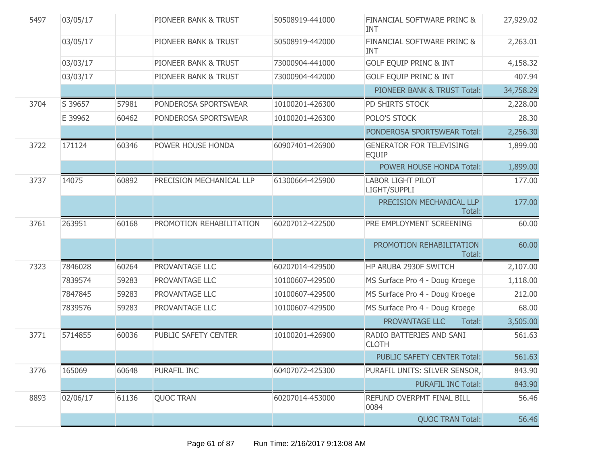| 5497 | 03/05/17 |       | PIONEER BANK & TRUST            | 50508919-441000 | FINANCIAL SOFTWARE PRINC &<br><b>INT</b>        | 27,929.02 |
|------|----------|-------|---------------------------------|-----------------|-------------------------------------------------|-----------|
|      | 03/05/17 |       | <b>PIONEER BANK &amp; TRUST</b> | 50508919-442000 | FINANCIAL SOFTWARE PRINC &<br><b>INT</b>        | 2,263.01  |
|      | 03/03/17 |       | PIONEER BANK & TRUST            | 73000904-441000 | <b>GOLF EQUIP PRINC &amp; INT</b>               | 4,158.32  |
|      | 03/03/17 |       | PIONEER BANK & TRUST            | 73000904-442000 | <b>GOLF EQUIP PRINC &amp; INT</b>               | 407.94    |
|      |          |       |                                 |                 | PIONEER BANK & TRUST Total:                     | 34,758.29 |
| 3704 | S 39657  | 57981 | PONDEROSA SPORTSWEAR            | 10100201-426300 | PD SHIRTS STOCK                                 | 2,228.00  |
|      | E 39962  | 60462 | PONDEROSA SPORTSWEAR            | 10100201-426300 | POLO'S STOCK                                    | 28.30     |
|      |          |       |                                 |                 | PONDEROSA SPORTSWEAR Total:                     | 2,256.30  |
| 3722 | 171124   | 60346 | POWER HOUSE HONDA               | 60907401-426900 | <b>GENERATOR FOR TELEVISING</b><br><b>EQUIP</b> | 1,899.00  |
|      |          |       |                                 |                 | POWER HOUSE HONDA Total:                        | 1,899.00  |
| 3737 | 14075    | 60892 | PRECISION MECHANICAL LLP        | 61300664-425900 | <b>LABOR LIGHT PILOT</b><br>LIGHT/SUPPLI        | 177.00    |
|      |          |       |                                 |                 | PRECISION MECHANICAL LLP<br>Total:              | 177.00    |
| 3761 | 263951   | 60168 | PROMOTION REHABILITATION        | 60207012-422500 | PRE EMPLOYMENT SCREENING                        | 60.00     |
|      |          |       |                                 |                 | PROMOTION REHABILITATION<br>Total:              | 60.00     |
| 7323 | 7846028  | 60264 | PROVANTAGE LLC                  | 60207014-429500 | HP ARUBA 2930F SWITCH                           | 2,107.00  |
|      | 7839574  | 59283 | PROVANTAGE LLC                  | 10100607-429500 | MS Surface Pro 4 - Doug Kroege                  | 1,118.00  |
|      | 7847845  | 59283 | PROVANTAGE LLC                  | 10100607-429500 | MS Surface Pro 4 - Doug Kroege                  | 212.00    |
|      | 7839576  | 59283 | PROVANTAGE LLC                  | 10100607-429500 | MS Surface Pro 4 - Doug Kroege                  | 68.00     |
|      |          |       |                                 |                 | PROVANTAGE LLC<br>Total:                        | 3,505.00  |
| 3771 | 5714855  | 60036 | PUBLIC SAFETY CENTER            | 10100201-426900 | RADIO BATTERIES AND SANI<br><b>CLOTH</b>        | 561.63    |
|      |          |       |                                 |                 | PUBLIC SAFETY CENTER Total:                     | 561.63    |
| 3776 | 165069   | 60648 | PURAFIL INC                     | 60407072-425300 | PURAFIL UNITS: SILVER SENSOR,                   | 843.90    |
|      |          |       |                                 |                 | <b>PURAFIL INC Total:</b>                       | 843.90    |
| 8893 | 02/06/17 | 61136 | <b>QUOC TRAN</b>                | 60207014-453000 | REFUND OVERPMT FINAL BILL<br>0084               | 56.46     |
|      |          |       |                                 |                 | <b>QUOC TRAN Total:</b>                         | 56.46     |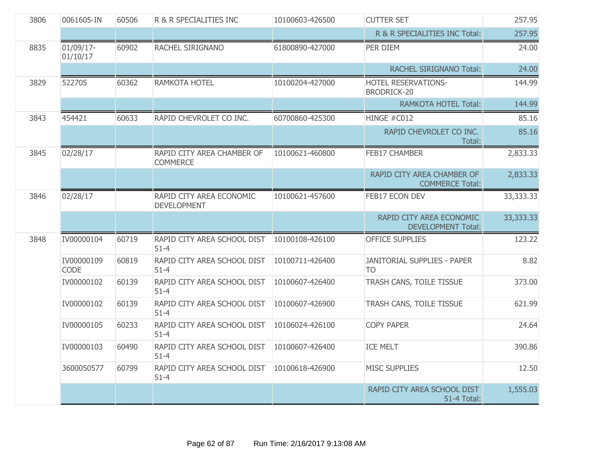| 3806 | 0061605-IN            | 60506 | R & R SPECIALITIES INC                         | 10100603-426500 | <b>CUTTER SET</b>                                     | 257.95    |
|------|-----------------------|-------|------------------------------------------------|-----------------|-------------------------------------------------------|-----------|
|      |                       |       |                                                |                 | R & R SPECIALITIES INC Total:                         | 257.95    |
| 8835 | 01/09/17-<br>01/10/17 | 60902 | RACHEL SIRIGNANO                               | 61800890-427000 | PER DIEM                                              | 24.00     |
|      |                       |       |                                                |                 | <b>RACHEL SIRIGNANO Total:</b>                        | 24.00     |
| 3829 | 522705                | 60362 | RAMKOTA HOTEL                                  | 10100204-427000 | HOTEL RESERVATIONS-<br>BRODRICK-20                    | 144.99    |
|      |                       |       |                                                |                 | <b>RAMKOTA HOTEL Total:</b>                           | 144.99    |
| 3843 | 454421                | 60633 | RAPID CHEVROLET CO INC.                        | 60700860-425300 | HINGE #C012                                           | 85.16     |
|      |                       |       |                                                |                 | RAPID CHEVROLET CO INC.<br>Total:                     | 85.16     |
| 3845 | 02/28/17              |       | RAPID CITY AREA CHAMBER OF<br><b>COMMERCE</b>  | 10100621-460800 | FEB17 CHAMBER                                         | 2,833.33  |
|      |                       |       |                                                |                 | RAPID CITY AREA CHAMBER OF<br><b>COMMERCE Total:</b>  | 2,833.33  |
| 3846 | 02/28/17              |       | RAPID CITY AREA ECONOMIC<br><b>DEVELOPMENT</b> | 10100621-457600 | FEB17 ECON DEV                                        | 33,333.33 |
|      |                       |       |                                                |                 | RAPID CITY AREA ECONOMIC<br><b>DEVELOPMENT Total:</b> | 33,333.33 |
| 3848 | IV00000104            | 60719 | RAPID CITY AREA SCHOOL DIST<br>$51 - 4$        | 10100108-426100 | <b>OFFICE SUPPLIES</b>                                | 123.22    |
|      | IV00000109<br>CODE    | 60819 | RAPID CITY AREA SCHOOL DIST<br>$51 - 4$        | 10100711-426400 | JANITORIAL SUPPLIES - PAPER<br>T <sub>O</sub>         | 8.82      |
|      | IV00000102            | 60139 | RAPID CITY AREA SCHOOL DIST<br>$51 - 4$        | 10100607-426400 | TRASH CANS, TOILE TISSUE                              | 373.00    |
|      | IV00000102            | 60139 | RAPID CITY AREA SCHOOL DIST<br>$51 - 4$        | 10100607-426900 | TRASH CANS, TOILE TISSUE                              | 621.99    |
|      | IV00000105            | 60233 | RAPID CITY AREA SCHOOL DIST<br>$51 - 4$        | 10106024-426100 | <b>COPY PAPER</b>                                     | 24.64     |
|      | IV00000103            | 60490 | RAPID CITY AREA SCHOOL DIST<br>$51 - 4$        | 10100607-426400 | <b>ICE MELT</b>                                       | 390.86    |
|      | 3600050577            | 60799 | RAPID CITY AREA SCHOOL DIST<br>$51 - 4$        | 10100618-426900 | <b>MISC SUPPLIES</b>                                  | 12.50     |
|      |                       |       |                                                |                 | RAPID CITY AREA SCHOOL DIST<br><b>51-4 Total:</b>     | 1,555.03  |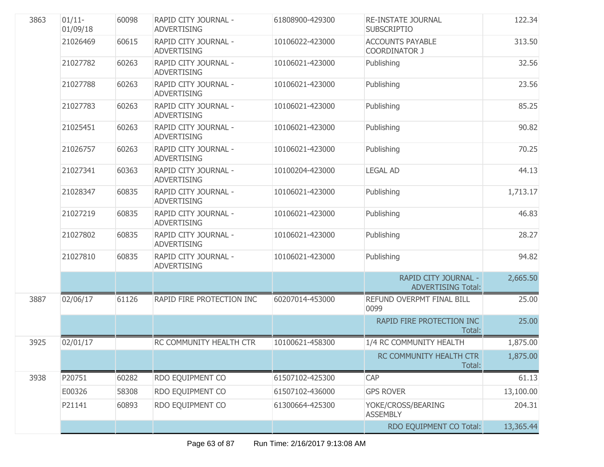| 3863 | $01/11 -$<br>01/09/18 | 60098 | RAPID CITY JOURNAL -<br><b>ADVERTISING</b> | 61808900-429300 | <b>RE-INSTATE JOURNAL</b><br><b>SUBSCRIPTIO</b>   | 122.34    |
|------|-----------------------|-------|--------------------------------------------|-----------------|---------------------------------------------------|-----------|
|      | 21026469              | 60615 | RAPID CITY JOURNAL -<br><b>ADVERTISING</b> | 10106022-423000 | <b>ACCOUNTS PAYABLE</b><br><b>COORDINATOR J</b>   | 313.50    |
|      | 21027782              | 60263 | RAPID CITY JOURNAL -<br><b>ADVERTISING</b> | 10106021-423000 | Publishing                                        | 32.56     |
|      | 21027788              | 60263 | RAPID CITY JOURNAL -<br><b>ADVERTISING</b> | 10106021-423000 | Publishing                                        | 23.56     |
|      | 21027783              | 60263 | RAPID CITY JOURNAL -<br><b>ADVERTISING</b> | 10106021-423000 | Publishing                                        | 85.25     |
|      | 21025451              | 60263 | RAPID CITY JOURNAL -<br><b>ADVERTISING</b> | 10106021-423000 | Publishing                                        | 90.82     |
|      | 21026757              | 60263 | RAPID CITY JOURNAL -<br><b>ADVERTISING</b> | 10106021-423000 | Publishing                                        | 70.25     |
|      | 21027341              | 60363 | RAPID CITY JOURNAL -<br><b>ADVERTISING</b> | 10100204-423000 | <b>LEGAL AD</b>                                   | 44.13     |
|      | 21028347              | 60835 | RAPID CITY JOURNAL -<br><b>ADVERTISING</b> | 10106021-423000 | Publishing                                        | 1,713.17  |
|      | 21027219              | 60835 | RAPID CITY JOURNAL -<br><b>ADVERTISING</b> | 10106021-423000 | Publishing                                        | 46.83     |
|      | 21027802              | 60835 | RAPID CITY JOURNAL -<br><b>ADVERTISING</b> | 10106021-423000 | Publishing                                        | 28.27     |
|      | 21027810              | 60835 | RAPID CITY JOURNAL -<br><b>ADVERTISING</b> | 10106021-423000 | Publishing                                        | 94.82     |
|      |                       |       |                                            |                 | RAPID CITY JOURNAL -<br><b>ADVERTISING Total:</b> | 2,665.50  |
| 3887 | 02/06/17              | 61126 | RAPID FIRE PROTECTION INC                  | 60207014-453000 | REFUND OVERPMT FINAL BILL<br>0099                 | 25.00     |
|      |                       |       |                                            |                 | RAPID FIRE PROTECTION INC<br>Total:               | 25.00     |
| 3925 | 02/01/17              |       | RC COMMUNITY HEALTH CTR                    | 10100621-458300 | 1/4 RC COMMUNITY HEALTH                           | 1,875.00  |
|      |                       |       |                                            |                 | RC COMMUNITY HEALTH CTR<br>Total:                 | 1,875.00  |
| 3938 | P20751                | 60282 | RDO EQUIPMENT CO                           | 61507102-425300 | CAP                                               | 61.13     |
|      | E00326                | 58308 | RDO EQUIPMENT CO                           | 61507102-436000 | <b>GPS ROVER</b>                                  | 13,100.00 |
|      | P21141                | 60893 | RDO EQUIPMENT CO                           | 61300664-425300 | YOKE/CROSS/BEARING<br><b>ASSEMBLY</b>             | 204.31    |
|      |                       |       |                                            |                 | RDO EQUIPMENT CO Total:                           | 13,365.44 |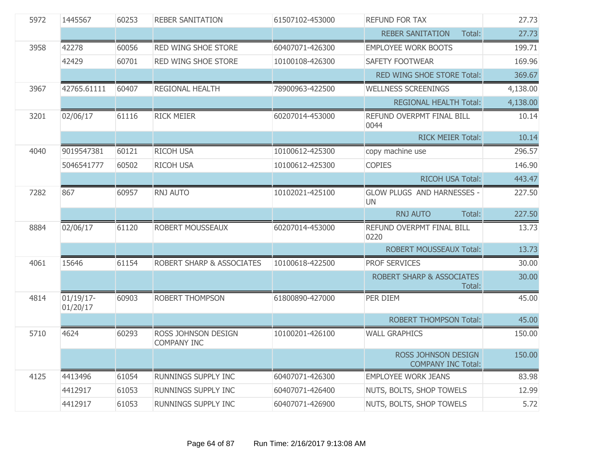| 5972 | 1445567                  | 60253 | <b>REBER SANITATION</b>                   | 61507102-453000 | <b>REFUND FOR TAX</b>                            | 27.73    |
|------|--------------------------|-------|-------------------------------------------|-----------------|--------------------------------------------------|----------|
|      |                          |       |                                           |                 | <b>REBER SANITATION</b><br>Total:                | 27.73    |
| 3958 | 42278                    | 60056 | RED WING SHOE STORE                       | 60407071-426300 | <b>EMPLOYEE WORK BOOTS</b>                       | 199.71   |
|      | 42429                    | 60701 | RED WING SHOE STORE                       | 10100108-426300 | <b>SAFETY FOOTWEAR</b>                           | 169.96   |
|      |                          |       |                                           |                 | RED WING SHOE STORE Total:                       | 369.67   |
| 3967 | 42765.61111              | 60407 | <b>REGIONAL HEALTH</b>                    | 78900963-422500 | <b>WELLNESS SCREENINGS</b>                       | 4,138.00 |
|      |                          |       |                                           |                 | <b>REGIONAL HEALTH Total:</b>                    | 4,138.00 |
| 3201 | 02/06/17                 | 61116 | <b>RICK MEIER</b>                         | 60207014-453000 | REFUND OVERPMT FINAL BILL<br>0044                | 10.14    |
|      |                          |       |                                           |                 | <b>RICK MEIER Total:</b>                         | 10.14    |
| 4040 | 9019547381               | 60121 | <b>RICOH USA</b>                          | 10100612-425300 | copy machine use                                 | 296.57   |
|      | 5046541777               | 60502 | <b>RICOH USA</b>                          | 10100612-425300 | <b>COPIES</b>                                    | 146.90   |
|      |                          |       |                                           |                 | <b>RICOH USA Total:</b>                          | 443.47   |
| 7282 | 867                      | 60957 | <b>RNJ AUTO</b>                           | 10102021-425100 | GLOW PLUGS AND HARNESSES -<br><b>UN</b>          | 227.50   |
|      |                          |       |                                           |                 | <b>RNJ AUTO</b><br>Total:                        | 227.50   |
| 8884 | 02/06/17                 | 61120 | ROBERT MOUSSEAUX                          | 60207014-453000 | REFUND OVERPMT FINAL BILL<br>0220                | 13.73    |
|      |                          |       |                                           |                 | <b>ROBERT MOUSSEAUX Total:</b>                   | 13.73    |
| 4061 | 15646                    | 61154 | ROBERT SHARP & ASSOCIATES                 | 10100618-422500 | PROF SERVICES                                    | 30.00    |
|      |                          |       |                                           |                 | <b>ROBERT SHARP &amp; ASSOCIATES</b><br>Total:   | 30.00    |
| 4814 | $01/19/17$ -<br>01/20/17 | 60903 | <b>ROBERT THOMPSON</b>                    | 61800890-427000 | PER DIEM                                         | 45.00    |
|      |                          |       |                                           |                 | <b>ROBERT THOMPSON Total:</b>                    | 45.00    |
| 5710 | 4624                     | 60293 | ROSS JOHNSON DESIGN<br><b>COMPANY INC</b> | 10100201-426100 | <b>WALL GRAPHICS</b>                             | 150.00   |
|      |                          |       |                                           |                 | ROSS JOHNSON DESIGN<br><b>COMPANY INC Total:</b> | 150.00   |
| 4125 | 4413496                  | 61054 | <b>RUNNINGS SUPPLY INC</b>                | 60407071-426300 | <b>EMPLOYEE WORK JEANS</b>                       | 83.98    |
|      | 4412917                  | 61053 | <b>RUNNINGS SUPPLY INC</b>                | 60407071-426400 | NUTS, BOLTS, SHOP TOWELS                         | 12.99    |
|      | 4412917                  | 61053 | RUNNINGS SUPPLY INC                       | 60407071-426900 | NUTS, BOLTS, SHOP TOWELS                         | 5.72     |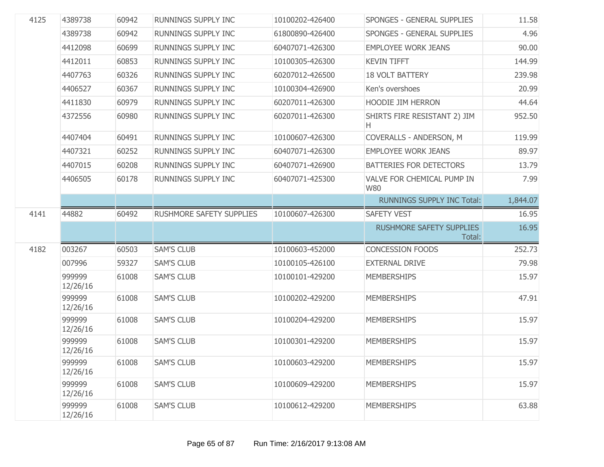| 4125 | 4389738            | 60942 | RUNNINGS SUPPLY INC        | 10100202-426400 | SPONGES - GENERAL SUPPLIES                | 11.58    |
|------|--------------------|-------|----------------------------|-----------------|-------------------------------------------|----------|
|      | 4389738            | 60942 | RUNNINGS SUPPLY INC        | 61800890-426400 | SPONGES - GENERAL SUPPLIES                | 4.96     |
|      | 4412098            | 60699 | RUNNINGS SUPPLY INC        | 60407071-426300 | <b>EMPLOYEE WORK JEANS</b>                | 90.00    |
|      | 4412011            | 60853 | RUNNINGS SUPPLY INC        | 10100305-426300 | <b>KEVIN TIFFT</b>                        | 144.99   |
|      | 4407763            | 60326 | RUNNINGS SUPPLY INC        | 60207012-426500 | <b>18 VOLT BATTERY</b>                    | 239.98   |
|      | 4406527            | 60367 | RUNNINGS SUPPLY INC        | 10100304-426900 | Ken's overshoes                           | 20.99    |
|      | 4411830            | 60979 | RUNNINGS SUPPLY INC        | 60207011-426300 | HOODIE JIM HERRON                         | 44.64    |
|      | 4372556            | 60980 | RUNNINGS SUPPLY INC        | 60207011-426300 | SHIRTS FIRE RESISTANT 2) JIM<br>H.        | 952.50   |
|      | 4407404            | 60491 | RUNNINGS SUPPLY INC        | 10100607-426300 | COVERALLS - ANDERSON, M                   | 119.99   |
|      | 4407321            | 60252 | RUNNINGS SUPPLY INC        | 60407071-426300 | <b>EMPLOYEE WORK JEANS</b>                | 89.97    |
|      | 4407015            | 60208 | RUNNINGS SUPPLY INC        | 60407071-426900 | BATTERIES FOR DETECTORS                   | 13.79    |
|      | 4406505            | 60178 | <b>RUNNINGS SUPPLY INC</b> | 60407071-425300 | VALVE FOR CHEMICAL PUMP IN<br><b>W80</b>  | 7.99     |
|      |                    |       |                            |                 | <b>RUNNINGS SUPPLY INC Total:</b>         | 1,844.07 |
| 4141 | 44882              | 60492 | RUSHMORE SAFETY SUPPLIES   | 10100607-426300 | <b>SAFETY VEST</b>                        | 16.95    |
|      |                    |       |                            |                 | <b>RUSHMORE SAFETY SUPPLIES</b><br>Total: | 16.95    |
| 4182 | 003267             | 60503 | <b>SAM'S CLUB</b>          | 10100603-452000 | <b>CONCESSION FOODS</b>                   | 252.73   |
|      | 007996             | 59327 | <b>SAM'S CLUB</b>          | 10100105-426100 | <b>EXTERNAL DRIVE</b>                     | 79.98    |
|      | 999999<br>12/26/16 | 61008 | <b>SAM'S CLUB</b>          | 10100101-429200 | <b>MEMBERSHIPS</b>                        | 15.97    |
|      | 999999<br>12/26/16 | 61008 | <b>SAM'S CLUB</b>          | 10100202-429200 | <b>MEMBERSHIPS</b>                        | 47.91    |
|      | 999999<br>12/26/16 | 61008 | <b>SAM'S CLUB</b>          | 10100204-429200 | <b>MEMBERSHIPS</b>                        | 15.97    |
|      | 999999<br>12/26/16 | 61008 | <b>SAM'S CLUB</b>          | 10100301-429200 | <b>MEMBERSHIPS</b>                        | 15.97    |
|      | 999999<br>12/26/16 | 61008 | <b>SAM'S CLUB</b>          | 10100603-429200 | <b>MEMBERSHIPS</b>                        | 15.97    |
|      | 999999<br>12/26/16 | 61008 | <b>SAM'S CLUB</b>          | 10100609-429200 | <b>MEMBERSHIPS</b>                        | 15.97    |
|      | 999999<br>12/26/16 | 61008 | <b>SAM'S CLUB</b>          | 10100612-429200 | <b>MEMBERSHIPS</b>                        | 63.88    |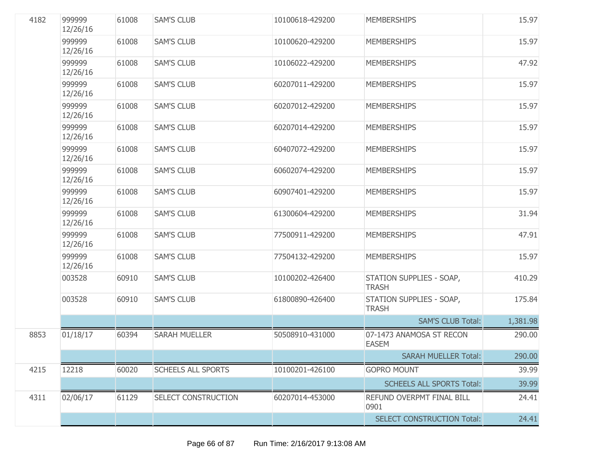| 4182 | 999999<br>12/26/16 | 61008 | <b>SAM'S CLUB</b>         | 10100618-429200 | <b>MEMBERSHIPS</b>                       | 15.97    |
|------|--------------------|-------|---------------------------|-----------------|------------------------------------------|----------|
|      | 999999<br>12/26/16 | 61008 | <b>SAM'S CLUB</b>         | 10100620-429200 | <b>MEMBERSHIPS</b>                       | 15.97    |
|      | 999999<br>12/26/16 | 61008 | <b>SAM'S CLUB</b>         | 10106022-429200 | <b>MEMBERSHIPS</b>                       | 47.92    |
|      | 999999<br>12/26/16 | 61008 | <b>SAM'S CLUB</b>         | 60207011-429200 | <b>MEMBERSHIPS</b>                       | 15.97    |
|      | 999999<br>12/26/16 | 61008 | <b>SAM'S CLUB</b>         | 60207012-429200 | <b>MEMBERSHIPS</b>                       | 15.97    |
|      | 999999<br>12/26/16 | 61008 | <b>SAM'S CLUB</b>         | 60207014-429200 | <b>MEMBERSHIPS</b>                       | 15.97    |
|      | 999999<br>12/26/16 | 61008 | <b>SAM'S CLUB</b>         | 60407072-429200 | <b>MEMBERSHIPS</b>                       | 15.97    |
|      | 999999<br>12/26/16 | 61008 | <b>SAM'S CLUB</b>         | 60602074-429200 | <b>MEMBERSHIPS</b>                       | 15.97    |
|      | 999999<br>12/26/16 | 61008 | <b>SAM'S CLUB</b>         | 60907401-429200 | <b>MEMBERSHIPS</b>                       | 15.97    |
|      | 999999<br>12/26/16 | 61008 | <b>SAM'S CLUB</b>         | 61300604-429200 | <b>MEMBERSHIPS</b>                       | 31.94    |
|      | 999999<br>12/26/16 | 61008 | <b>SAM'S CLUB</b>         | 77500911-429200 | <b>MEMBERSHIPS</b>                       | 47.91    |
|      | 999999<br>12/26/16 | 61008 | <b>SAM'S CLUB</b>         | 77504132-429200 | <b>MEMBERSHIPS</b>                       | 15.97    |
|      | 003528             | 60910 | <b>SAM'S CLUB</b>         | 10100202-426400 | STATION SUPPLIES - SOAP,<br><b>TRASH</b> | 410.29   |
|      | 003528             | 60910 | <b>SAM'S CLUB</b>         | 61800890-426400 | STATION SUPPLIES - SOAP,<br><b>TRASH</b> | 175.84   |
|      |                    |       |                           |                 | <b>SAM'S CLUB Total:</b>                 | 1,381.98 |
| 8853 | 01/18/17           | 60394 | <b>SARAH MUELLER</b>      | 50508910-431000 | 07-1473 ANAMOSA ST RECON<br><b>EASEM</b> | 290.00   |
|      |                    |       |                           |                 | <b>SARAH MUELLER Total:</b>              | 290.00   |
| 4215 | 12218              | 60020 | <b>SCHEELS ALL SPORTS</b> | 10100201-426100 | <b>GOPRO MOUNT</b>                       | 39.99    |
|      |                    |       |                           |                 | <b>SCHEELS ALL SPORTS Total:</b>         | 39.99    |
| 4311 | 02/06/17           | 61129 | SELECT CONSTRUCTION       | 60207014-453000 | REFUND OVERPMT FINAL BILL<br>0901        | 24.41    |
|      |                    |       |                           |                 | <b>SELECT CONSTRUCTION Total:</b>        | 24.41    |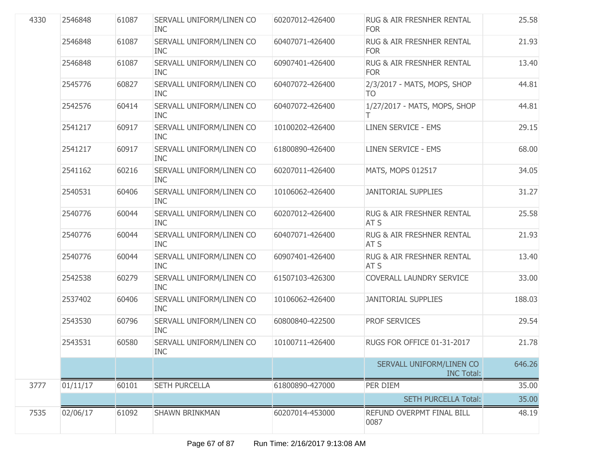| 4330 | 2546848  | 61087 | SERVALL UNIFORM/LINEN CO<br><b>INC</b> | 60207012-426400 | RUG & AIR FRESNHER RENTAL<br><b>FOR</b>       | 25.58  |
|------|----------|-------|----------------------------------------|-----------------|-----------------------------------------------|--------|
|      | 2546848  | 61087 | SERVALL UNIFORM/LINEN CO<br><b>INC</b> | 60407071-426400 | RUG & AIR FRESNHER RENTAL<br><b>FOR</b>       | 21.93  |
|      | 2546848  | 61087 | SERVALL UNIFORM/LINEN CO<br><b>INC</b> | 60907401-426400 | RUG & AIR FRESNHER RENTAL<br><b>FOR</b>       | 13.40  |
|      | 2545776  | 60827 | SERVALL UNIFORM/LINEN CO<br><b>INC</b> | 60407072-426400 | 2/3/2017 - MATS, MOPS, SHOP<br>TO             | 44.81  |
|      | 2542576  | 60414 | SERVALL UNIFORM/LINEN CO<br><b>INC</b> | 60407072-426400 | 1/27/2017 - MATS, MOPS, SHOP                  | 44.81  |
|      | 2541217  | 60917 | SERVALL UNIFORM/LINEN CO<br><b>INC</b> | 10100202-426400 | <b>LINEN SERVICE - EMS</b>                    | 29.15  |
|      | 2541217  | 60917 | SERVALL UNIFORM/LINEN CO<br><b>INC</b> | 61800890-426400 | <b>LINEN SERVICE - EMS</b>                    | 68.00  |
|      | 2541162  | 60216 | SERVALL UNIFORM/LINEN CO<br><b>INC</b> | 60207011-426400 | MATS, MOPS 012517                             | 34.05  |
|      | 2540531  | 60406 | SERVALL UNIFORM/LINEN CO<br><b>INC</b> | 10106062-426400 | <b>JANITORIAL SUPPLIES</b>                    | 31.27  |
|      | 2540776  | 60044 | SERVALL UNIFORM/LINEN CO<br><b>INC</b> | 60207012-426400 | <b>RUG &amp; AIR FRESHNER RENTAL</b><br>AT S  | 25.58  |
|      | 2540776  | 60044 | SERVALL UNIFORM/LINEN CO<br><b>INC</b> | 60407071-426400 | RUG & AIR FRESHNER RENTAL<br>AT <sub>S</sub>  | 21.93  |
|      | 2540776  | 60044 | SERVALL UNIFORM/LINEN CO<br><b>INC</b> | 60907401-426400 | RUG & AIR FRESHNER RENTAL<br>AT S             | 13.40  |
|      | 2542538  | 60279 | SERVALL UNIFORM/LINEN CO<br><b>INC</b> | 61507103-426300 | COVERALL LAUNDRY SERVICE                      | 33.00  |
|      | 2537402  | 60406 | SERVALL UNIFORM/LINEN CO<br><b>INC</b> | 10106062-426400 | <b>JANITORIAL SUPPLIES</b>                    | 188.03 |
|      | 2543530  | 60796 | SERVALL UNIFORM/LINEN CO<br><b>INC</b> | 60800840-422500 | <b>PROF SERVICES</b>                          | 29.54  |
|      | 2543531  | 60580 | SERVALL UNIFORM/LINEN CO<br><b>INC</b> | 10100711-426400 | RUGS FOR OFFICE 01-31-2017                    | 21.78  |
|      |          |       |                                        |                 | SERVALL UNIFORM/LINEN CO<br><b>INC Total:</b> | 646.26 |
| 3777 | 01/11/17 | 60101 | <b>SETH PURCELLA</b>                   | 61800890-427000 | PER DIEM                                      | 35.00  |
|      |          |       |                                        |                 | <b>SETH PURCELLA Total:</b>                   | 35.00  |
| 7535 | 02/06/17 | 61092 | <b>SHAWN BRINKMAN</b>                  | 60207014-453000 | REFUND OVERPMT FINAL BILL<br>0087             | 48.19  |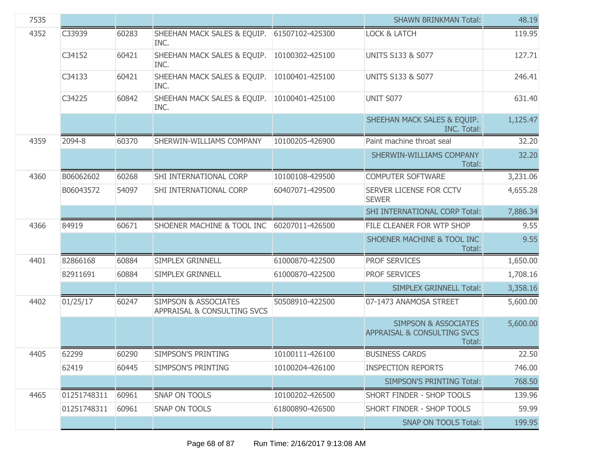| 7535 |             |       |                                                                |                 | <b>SHAWN BRINKMAN Total:</b>                                             | 48.19    |
|------|-------------|-------|----------------------------------------------------------------|-----------------|--------------------------------------------------------------------------|----------|
| 4352 | C33939      | 60283 | SHEEHAN MACK SALES & EQUIP.<br>INC.                            | 61507102-425300 | <b>LOCK &amp; LATCH</b>                                                  | 119.95   |
|      | C34152      | 60421 | SHEEHAN MACK SALES & EQUIP.<br>INC.                            | 10100302-425100 | <b>UNITS S133 &amp; S077</b>                                             | 127.71   |
|      | C34133      | 60421 | SHEEHAN MACK SALES & EQUIP.<br>INC.                            | 10100401-425100 | <b>UNITS S133 &amp; S077</b>                                             | 246.41   |
|      | C34225      | 60842 | SHEEHAN MACK SALES & EQUIP.<br>INC.                            | 10100401-425100 | UNIT S077                                                                | 631.40   |
|      |             |       |                                                                |                 | SHEEHAN MACK SALES & EQUIP.<br>INC. Total:                               | 1,125.47 |
| 4359 | 2094-8      | 60370 | SHERWIN-WILLIAMS COMPANY                                       | 10100205-426900 | Paint machine throat seal                                                | 32.20    |
|      |             |       |                                                                |                 | SHERWIN-WILLIAMS COMPANY<br>Total:                                       | 32.20    |
| 4360 | B06062602   | 60268 | SHI INTERNATIONAL CORP                                         | 10100108-429500 | <b>COMPUTER SOFTWARE</b>                                                 | 3,231.06 |
|      | B06043572   | 54097 | SHI INTERNATIONAL CORP                                         | 60407071-429500 | SERVER LICENSE FOR CCTV<br><b>SEWER</b>                                  | 4,655.28 |
|      |             |       |                                                                |                 | SHI INTERNATIONAL CORP Total:                                            | 7,886.34 |
| 4366 | 84919       | 60671 | SHOENER MACHINE & TOOL INC                                     | 60207011-426500 | FILE CLEANER FOR WTP SHOP                                                | 9.55     |
|      |             |       |                                                                |                 | SHOENER MACHINE & TOOL INC<br>Total:                                     | 9.55     |
| 4401 | 82866168    | 60884 | SIMPLEX GRINNELL                                               | 61000870-422500 | <b>PROF SERVICES</b>                                                     | 1,650.00 |
|      | 82911691    | 60884 | SIMPLEX GRINNELL                                               | 61000870-422500 | PROF SERVICES                                                            | 1,708.16 |
|      |             |       |                                                                |                 | <b>SIMPLEX GRINNELL Total:</b>                                           | 3,358.16 |
| 4402 | 01/25/17    | 60247 | <b>SIMPSON &amp; ASSOCIATES</b><br>APPRAISAL & CONSULTING SVCS | 50508910-422500 | 07-1473 ANAMOSA STREET                                                   | 5,600.00 |
|      |             |       |                                                                |                 | <b>SIMPSON &amp; ASSOCIATES</b><br>APPRAISAL & CONSULTING SVCS<br>Total: | 5,600.00 |
| 4405 | 62299       | 60290 | SIMPSON'S PRINTING                                             | 10100111-426100 | <b>BUSINESS CARDS</b>                                                    | 22.50    |
|      | 62419       | 60445 | SIMPSON'S PRINTING                                             | 10100204-426100 | <b>INSPECTION REPORTS</b>                                                | 746.00   |
|      |             |       |                                                                |                 | <b>SIMPSON'S PRINTING Total:</b>                                         | 768.50   |
| 4465 | 01251748311 | 60961 | <b>SNAP ON TOOLS</b>                                           | 10100202-426500 | <b>SHORT FINDER - SHOP TOOLS</b>                                         | 139.96   |
|      | 01251748311 | 60961 | SNAP ON TOOLS                                                  | 61800890-426500 | SHORT FINDER - SHOP TOOLS                                                | 59.99    |
|      |             |       |                                                                |                 | <b>SNAP ON TOOLS Total:</b>                                              | 199.95   |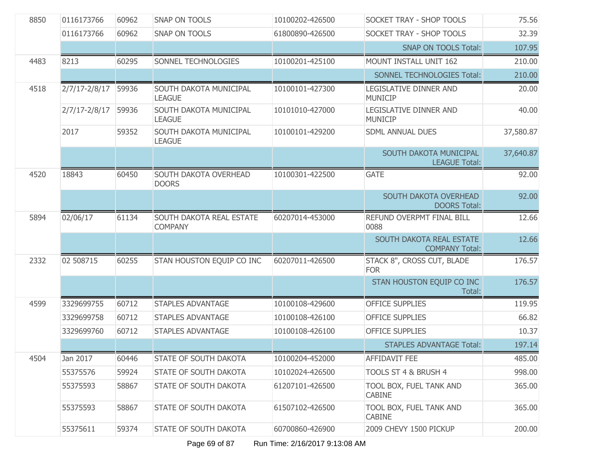| 8850 | 0116173766        | 60962 | <b>SNAP ON TOOLS</b>                       | 10100202-426500 | SOCKET TRAY - SHOP TOOLS                          | 75.56     |
|------|-------------------|-------|--------------------------------------------|-----------------|---------------------------------------------------|-----------|
|      | 0116173766        | 60962 | SNAP ON TOOLS                              | 61800890-426500 | SOCKET TRAY - SHOP TOOLS                          | 32.39     |
|      |                   |       |                                            |                 | <b>SNAP ON TOOLS Total:</b>                       | 107.95    |
| 4483 | 8213              | 60295 | SONNEL TECHNOLOGIES                        | 10100201-425100 | MOUNT INSTALL UNIT 162                            | 210.00    |
|      |                   |       |                                            |                 | SONNEL TECHNOLOGIES Total:                        | 210.00    |
| 4518 | $2/7/17 - 2/8/17$ | 59936 | SOUTH DAKOTA MUNICIPAL<br><b>LEAGUE</b>    | 10100101-427300 | LEGISLATIVE DINNER AND<br><b>MUNICIP</b>          | 20.00     |
|      | $2/7/17 - 2/8/17$ | 59936 | SOUTH DAKOTA MUNICIPAL<br><b>LEAGUE</b>    | 10101010-427000 | LEGISLATIVE DINNER AND<br><b>MUNICIP</b>          | 40.00     |
|      | 2017              | 59352 | SOUTH DAKOTA MUNICIPAL<br><b>LEAGUE</b>    | 10100101-429200 | <b>SDML ANNUAL DUES</b>                           | 37,580.87 |
|      |                   |       |                                            |                 | SOUTH DAKOTA MUNICIPAL<br><b>LEAGUE Total:</b>    | 37,640.87 |
| 4520 | 18843             | 60450 | SOUTH DAKOTA OVERHEAD<br><b>DOORS</b>      | 10100301-422500 | <b>GATE</b>                                       | 92.00     |
|      |                   |       |                                            |                 | SOUTH DAKOTA OVERHEAD<br><b>DOORS Total:</b>      | 92.00     |
| 5894 | 02/06/17          | 61134 | SOUTH DAKOTA REAL ESTATE<br><b>COMPANY</b> | 60207014-453000 | REFUND OVERPMT FINAL BILL<br>0088                 | 12.66     |
|      |                   |       |                                            |                 | SOUTH DAKOTA REAL ESTATE<br><b>COMPANY Total:</b> | 12.66     |
| 2332 | 02 508715         | 60255 | STAN HOUSTON EQUIP CO INC                  | 60207011-426500 | STACK 8", CROSS CUT, BLADE<br><b>FOR</b>          | 176.57    |
|      |                   |       |                                            |                 | STAN HOUSTON EQUIP CO INC<br>Total:               | 176.57    |
| 4599 | 3329699755        | 60712 | <b>STAPLES ADVANTAGE</b>                   | 10100108-429600 | <b>OFFICE SUPPLIES</b>                            | 119.95    |
|      | 3329699758        | 60712 | <b>STAPLES ADVANTAGE</b>                   | 10100108-426100 | <b>OFFICE SUPPLIES</b>                            | 66.82     |
|      | 3329699760        | 60712 | <b>STAPLES ADVANTAGE</b>                   | 10100108-426100 | <b>OFFICE SUPPLIES</b>                            | 10.37     |
|      |                   |       |                                            |                 | <b>STAPLES ADVANTAGE Total:</b>                   | 197.14    |
| 4504 | Jan 2017          | 60446 | STATE OF SOUTH DAKOTA                      | 10100204-452000 | AFFIDAVIT FEE                                     | 485.00    |
|      | 55375576          | 59924 | <b>STATE OF SOUTH DAKOTA</b>               | 10102024-426500 | TOOLS ST 4 & BRUSH 4                              | 998.00    |
|      | 55375593          | 58867 | <b>STATE OF SOUTH DAKOTA</b>               | 61207101-426500 | TOOL BOX, FUEL TANK AND<br><b>CABINE</b>          | 365.00    |
|      | 55375593          | 58867 | <b>STATE OF SOUTH DAKOTA</b>               | 61507102-426500 | TOOL BOX, FUEL TANK AND<br><b>CABINE</b>          | 365.00    |
|      | 55375611          | 59374 | <b>STATE OF SOUTH DAKOTA</b>               | 60700860-426900 | 2009 CHEVY 1500 PICKUP                            | 200.00    |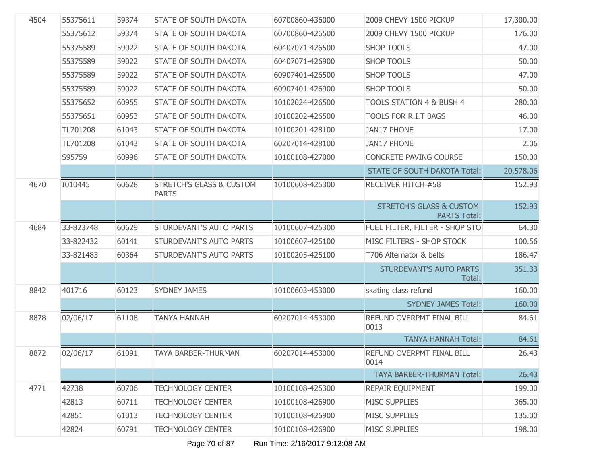| 4504 | 55375611  | 59374 | <b>STATE OF SOUTH DAKOTA</b>                        | 60700860-436000 | 2009 CHEVY 1500 PICKUP                                     | 17,300.00 |
|------|-----------|-------|-----------------------------------------------------|-----------------|------------------------------------------------------------|-----------|
|      | 55375612  | 59374 | <b>STATE OF SOUTH DAKOTA</b>                        | 60700860-426500 | 2009 CHEVY 1500 PICKUP                                     | 176.00    |
|      | 55375589  | 59022 | <b>STATE OF SOUTH DAKOTA</b>                        | 60407071-426500 | <b>SHOP TOOLS</b>                                          | 47.00     |
|      | 55375589  | 59022 | <b>STATE OF SOUTH DAKOTA</b>                        | 60407071-426900 | <b>SHOP TOOLS</b>                                          | 50.00     |
|      | 55375589  | 59022 | <b>STATE OF SOUTH DAKOTA</b>                        | 60907401-426500 | <b>SHOP TOOLS</b>                                          | 47.00     |
|      | 55375589  | 59022 | <b>STATE OF SOUTH DAKOTA</b>                        | 60907401-426900 | <b>SHOP TOOLS</b>                                          | 50.00     |
|      | 55375652  | 60955 | <b>STATE OF SOUTH DAKOTA</b>                        | 10102024-426500 | TOOLS STATION 4 & BUSH 4                                   | 280.00    |
|      | 55375651  | 60953 | <b>STATE OF SOUTH DAKOTA</b>                        | 10100202-426500 | <b>TOOLS FOR R.I.T BAGS</b>                                | 46.00     |
|      | TL701208  | 61043 | <b>STATE OF SOUTH DAKOTA</b>                        | 10100201-428100 | <b>JAN17 PHONE</b>                                         | 17.00     |
|      | TL701208  | 61043 | <b>STATE OF SOUTH DAKOTA</b>                        | 60207014-428100 | <b>JAN17 PHONE</b>                                         | 2.06      |
|      | S95759    | 60996 | <b>STATE OF SOUTH DAKOTA</b>                        | 10100108-427000 | CONCRETE PAVING COURSE                                     | 150.00    |
|      |           |       |                                                     |                 | <b>STATE OF SOUTH DAKOTA Total:</b>                        | 20,578.06 |
| 4670 | 1010445   | 60628 | <b>STRETCH'S GLASS &amp; CUSTOM</b><br><b>PARTS</b> | 10100608-425300 | RECEIVER HITCH #58                                         | 152.93    |
|      |           |       |                                                     |                 | <b>STRETCH'S GLASS &amp; CUSTOM</b><br><b>PARTS Total:</b> | 152.93    |
| 4684 | 33-823748 | 60629 | STURDEVANT'S AUTO PARTS                             | 10100607-425300 | FUEL FILTER, FILTER - SHOP STO                             | 64.30     |
|      | 33-822432 | 60141 | STURDEVANT'S AUTO PARTS                             | 10100607-425100 | MISC FILTERS - SHOP STOCK                                  | 100.56    |
|      | 33-821483 | 60364 | STURDEVANT'S AUTO PARTS                             | 10100205-425100 | T706 Alternator & belts                                    | 186.47    |
|      |           |       |                                                     |                 | STURDEVANT'S AUTO PARTS<br>Total:                          | 351.33    |
| 8842 | 401716    | 60123 | <b>SYDNEY JAMES</b>                                 | 10100603-453000 | skating class refund                                       | 160.00    |
|      |           |       |                                                     |                 | <b>SYDNEY JAMES Total:</b>                                 | 160.00    |
| 8878 | 02/06/17  | 61108 | <b>TANYA HANNAH</b>                                 | 60207014-453000 | REFUND OVERPMT FINAL BILL<br>0013                          | 84.61     |
|      |           |       |                                                     |                 | <b>TANYA HANNAH Total:</b>                                 | 84.61     |
| 8872 | 02/06/17  | 61091 | <b>TAYA BARBER-THURMAN</b>                          | 60207014-453000 | REFUND OVERPMT FINAL BILL<br>0014                          | 26.43     |
|      |           |       |                                                     |                 | <b>TAYA BARBER-THURMAN Total:</b>                          | 26.43     |
| 4771 | 42738     | 60706 | <b>TECHNOLOGY CENTER</b>                            | 10100108-425300 | REPAIR EQUIPMENT                                           | 199.00    |
|      | 42813     | 60711 | <b>TECHNOLOGY CENTER</b>                            | 10100108-426900 | <b>MISC SUPPLIES</b>                                       | 365.00    |
|      | 42851     | 61013 | <b>TECHNOLOGY CENTER</b>                            | 10100108-426900 | <b>MISC SUPPLIES</b>                                       | 135.00    |
|      | 42824     | 60791 | <b>TECHNOLOGY CENTER</b>                            | 10100108-426900 | <b>MISC SUPPLIES</b>                                       | 198.00    |
|      |           |       |                                                     |                 |                                                            |           |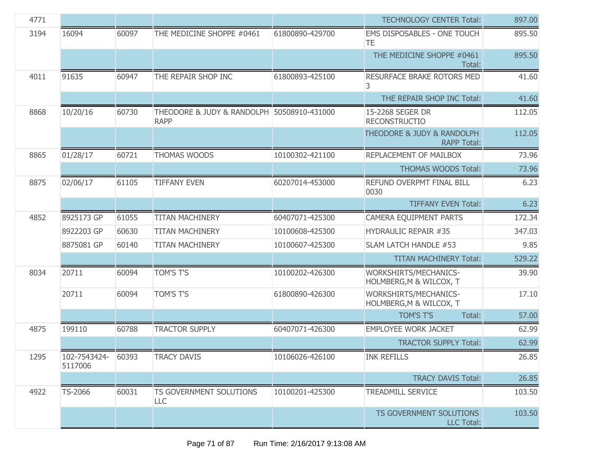| 4771 |                         |       |                                                           |                 | <b>TECHNOLOGY CENTER Total:</b>                                 | 897.00 |
|------|-------------------------|-------|-----------------------------------------------------------|-----------------|-----------------------------------------------------------------|--------|
| 3194 | 16094                   | 60097 | THE MEDICINE SHOPPE #0461                                 | 61800890-429700 | <b>EMS DISPOSABLES - ONE TOUCH</b><br>TE.                       | 895.50 |
|      |                         |       |                                                           |                 | THE MEDICINE SHOPPE #0461<br>Total:                             | 895.50 |
| 4011 | 91635                   | 60947 | THE REPAIR SHOP INC                                       | 61800893-425100 | RESURFACE BRAKE ROTORS MED<br>3                                 | 41.60  |
|      |                         |       |                                                           |                 | THE REPAIR SHOP INC Total:                                      | 41.60  |
| 8868 | 10/20/16                | 60730 | THEODORE & JUDY & RANDOLPH 50508910-431000<br><b>RAPP</b> |                 | 15-2268 SEGER DR<br><b>RECONSTRUCTIO</b>                        | 112.05 |
|      |                         |       |                                                           |                 | <b>THEODORE &amp; JUDY &amp; RANDOLPH</b><br><b>RAPP Total:</b> | 112.05 |
| 8865 | 01/28/17                | 60721 | THOMAS WOODS                                              | 10100302-421100 | REPLACEMENT OF MAILBOX                                          | 73.96  |
|      |                         |       |                                                           |                 | <b>THOMAS WOODS Total:</b>                                      | 73.96  |
| 8875 | 02/06/17                | 61105 | <b>TIFFANY EVEN</b>                                       | 60207014-453000 | REFUND OVERPMT FINAL BILL<br>0030                               | 6.23   |
|      |                         |       |                                                           |                 | <b>TIFFANY EVEN Total:</b>                                      | 6.23   |
| 4852 | 8925173 GP              | 61055 | <b>TITAN MACHINERY</b>                                    | 60407071-425300 | <b>CAMERA EQUIPMENT PARTS</b>                                   | 172.34 |
|      | 8922203 GP              | 60630 | <b>TITAN MACHINERY</b>                                    | 10100608-425300 | <b>HYDRAULIC REPAIR #35</b>                                     | 347.03 |
|      | 8875081 GP              | 60140 | <b>TITAN MACHINERY</b>                                    | 10100607-425300 | SLAM LATCH HANDLE #53                                           | 9.85   |
|      |                         |       |                                                           |                 | <b>TITAN MACHINERY Total:</b>                                   | 529.22 |
| 8034 | 20711                   | 60094 | TOM'S T'S                                                 | 10100202-426300 | WORKSHIRTS/MECHANICS-<br>HOLMBERG, M & WILCOX, T                | 39.90  |
|      | 20711                   | 60094 | TOM'S T'S                                                 | 61800890-426300 | WORKSHIRTS/MECHANICS-<br>HOLMBERG, M & WILCOX, T                | 17.10  |
|      |                         |       |                                                           |                 | TOM'S T'S<br>Total:                                             | 57.00  |
| 4875 | 199110                  | 60788 | <b>TRACTOR SUPPLY</b>                                     | 60407071-426300 | <b>EMPLOYEE WORK JACKET</b>                                     | 62.99  |
|      |                         |       |                                                           |                 | <b>TRACTOR SUPPLY Total:</b>                                    | 62.99  |
| 1295 | 102-7543424-<br>5117006 | 60393 | <b>TRACY DAVIS</b>                                        | 10106026-426100 | <b>INK REFILLS</b>                                              | 26.85  |
|      |                         |       |                                                           |                 | <b>TRACY DAVIS Total:</b>                                       | 26.85  |
| 4922 | TS-2066                 | 60031 | <b>TS GOVERNMENT SOLUTIONS</b><br>LLC                     | 10100201-425300 | <b>TREADMILL SERVICE</b>                                        | 103.50 |
|      |                         |       |                                                           |                 | TS GOVERNMENT SOLUTIONS<br><b>LLC Total:</b>                    | 103.50 |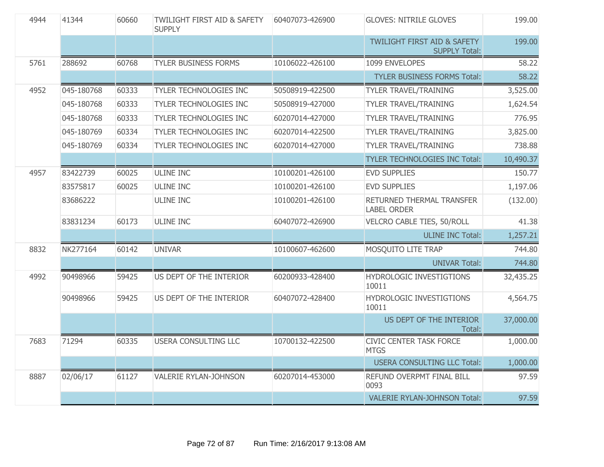| 4944 | 41344      | 60660 | <b>TWILIGHT FIRST AID &amp; SAFETY</b><br><b>SUPPLY</b> | 60407073-426900 | <b>GLOVES: NITRILE GLOVES</b>                                  | 199.00    |
|------|------------|-------|---------------------------------------------------------|-----------------|----------------------------------------------------------------|-----------|
|      |            |       |                                                         |                 | <b>TWILIGHT FIRST AID &amp; SAFETY</b><br><b>SUPPLY Total:</b> | 199.00    |
| 5761 | 288692     | 60768 | <b>TYLER BUSINESS FORMS</b>                             | 10106022-426100 | 1099 ENVELOPES                                                 | 58.22     |
|      |            |       |                                                         |                 | <b>TYLER BUSINESS FORMS Total:</b>                             | 58.22     |
| 4952 | 045-180768 | 60333 | TYLER TECHNOLOGIES INC                                  | 50508919-422500 | <b>TYLER TRAVEL/TRAINING</b>                                   | 3,525.00  |
|      | 045-180768 | 60333 | TYLER TECHNOLOGIES INC                                  | 50508919-427000 | <b>TYLER TRAVEL/TRAINING</b>                                   | 1,624.54  |
|      | 045-180768 | 60333 | TYLER TECHNOLOGIES INC                                  | 60207014-427000 | <b>TYLER TRAVEL/TRAINING</b>                                   | 776.95    |
|      | 045-180769 | 60334 | TYLER TECHNOLOGIES INC                                  | 60207014-422500 | <b>TYLER TRAVEL/TRAINING</b>                                   | 3,825.00  |
|      | 045-180769 | 60334 | TYLER TECHNOLOGIES INC                                  | 60207014-427000 | <b>TYLER TRAVEL/TRAINING</b>                                   | 738.88    |
|      |            |       |                                                         |                 | <b>TYLER TECHNOLOGIES INC Total:</b>                           | 10,490.37 |
| 4957 | 83422739   | 60025 | <b>ULINE INC</b>                                        | 10100201-426100 | <b>EVD SUPPLIES</b>                                            | 150.77    |
|      | 83575817   | 60025 | <b>ULINE INC</b>                                        | 10100201-426100 | <b>EVD SUPPLIES</b>                                            | 1,197.06  |
|      | 83686222   |       | <b>ULINE INC</b>                                        | 10100201-426100 | RETURNED THERMAL TRANSFER<br><b>LABEL ORDER</b>                | (132.00)  |
|      | 83831234   | 60173 | <b>ULINE INC</b>                                        | 60407072-426900 | VELCRO CABLE TIES, 50/ROLL                                     | 41.38     |
|      |            |       |                                                         |                 | <b>ULINE INC Total:</b>                                        | 1,257.21  |
| 8832 | NK277164   | 60142 | <b>UNIVAR</b>                                           | 10100607-462600 | MOSQUITO LITE TRAP                                             | 744.80    |
|      |            |       |                                                         |                 | <b>UNIVAR Total:</b>                                           | 744.80    |
| 4992 | 90498966   | 59425 | US DEPT OF THE INTERIOR                                 | 60200933-428400 | HYDROLOGIC INVESTIGTIONS<br>10011                              | 32,435.25 |
|      | 90498966   | 59425 | US DEPT OF THE INTERIOR                                 | 60407072-428400 | HYDROLOGIC INVESTIGTIONS<br>10011                              | 4,564.75  |
|      |            |       |                                                         |                 | US DEPT OF THE INTERIOR<br>Total:                              | 37,000.00 |
| 7683 | 71294      | 60335 | <b>USERA CONSULTING LLC</b>                             | 10700132-422500 | <b>CIVIC CENTER TASK FORCE</b><br><b>MTGS</b>                  | 1,000.00  |
|      |            |       |                                                         |                 | <b>USERA CONSULTING LLC Total:</b>                             | 1,000.00  |
| 8887 | 02/06/17   | 61127 | <b>VALERIE RYLAN-JOHNSON</b>                            | 60207014-453000 | REFUND OVERPMT FINAL BILL<br>0093                              | 97.59     |
|      |            |       |                                                         |                 | <b>VALERIE RYLAN-JOHNSON Total:</b>                            | 97.59     |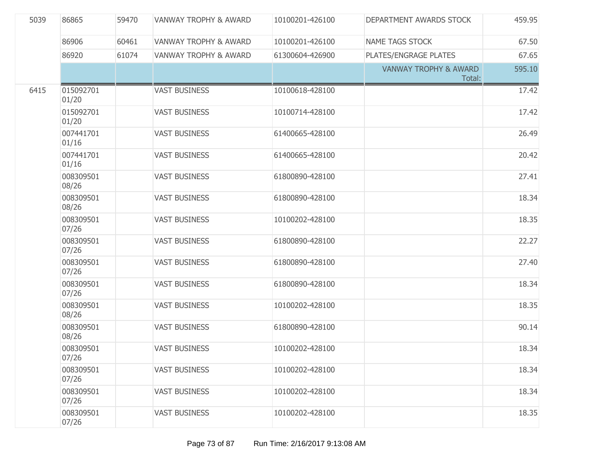| 5039 | 86865              | 59470 | <b>VANWAY TROPHY &amp; AWARD</b> | 10100201-426100 | DEPARTMENT AWARDS STOCK                    | 459.95 |
|------|--------------------|-------|----------------------------------|-----------------|--------------------------------------------|--------|
|      | 86906              | 60461 | <b>VANWAY TROPHY &amp; AWARD</b> | 10100201-426100 | <b>NAME TAGS STOCK</b>                     | 67.50  |
|      | 86920              | 61074 | <b>VANWAY TROPHY &amp; AWARD</b> | 61300604-426900 | PLATES/ENGRAGE PLATES                      | 67.65  |
|      |                    |       |                                  |                 | <b>VANWAY TROPHY &amp; AWARD</b><br>Total: | 595.10 |
| 6415 | 015092701<br>01/20 |       | <b>VAST BUSINESS</b>             | 10100618-428100 |                                            | 17.42  |
|      | 015092701<br>01/20 |       | <b>VAST BUSINESS</b>             | 10100714-428100 |                                            | 17.42  |
|      | 007441701<br>01/16 |       | <b>VAST BUSINESS</b>             | 61400665-428100 |                                            | 26.49  |
|      | 007441701<br>01/16 |       | <b>VAST BUSINESS</b>             | 61400665-428100 |                                            | 20.42  |
|      | 008309501<br>08/26 |       | <b>VAST BUSINESS</b>             | 61800890-428100 |                                            | 27.41  |
|      | 008309501<br>08/26 |       | <b>VAST BUSINESS</b>             | 61800890-428100 |                                            | 18.34  |
|      | 008309501<br>07/26 |       | <b>VAST BUSINESS</b>             | 10100202-428100 |                                            | 18.35  |
|      | 008309501<br>07/26 |       | <b>VAST BUSINESS</b>             | 61800890-428100 |                                            | 22.27  |
|      | 008309501<br>07/26 |       | <b>VAST BUSINESS</b>             | 61800890-428100 |                                            | 27.40  |
|      | 008309501<br>07/26 |       | <b>VAST BUSINESS</b>             | 61800890-428100 |                                            | 18.34  |
|      | 008309501<br>08/26 |       | <b>VAST BUSINESS</b>             | 10100202-428100 |                                            | 18.35  |
|      | 008309501<br>08/26 |       | <b>VAST BUSINESS</b>             | 61800890-428100 |                                            | 90.14  |
|      | 008309501<br>07/26 |       | <b>VAST BUSINESS</b>             | 10100202-428100 |                                            | 18.34  |
|      | 008309501<br>07/26 |       | <b>VAST BUSINESS</b>             | 10100202-428100 |                                            | 18.34  |
|      | 008309501<br>07/26 |       | <b>VAST BUSINESS</b>             | 10100202-428100 |                                            | 18.34  |
|      | 008309501<br>07/26 |       | <b>VAST BUSINESS</b>             | 10100202-428100 |                                            | 18.35  |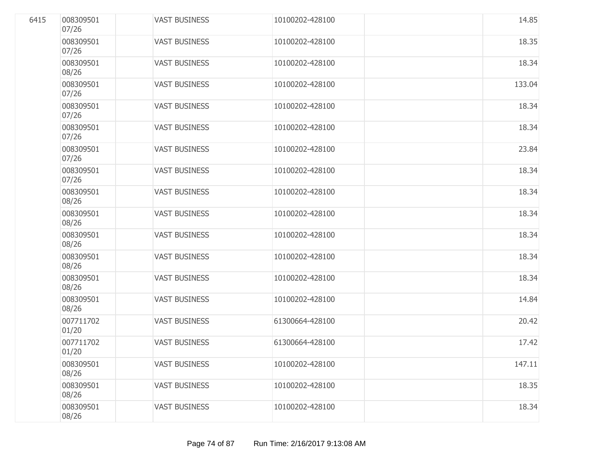| 6415 | 008309501<br>07/26 | <b>VAST BUSINESS</b> | 10100202-428100 | 14.85  |
|------|--------------------|----------------------|-----------------|--------|
|      | 008309501<br>07/26 | <b>VAST BUSINESS</b> | 10100202-428100 | 18.35  |
|      | 008309501<br>08/26 | <b>VAST BUSINESS</b> | 10100202-428100 | 18.34  |
|      | 008309501<br>07/26 | <b>VAST BUSINESS</b> | 10100202-428100 | 133.04 |
|      | 008309501<br>07/26 | <b>VAST BUSINESS</b> | 10100202-428100 | 18.34  |
|      | 008309501<br>07/26 | <b>VAST BUSINESS</b> | 10100202-428100 | 18.34  |
|      | 008309501<br>07/26 | <b>VAST BUSINESS</b> | 10100202-428100 | 23.84  |
|      | 008309501<br>07/26 | <b>VAST BUSINESS</b> | 10100202-428100 | 18.34  |
|      | 008309501<br>08/26 | <b>VAST BUSINESS</b> | 10100202-428100 | 18.34  |
|      | 008309501<br>08/26 | <b>VAST BUSINESS</b> | 10100202-428100 | 18.34  |
|      | 008309501<br>08/26 | <b>VAST BUSINESS</b> | 10100202-428100 | 18.34  |
|      | 008309501<br>08/26 | <b>VAST BUSINESS</b> | 10100202-428100 | 18.34  |
|      | 008309501<br>08/26 | <b>VAST BUSINESS</b> | 10100202-428100 | 18.34  |
|      | 008309501<br>08/26 | <b>VAST BUSINESS</b> | 10100202-428100 | 14.84  |
|      | 007711702<br>01/20 | <b>VAST BUSINESS</b> | 61300664-428100 | 20.42  |
|      | 007711702<br>01/20 | <b>VAST BUSINESS</b> | 61300664-428100 | 17.42  |
|      | 008309501<br>08/26 | <b>VAST BUSINESS</b> | 10100202-428100 | 147.11 |
|      | 008309501<br>08/26 | <b>VAST BUSINESS</b> | 10100202-428100 | 18.35  |
|      | 008309501<br>08/26 | <b>VAST BUSINESS</b> | 10100202-428100 | 18.34  |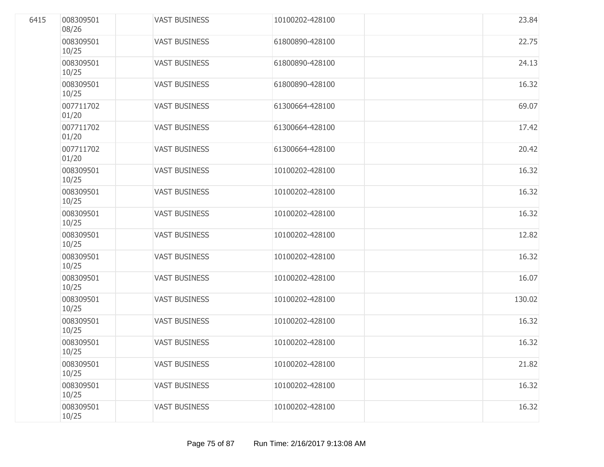| 6415 | 008309501<br>08/26 | <b>VAST BUSINESS</b> | 10100202-428100 | 23.84  |
|------|--------------------|----------------------|-----------------|--------|
|      | 008309501<br>10/25 | <b>VAST BUSINESS</b> | 61800890-428100 | 22.75  |
|      | 008309501<br>10/25 | <b>VAST BUSINESS</b> | 61800890-428100 | 24.13  |
|      | 008309501<br>10/25 | <b>VAST BUSINESS</b> | 61800890-428100 | 16.32  |
|      | 007711702<br>01/20 | <b>VAST BUSINESS</b> | 61300664-428100 | 69.07  |
|      | 007711702<br>01/20 | <b>VAST BUSINESS</b> | 61300664-428100 | 17.42  |
|      | 007711702<br>01/20 | <b>VAST BUSINESS</b> | 61300664-428100 | 20.42  |
|      | 008309501<br>10/25 | <b>VAST BUSINESS</b> | 10100202-428100 | 16.32  |
|      | 008309501<br>10/25 | <b>VAST BUSINESS</b> | 10100202-428100 | 16.32  |
|      | 008309501<br>10/25 | <b>VAST BUSINESS</b> | 10100202-428100 | 16.32  |
|      | 008309501<br>10/25 | <b>VAST BUSINESS</b> | 10100202-428100 | 12.82  |
|      | 008309501<br>10/25 | <b>VAST BUSINESS</b> | 10100202-428100 | 16.32  |
|      | 008309501<br>10/25 | <b>VAST BUSINESS</b> | 10100202-428100 | 16.07  |
|      | 008309501<br>10/25 | <b>VAST BUSINESS</b> | 10100202-428100 | 130.02 |
|      | 008309501<br>10/25 | <b>VAST BUSINESS</b> | 10100202-428100 | 16.32  |
|      | 008309501<br>10/25 | <b>VAST BUSINESS</b> | 10100202-428100 | 16.32  |
|      | 008309501<br>10/25 | <b>VAST BUSINESS</b> | 10100202-428100 | 21.82  |
|      | 008309501<br>10/25 | <b>VAST BUSINESS</b> | 10100202-428100 | 16.32  |
|      | 008309501<br>10/25 | <b>VAST BUSINESS</b> | 10100202-428100 | 16.32  |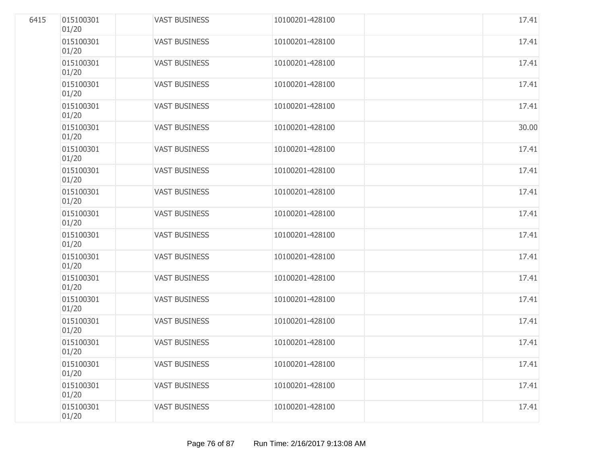| 6415 | 015100301<br>01/20 | <b>VAST BUSINESS</b> | 10100201-428100 | 17.41 |
|------|--------------------|----------------------|-----------------|-------|
|      | 015100301<br>01/20 | <b>VAST BUSINESS</b> | 10100201-428100 | 17.41 |
|      | 015100301<br>01/20 | <b>VAST BUSINESS</b> | 10100201-428100 | 17.41 |
|      | 015100301<br>01/20 | <b>VAST BUSINESS</b> | 10100201-428100 | 17.41 |
|      | 015100301<br>01/20 | <b>VAST BUSINESS</b> | 10100201-428100 | 17.41 |
|      | 015100301<br>01/20 | <b>VAST BUSINESS</b> | 10100201-428100 | 30.00 |
|      | 015100301<br>01/20 | <b>VAST BUSINESS</b> | 10100201-428100 | 17.41 |
|      | 015100301<br>01/20 | <b>VAST BUSINESS</b> | 10100201-428100 | 17.41 |
|      | 015100301<br>01/20 | <b>VAST BUSINESS</b> | 10100201-428100 | 17.41 |
|      | 015100301<br>01/20 | <b>VAST BUSINESS</b> | 10100201-428100 | 17.41 |
|      | 015100301<br>01/20 | <b>VAST BUSINESS</b> | 10100201-428100 | 17.41 |
|      | 015100301<br>01/20 | <b>VAST BUSINESS</b> | 10100201-428100 | 17.41 |
|      | 015100301<br>01/20 | <b>VAST BUSINESS</b> | 10100201-428100 | 17.41 |
|      | 015100301<br>01/20 | <b>VAST BUSINESS</b> | 10100201-428100 | 17.41 |
|      | 015100301<br>01/20 | <b>VAST BUSINESS</b> | 10100201-428100 | 17.41 |
|      | 015100301<br>01/20 | <b>VAST BUSINESS</b> | 10100201-428100 | 17.41 |
|      | 015100301<br>01/20 | <b>VAST BUSINESS</b> | 10100201-428100 | 17.41 |
|      | 015100301<br>01/20 | <b>VAST BUSINESS</b> | 10100201-428100 | 17.41 |
|      | 015100301<br>01/20 | <b>VAST BUSINESS</b> | 10100201-428100 | 17.41 |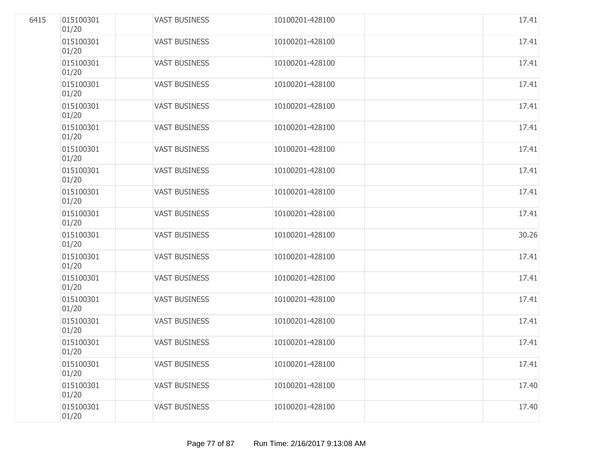| 6415 | 015100301<br>01/20 | <b>VAST BUSINESS</b> | 10100201-428100 | 17.41 |
|------|--------------------|----------------------|-----------------|-------|
|      | 015100301<br>01/20 | <b>VAST BUSINESS</b> | 10100201-428100 | 17.41 |
|      | 015100301<br>01/20 | <b>VAST BUSINESS</b> | 10100201-428100 | 17.41 |
|      | 015100301<br>01/20 | <b>VAST BUSINESS</b> | 10100201-428100 | 17.41 |
|      | 015100301<br>01/20 | <b>VAST BUSINESS</b> | 10100201-428100 | 17.41 |
|      | 015100301<br>01/20 | <b>VAST BUSINESS</b> | 10100201-428100 | 17.41 |
|      | 015100301<br>01/20 | <b>VAST BUSINESS</b> | 10100201-428100 | 17.41 |
|      | 015100301<br>01/20 | <b>VAST BUSINESS</b> | 10100201-428100 | 17.41 |
|      | 015100301<br>01/20 | <b>VAST BUSINESS</b> | 10100201-428100 | 17.41 |
|      | 015100301<br>01/20 | <b>VAST BUSINESS</b> | 10100201-428100 | 17.41 |
|      | 015100301<br>01/20 | <b>VAST BUSINESS</b> | 10100201-428100 | 30.26 |
|      | 015100301<br>01/20 | <b>VAST BUSINESS</b> | 10100201-428100 | 17.41 |
|      | 015100301<br>01/20 | <b>VAST BUSINESS</b> | 10100201-428100 | 17.41 |
|      | 015100301<br>01/20 | <b>VAST BUSINESS</b> | 10100201-428100 | 17.41 |
|      | 015100301<br>01/20 | <b>VAST BUSINESS</b> | 10100201-428100 | 17.41 |
|      | 015100301<br>01/20 | <b>VAST BUSINESS</b> | 10100201-428100 | 17.41 |
|      | 015100301<br>01/20 | <b>VAST BUSINESS</b> | 10100201-428100 | 17.41 |
|      | 015100301<br>01/20 | <b>VAST BUSINESS</b> | 10100201-428100 | 17.40 |
|      | 015100301<br>01/20 | <b>VAST BUSINESS</b> | 10100201-428100 | 17.40 |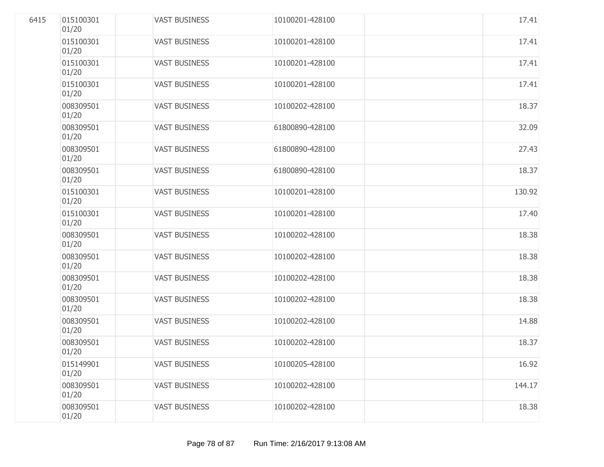| 6415 | 015100301<br>01/20 | <b>VAST BUSINESS</b> | 10100201-428100 | 17.41  |
|------|--------------------|----------------------|-----------------|--------|
|      | 015100301<br>01/20 | <b>VAST BUSINESS</b> | 10100201-428100 | 17.41  |
|      | 015100301<br>01/20 | <b>VAST BUSINESS</b> | 10100201-428100 | 17.41  |
|      | 015100301<br>01/20 | <b>VAST BUSINESS</b> | 10100201-428100 | 17.41  |
|      | 008309501<br>01/20 | <b>VAST BUSINESS</b> | 10100202-428100 | 18.37  |
|      | 008309501<br>01/20 | <b>VAST BUSINESS</b> | 61800890-428100 | 32.09  |
|      | 008309501<br>01/20 | <b>VAST BUSINESS</b> | 61800890-428100 | 27.43  |
|      | 008309501<br>01/20 | <b>VAST BUSINESS</b> | 61800890-428100 | 18.37  |
|      | 015100301<br>01/20 | <b>VAST BUSINESS</b> | 10100201-428100 | 130.92 |
|      | 015100301<br>01/20 | <b>VAST BUSINESS</b> | 10100201-428100 | 17.40  |
|      | 008309501<br>01/20 | <b>VAST BUSINESS</b> | 10100202-428100 | 18.38  |
|      | 008309501<br>01/20 | <b>VAST BUSINESS</b> | 10100202-428100 | 18.38  |
|      | 008309501<br>01/20 | <b>VAST BUSINESS</b> | 10100202-428100 | 18.38  |
|      | 008309501<br>01/20 | <b>VAST BUSINESS</b> | 10100202-428100 | 18.38  |
|      | 008309501<br>01/20 | <b>VAST BUSINESS</b> | 10100202-428100 | 14.88  |
|      | 008309501<br>01/20 | <b>VAST BUSINESS</b> | 10100202-428100 | 18.37  |
|      | 015149901<br>01/20 | <b>VAST BUSINESS</b> | 10100205-428100 | 16.92  |
|      | 008309501<br>01/20 | <b>VAST BUSINESS</b> | 10100202-428100 | 144.17 |
|      | 008309501<br>01/20 | <b>VAST BUSINESS</b> | 10100202-428100 | 18.38  |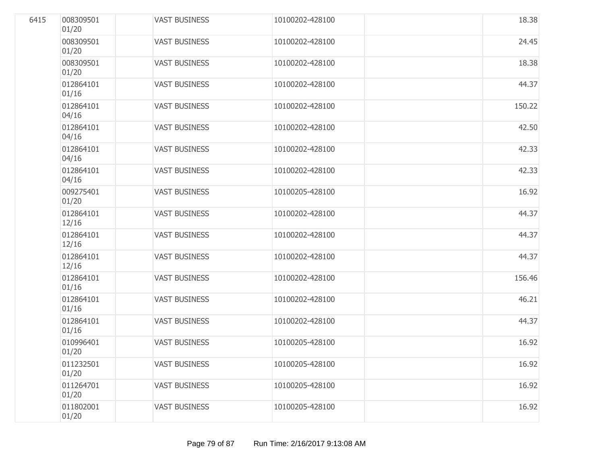| 6415 | 008309501<br>01/20 | <b>VAST BUSINESS</b> | 10100202-428100 | 18.38  |
|------|--------------------|----------------------|-----------------|--------|
|      | 008309501<br>01/20 | <b>VAST BUSINESS</b> | 10100202-428100 | 24.45  |
|      | 008309501<br>01/20 | <b>VAST BUSINESS</b> | 10100202-428100 | 18.38  |
|      | 012864101<br>01/16 | <b>VAST BUSINESS</b> | 10100202-428100 | 44.37  |
|      | 012864101<br>04/16 | <b>VAST BUSINESS</b> | 10100202-428100 | 150.22 |
|      | 012864101<br>04/16 | <b>VAST BUSINESS</b> | 10100202-428100 | 42.50  |
|      | 012864101<br>04/16 | <b>VAST BUSINESS</b> | 10100202-428100 | 42.33  |
|      | 012864101<br>04/16 | <b>VAST BUSINESS</b> | 10100202-428100 | 42.33  |
|      | 009275401<br>01/20 | <b>VAST BUSINESS</b> | 10100205-428100 | 16.92  |
|      | 012864101<br>12/16 | <b>VAST BUSINESS</b> | 10100202-428100 | 44.37  |
|      | 012864101<br>12/16 | <b>VAST BUSINESS</b> | 10100202-428100 | 44.37  |
|      | 012864101<br>12/16 | <b>VAST BUSINESS</b> | 10100202-428100 | 44.37  |
|      | 012864101<br>01/16 | <b>VAST BUSINESS</b> | 10100202-428100 | 156.46 |
|      | 012864101<br>01/16 | <b>VAST BUSINESS</b> | 10100202-428100 | 46.21  |
|      | 012864101<br>01/16 | <b>VAST BUSINESS</b> | 10100202-428100 | 44.37  |
|      | 010996401<br>01/20 | <b>VAST BUSINESS</b> | 10100205-428100 | 16.92  |
|      | 011232501<br>01/20 | <b>VAST BUSINESS</b> | 10100205-428100 | 16.92  |
|      | 011264701<br>01/20 | <b>VAST BUSINESS</b> | 10100205-428100 | 16.92  |
|      | 011802001<br>01/20 | <b>VAST BUSINESS</b> | 10100205-428100 | 16.92  |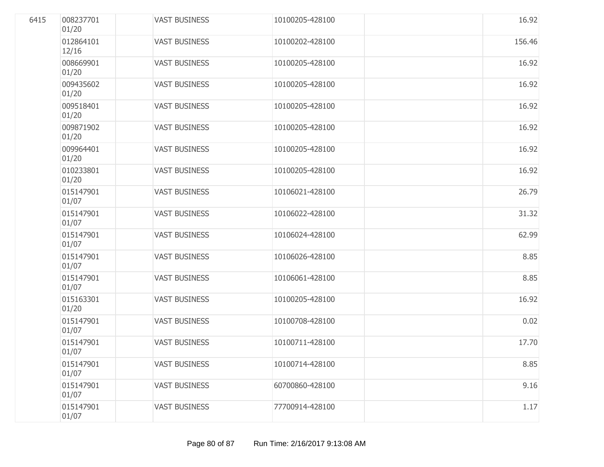| 6415 | 008237701<br>01/20 | <b>VAST BUSINESS</b> | 10100205-428100 | 16.92  |
|------|--------------------|----------------------|-----------------|--------|
|      | 012864101<br>12/16 | <b>VAST BUSINESS</b> | 10100202-428100 | 156.46 |
|      | 008669901<br>01/20 | <b>VAST BUSINESS</b> | 10100205-428100 | 16.92  |
|      | 009435602<br>01/20 | <b>VAST BUSINESS</b> | 10100205-428100 | 16.92  |
|      | 009518401<br>01/20 | <b>VAST BUSINESS</b> | 10100205-428100 | 16.92  |
|      | 009871902<br>01/20 | <b>VAST BUSINESS</b> | 10100205-428100 | 16.92  |
|      | 009964401<br>01/20 | <b>VAST BUSINESS</b> | 10100205-428100 | 16.92  |
|      | 010233801<br>01/20 | <b>VAST BUSINESS</b> | 10100205-428100 | 16.92  |
|      | 015147901<br>01/07 | <b>VAST BUSINESS</b> | 10106021-428100 | 26.79  |
|      | 015147901<br>01/07 | <b>VAST BUSINESS</b> | 10106022-428100 | 31.32  |
|      | 015147901<br>01/07 | <b>VAST BUSINESS</b> | 10106024-428100 | 62.99  |
|      | 015147901<br>01/07 | <b>VAST BUSINESS</b> | 10106026-428100 | 8.85   |
|      | 015147901<br>01/07 | <b>VAST BUSINESS</b> | 10106061-428100 | 8.85   |
|      | 015163301<br>01/20 | <b>VAST BUSINESS</b> | 10100205-428100 | 16.92  |
|      | 015147901<br>01/07 | <b>VAST BUSINESS</b> | 10100708-428100 | 0.02   |
|      | 015147901<br>01/07 | <b>VAST BUSINESS</b> | 10100711-428100 | 17.70  |
|      | 015147901<br>01/07 | <b>VAST BUSINESS</b> | 10100714-428100 | 8.85   |
|      | 015147901<br>01/07 | <b>VAST BUSINESS</b> | 60700860-428100 | 9.16   |
|      | 015147901<br>01/07 | <b>VAST BUSINESS</b> | 77700914-428100 | 1.17   |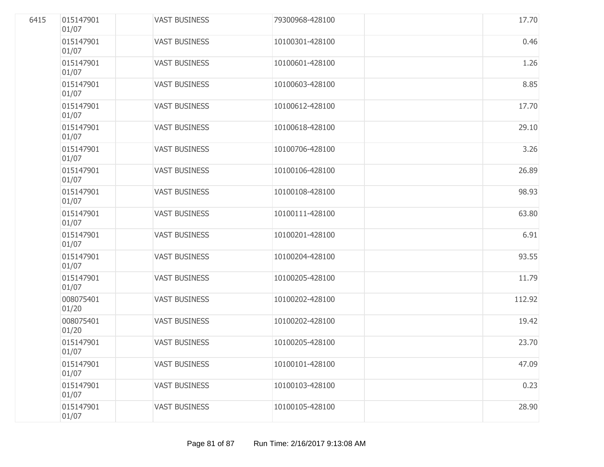| 6415 | 015147901<br>01/07 | <b>VAST BUSINESS</b> | 79300968-428100 | 17.70  |
|------|--------------------|----------------------|-----------------|--------|
|      | 015147901<br>01/07 | <b>VAST BUSINESS</b> | 10100301-428100 | 0.46   |
|      | 015147901<br>01/07 | <b>VAST BUSINESS</b> | 10100601-428100 | 1.26   |
|      | 015147901<br>01/07 | <b>VAST BUSINESS</b> | 10100603-428100 | 8.85   |
|      | 015147901<br>01/07 | <b>VAST BUSINESS</b> | 10100612-428100 | 17.70  |
|      | 015147901<br>01/07 | <b>VAST BUSINESS</b> | 10100618-428100 | 29.10  |
|      | 015147901<br>01/07 | <b>VAST BUSINESS</b> | 10100706-428100 | 3.26   |
|      | 015147901<br>01/07 | <b>VAST BUSINESS</b> | 10100106-428100 | 26.89  |
|      | 015147901<br>01/07 | <b>VAST BUSINESS</b> | 10100108-428100 | 98.93  |
|      | 015147901<br>01/07 | <b>VAST BUSINESS</b> | 10100111-428100 | 63.80  |
|      | 015147901<br>01/07 | <b>VAST BUSINESS</b> | 10100201-428100 | 6.91   |
|      | 015147901<br>01/07 | <b>VAST BUSINESS</b> | 10100204-428100 | 93.55  |
|      | 015147901<br>01/07 | <b>VAST BUSINESS</b> | 10100205-428100 | 11.79  |
|      | 008075401<br>01/20 | <b>VAST BUSINESS</b> | 10100202-428100 | 112.92 |
|      | 008075401<br>01/20 | <b>VAST BUSINESS</b> | 10100202-428100 | 19.42  |
|      | 015147901<br>01/07 | <b>VAST BUSINESS</b> | 10100205-428100 | 23.70  |
|      | 015147901<br>01/07 | <b>VAST BUSINESS</b> | 10100101-428100 | 47.09  |
|      | 015147901<br>01/07 | <b>VAST BUSINESS</b> | 10100103-428100 | 0.23   |
|      | 015147901<br>01/07 | <b>VAST BUSINESS</b> | 10100105-428100 | 28.90  |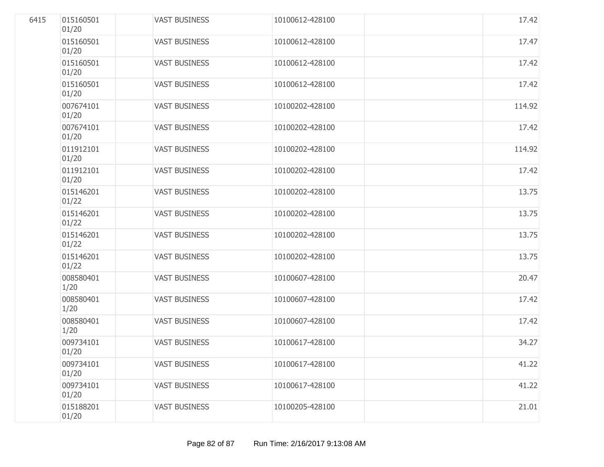| 6415 | 015160501<br>01/20 | <b>VAST BUSINESS</b> | 10100612-428100 | 17.42  |
|------|--------------------|----------------------|-----------------|--------|
|      | 015160501<br>01/20 | <b>VAST BUSINESS</b> | 10100612-428100 | 17.47  |
|      | 015160501<br>01/20 | <b>VAST BUSINESS</b> | 10100612-428100 | 17.42  |
|      | 015160501<br>01/20 | <b>VAST BUSINESS</b> | 10100612-428100 | 17.42  |
|      | 007674101<br>01/20 | <b>VAST BUSINESS</b> | 10100202-428100 | 114.92 |
|      | 007674101<br>01/20 | <b>VAST BUSINESS</b> | 10100202-428100 | 17.42  |
|      | 011912101<br>01/20 | <b>VAST BUSINESS</b> | 10100202-428100 | 114.92 |
|      | 011912101<br>01/20 | <b>VAST BUSINESS</b> | 10100202-428100 | 17.42  |
|      | 015146201<br>01/22 | <b>VAST BUSINESS</b> | 10100202-428100 | 13.75  |
|      | 015146201<br>01/22 | <b>VAST BUSINESS</b> | 10100202-428100 | 13.75  |
|      | 015146201<br>01/22 | <b>VAST BUSINESS</b> | 10100202-428100 | 13.75  |
|      | 015146201<br>01/22 | <b>VAST BUSINESS</b> | 10100202-428100 | 13.75  |
|      | 008580401<br>1/20  | <b>VAST BUSINESS</b> | 10100607-428100 | 20.47  |
|      | 008580401<br>1/20  | <b>VAST BUSINESS</b> | 10100607-428100 | 17.42  |
|      | 008580401<br>1/20  | <b>VAST BUSINESS</b> | 10100607-428100 | 17.42  |
|      | 009734101<br>01/20 | <b>VAST BUSINESS</b> | 10100617-428100 | 34.27  |
|      | 009734101<br>01/20 | <b>VAST BUSINESS</b> | 10100617-428100 | 41.22  |
|      | 009734101<br>01/20 | <b>VAST BUSINESS</b> | 10100617-428100 | 41.22  |
|      | 015188201<br>01/20 | <b>VAST BUSINESS</b> | 10100205-428100 | 21.01  |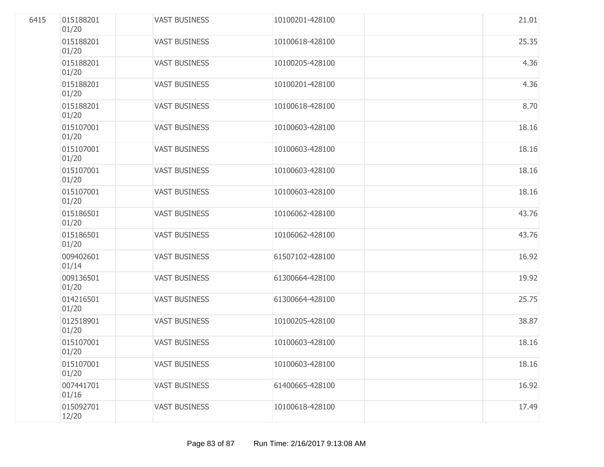| 6415 | 015188201<br>01/20 | <b>VAST BUSINESS</b> | 10100201-428100 | 21.01 |
|------|--------------------|----------------------|-----------------|-------|
|      | 015188201<br>01/20 | <b>VAST BUSINESS</b> | 10100618-428100 | 25.35 |
|      | 015188201<br>01/20 | <b>VAST BUSINESS</b> | 10100205-428100 | 4.36  |
|      | 015188201<br>01/20 | <b>VAST BUSINESS</b> | 10100201-428100 | 4.36  |
|      | 015188201<br>01/20 | <b>VAST BUSINESS</b> | 10100618-428100 | 8.70  |
|      | 015107001<br>01/20 | <b>VAST BUSINESS</b> | 10100603-428100 | 18.16 |
|      | 015107001<br>01/20 | <b>VAST BUSINESS</b> | 10100603-428100 | 18.16 |
|      | 015107001<br>01/20 | <b>VAST BUSINESS</b> | 10100603-428100 | 18.16 |
|      | 015107001<br>01/20 | <b>VAST BUSINESS</b> | 10100603-428100 | 18.16 |
|      | 015186501<br>01/20 | <b>VAST BUSINESS</b> | 10106062-428100 | 43.76 |
|      | 015186501<br>01/20 | <b>VAST BUSINESS</b> | 10106062-428100 | 43.76 |
|      | 009402601<br>01/14 | <b>VAST BUSINESS</b> | 61507102-428100 | 16.92 |
|      | 009136501<br>01/20 | <b>VAST BUSINESS</b> | 61300664-428100 | 19.92 |
|      | 014216501<br>01/20 | <b>VAST BUSINESS</b> | 61300664-428100 | 25.75 |
|      | 012518901<br>01/20 | <b>VAST BUSINESS</b> | 10100205-428100 | 38.87 |
|      | 015107001<br>01/20 | <b>VAST BUSINESS</b> | 10100603-428100 | 18.16 |
|      | 015107001<br>01/20 | <b>VAST BUSINESS</b> | 10100603-428100 | 18.16 |
|      | 007441701<br>01/16 | <b>VAST BUSINESS</b> | 61400665-428100 | 16.92 |
|      | 015092701<br>12/20 | <b>VAST BUSINESS</b> | 10100618-428100 | 17.49 |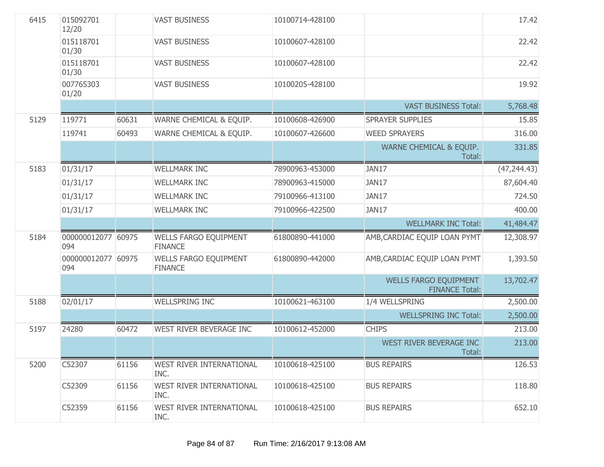| 6415 | 015092701<br>12/20        |       | <b>VAST BUSINESS</b>                           | 10100714-428100 |                                         | 17.42        |
|------|---------------------------|-------|------------------------------------------------|-----------------|-----------------------------------------|--------------|
|      | 015118701<br>01/30        |       | <b>VAST BUSINESS</b>                           | 10100607-428100 |                                         | 22.42        |
|      | 015118701<br>01/30        |       | <b>VAST BUSINESS</b>                           | 10100607-428100 |                                         | 22.42        |
|      | 007765303<br>01/20        |       | <b>VAST BUSINESS</b>                           | 10100205-428100 |                                         | 19.92        |
|      |                           |       |                                                |                 | <b>VAST BUSINESS Total:</b>             | 5,768.48     |
| 5129 | 119771                    | 60631 | WARNE CHEMICAL & EQUIP.                        | 10100608-426900 | SPRAYER SUPPLIES                        | 15.85        |
|      | 119741                    | 60493 | WARNE CHEMICAL & EQUIP.                        | 10100607-426600 | <b>WEED SPRAYERS</b>                    | 316.00       |
|      |                           |       |                                                |                 | WARNE CHEMICAL & EQUIP.<br>Total:       | 331.85       |
| 5183 | 01/31/17                  |       | <b>WELLMARK INC</b>                            | 78900963-453000 | JAN17                                   | (47, 244.43) |
|      | 01/31/17                  |       | <b>WELLMARK INC</b>                            | 78900963-415000 | JAN17                                   | 87,604.40    |
|      | 01/31/17                  |       | <b>WELLMARK INC</b>                            | 79100966-413100 | JAN17                                   | 724.50       |
|      | 01/31/17                  |       | <b>WELLMARK INC</b>                            | 79100966-422500 | JAN17                                   | 400.00       |
|      |                           |       |                                                |                 | <b>WELLMARK INC Total:</b>              | 41,484.47    |
| 5184 | 000000012077 60975<br>094 |       | <b>WELLS FARGO EQUIPMENT</b><br><b>FINANCE</b> | 61800890-441000 | AMB, CARDIAC EQUIP LOAN PYMT            | 12,308.97    |
|      | 000000012077 60975<br>094 |       | <b>WELLS FARGO EQUIPMENT</b><br><b>FINANCE</b> | 61800890-442000 | AMB, CARDIAC EQUIP LOAN PYMT            | 1,393.50     |
|      |                           |       |                                                |                 | <b>WELLS FARGO EQUIPMENT</b>            | 13,702.47    |
| 5188 | 02/01/17                  |       | <b>WELLSPRING INC</b>                          | 10100621-463100 | <b>FINANCE Total:</b><br>1/4 WELLSPRING | 2,500.00     |
|      |                           |       |                                                |                 | <b>WELLSPRING INC Total:</b>            | 2,500.00     |
| 5197 | 24280                     | 60472 | WEST RIVER BEVERAGE INC                        | 10100612-452000 | <b>CHIPS</b>                            | 213.00       |
|      |                           |       |                                                |                 | WEST RIVER BEVERAGE INC                 | 213.00       |
|      |                           |       |                                                |                 | Total:                                  |              |
| 5200 | C52307                    | 61156 | WEST RIVER INTERNATIONAL<br>INC.               | 10100618-425100 | <b>BUS REPAIRS</b>                      | 126.53       |
|      | C52309                    | 61156 | WEST RIVER INTERNATIONAL<br>INC.               | 10100618-425100 | <b>BUS REPAIRS</b>                      | 118.80       |
|      | C52359                    | 61156 | WEST RIVER INTERNATIONAL<br>INC.               | 10100618-425100 | <b>BUS REPAIRS</b>                      | 652.10       |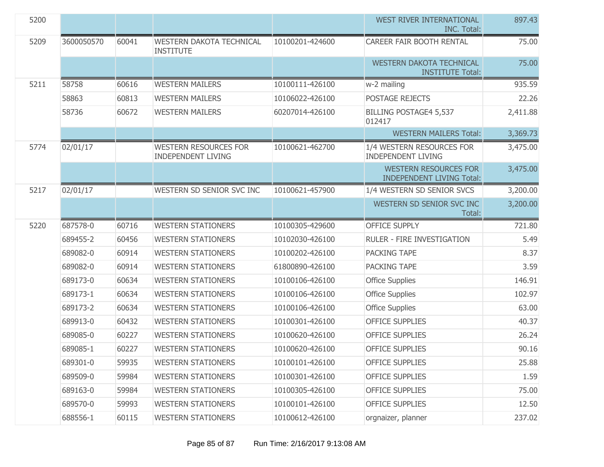| 5200 |            |       |                                                           |                 | WEST RIVER INTERNATIONAL<br><b>INC. Total:</b>                   | 897.43   |
|------|------------|-------|-----------------------------------------------------------|-----------------|------------------------------------------------------------------|----------|
| 5209 | 3600050570 | 60041 | <b>WESTERN DAKOTA TECHNICAL</b><br><b>INSTITUTE</b>       | 10100201-424600 | CAREER FAIR BOOTH RENTAL                                         | 75.00    |
|      |            |       |                                                           |                 | <b>WESTERN DAKOTA TECHNICAL</b><br><b>INSTITUTE Total:</b>       | 75.00    |
| 5211 | 58758      | 60616 | <b>WESTERN MAILERS</b>                                    | 10100111-426100 | w-2 mailing                                                      | 935.59   |
|      | 58863      | 60813 | <b>WESTERN MAILERS</b>                                    | 10106022-426100 | POSTAGE REJECTS                                                  | 22.26    |
|      | 58736      | 60672 | <b>WESTERN MAILERS</b>                                    | 60207014-426100 | <b>BILLING POSTAGE4 5,537</b><br>012417                          | 2,411.88 |
|      |            |       |                                                           |                 | <b>WESTERN MAILERS Total:</b>                                    | 3,369.73 |
| 5774 | 02/01/17   |       | <b>WESTERN RESOURCES FOR</b><br><b>INDEPENDENT LIVING</b> | 10100621-462700 | 1/4 WESTERN RESOURCES FOR<br><b>INDEPENDENT LIVING</b>           | 3,475.00 |
|      |            |       |                                                           |                 | <b>WESTERN RESOURCES FOR</b><br><b>INDEPENDENT LIVING Total:</b> | 3,475.00 |
| 5217 | 02/01/17   |       | WESTERN SD SENIOR SVC INC                                 | 10100621-457900 | 1/4 WESTERN SD SENIOR SVCS                                       | 3,200.00 |
|      |            |       |                                                           |                 | WESTERN SD SENIOR SVC INC<br>Total:                              | 3,200.00 |
| 5220 |            |       |                                                           |                 |                                                                  |          |
|      | 687578-0   | 60716 | <b>WESTERN STATIONERS</b>                                 | 10100305-429600 | <b>OFFICE SUPPLY</b>                                             | 721.80   |
|      | 689455-2   | 60456 | <b>WESTERN STATIONERS</b>                                 | 10102030-426100 | RULER - FIRE INVESTIGATION                                       | 5.49     |
|      | 689082-0   | 60914 | <b>WESTERN STATIONERS</b>                                 | 10100202-426100 | PACKING TAPE                                                     | 8.37     |
|      | 689082-0   | 60914 | <b>WESTERN STATIONERS</b>                                 | 61800890-426100 | PACKING TAPE                                                     | 3.59     |
|      | 689173-0   | 60634 | <b>WESTERN STATIONERS</b>                                 | 10100106-426100 | <b>Office Supplies</b>                                           | 146.91   |
|      | 689173-1   | 60634 | <b>WESTERN STATIONERS</b>                                 | 10100106-426100 | <b>Office Supplies</b>                                           | 102.97   |
|      | 689173-2   | 60634 | <b>WESTERN STATIONERS</b>                                 | 10100106-426100 | <b>Office Supplies</b>                                           | 63.00    |
|      | 689913-0   | 60432 | <b>WESTERN STATIONERS</b>                                 | 10100301-426100 | <b>OFFICE SUPPLIES</b>                                           | 40.37    |
|      | 689085-0   | 60227 | <b>WESTERN STATIONERS</b>                                 | 10100620-426100 | <b>OFFICE SUPPLIES</b>                                           | 26.24    |
|      | 689085-1   | 60227 | <b>WESTERN STATIONERS</b>                                 | 10100620-426100 | <b>OFFICE SUPPLIES</b>                                           | 90.16    |
|      | 689301-0   | 59935 | <b>WESTERN STATIONERS</b>                                 | 10100101-426100 | <b>OFFICE SUPPLIES</b>                                           | 25.88    |
|      | 689509-0   | 59984 | <b>WESTERN STATIONERS</b>                                 | 10100301-426100 | <b>OFFICE SUPPLIES</b>                                           | 1.59     |
|      | 689163-0   | 59984 | <b>WESTERN STATIONERS</b>                                 | 10100305-426100 | <b>OFFICE SUPPLIES</b>                                           | 75.00    |
|      | 689570-0   | 59993 | <b>WESTERN STATIONERS</b>                                 | 10100101-426100 | <b>OFFICE SUPPLIES</b>                                           | 12.50    |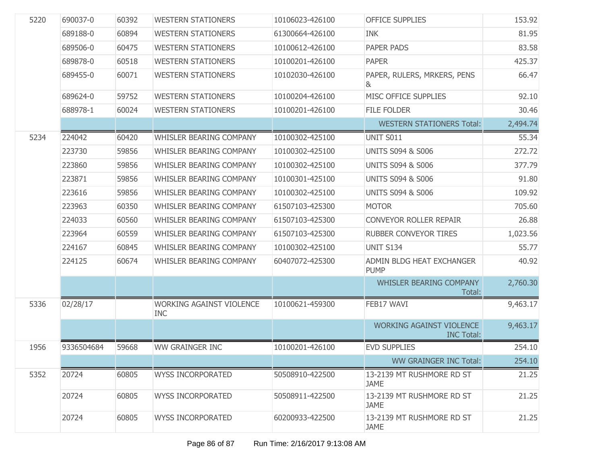| 5220 | 690037-0   | 60392 | <b>WESTERN STATIONERS</b>                     | 10106023-426100 | <b>OFFICE SUPPLIES</b>                               | 153.92   |
|------|------------|-------|-----------------------------------------------|-----------------|------------------------------------------------------|----------|
|      | 689188-0   | 60894 | <b>WESTERN STATIONERS</b>                     | 61300664-426100 | <b>INK</b>                                           | 81.95    |
|      | 689506-0   | 60475 | <b>WESTERN STATIONERS</b>                     | 10100612-426100 | PAPER PADS                                           | 83.58    |
|      | 689878-0   | 60518 | <b>WESTERN STATIONERS</b>                     | 10100201-426100 | <b>PAPER</b>                                         | 425.37   |
|      | 689455-0   | 60071 | <b>WESTERN STATIONERS</b>                     | 10102030-426100 | PAPER, RULERS, MRKERS, PENS<br>&                     | 66.47    |
|      | 689624-0   | 59752 | <b>WESTERN STATIONERS</b>                     | 10100204-426100 | MISC OFFICE SUPPLIES                                 | 92.10    |
|      | 688978-1   | 60024 | <b>WESTERN STATIONERS</b>                     | 10100201-426100 | <b>FILE FOLDER</b>                                   | 30.46    |
|      |            |       |                                               |                 | <b>WESTERN STATIONERS Total:</b>                     | 2,494.74 |
| 5234 | 224042     | 60420 | WHISLER BEARING COMPANY                       | 10100302-425100 | <b>UNIT S011</b>                                     | 55.34    |
|      | 223730     | 59856 | WHISLER BEARING COMPANY                       | 10100302-425100 | <b>UNITS S094 &amp; S006</b>                         | 272.72   |
|      | 223860     | 59856 | WHISLER BEARING COMPANY                       | 10100302-425100 | <b>UNITS S094 &amp; S006</b>                         | 377.79   |
|      | 223871     | 59856 | WHISLER BEARING COMPANY                       | 10100301-425100 | <b>UNITS S094 &amp; S006</b>                         | 91.80    |
|      | 223616     | 59856 | <b>WHISLER BEARING COMPANY</b>                | 10100302-425100 | <b>UNITS S094 &amp; S006</b>                         | 109.92   |
|      | 223963     | 60350 | WHISLER BEARING COMPANY                       | 61507103-425300 | <b>MOTOR</b>                                         | 705.60   |
|      | 224033     | 60560 | WHISLER BEARING COMPANY                       | 61507103-425300 | <b>CONVEYOR ROLLER REPAIR</b>                        | 26.88    |
|      | 223964     | 60559 | WHISLER BEARING COMPANY                       | 61507103-425300 | RUBBER CONVEYOR TIRES                                | 1,023.56 |
|      | 224167     | 60845 | WHISLER BEARING COMPANY                       | 10100302-425100 | <b>UNIT S134</b>                                     | 55.77    |
|      | 224125     | 60674 | WHISLER BEARING COMPANY                       | 60407072-425300 | ADMIN BLDG HEAT EXCHANGER<br><b>PUMP</b>             | 40.92    |
|      |            |       |                                               |                 | <b>WHISLER BEARING COMPANY</b><br>Total:             | 2,760.30 |
| 5336 | 02/28/17   |       | <b>WORKING AGAINST VIOLENCE</b><br><b>INC</b> | 10100621-459300 | FEB17 WAVI                                           | 9,463.17 |
|      |            |       |                                               |                 | <b>WORKING AGAINST VIOLENCE</b><br><b>INC Total:</b> | 9,463.17 |
| 1956 | 9336504684 | 59668 | <b>WW GRAINGER INC</b>                        | 10100201-426100 | <b>EVD SUPPLIES</b>                                  | 254.10   |
|      |            |       |                                               |                 | <b>WW GRAINGER INC Total:</b>                        | 254.10   |
| 5352 | 20724      | 60805 | <b>WYSS INCORPORATED</b>                      | 50508910-422500 | 13-2139 MT RUSHMORE RD ST<br><b>JAME</b>             | 21.25    |
|      | 20724      | 60805 | <b>WYSS INCORPORATED</b>                      | 50508911-422500 | 13-2139 MT RUSHMORE RD ST<br><b>JAME</b>             | 21.25    |
|      | 20724      | 60805 | <b>WYSS INCORPORATED</b>                      | 60200933-422500 | 13-2139 MT RUSHMORE RD ST<br><b>JAME</b>             | 21.25    |